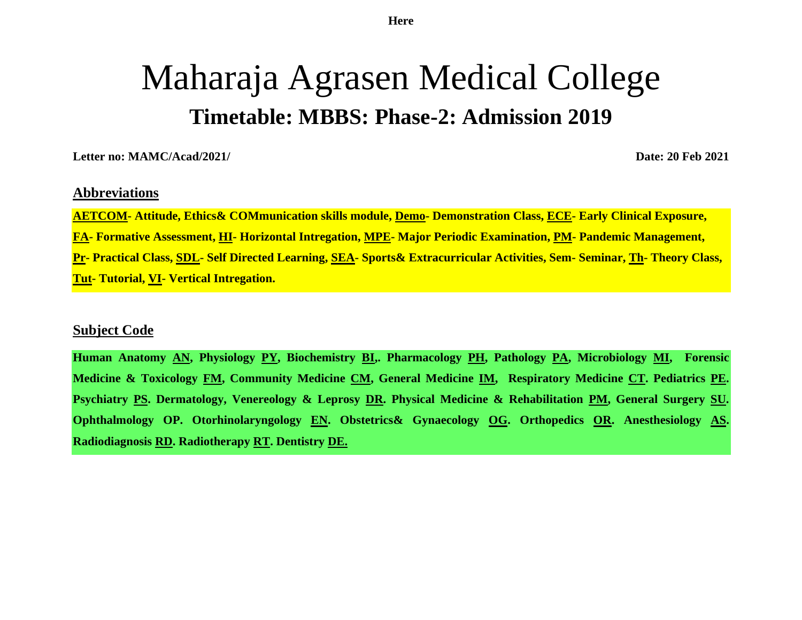**Here**

# Maharaja Agrasen Medical College **Timetable: MBBS: Phase-2: Admission 2019**

**Letter no: MAMC/Acad/2021/ Date: 20 Feb 2021**

#### **Abbreviations**

**AETCOM- Attitude, Ethics& COMmunication skills module, Demo- Demonstration Class, ECE- Early Clinical Exposure, FA- Formative Assessment, HI- Horizontal Intregation, MPE- Major Periodic Examination, PM- Pandemic Management, Pr- Practical Class, SDL- Self Directed Learning, SEA- Sports& Extracurricular Activities, Sem- Seminar, Th- Theory Class, Tut- Tutorial, VI- Vertical Intregation.**

#### **Subject Code**

**Human Anatomy AN, Physiology PY, Biochemistry BI,. Pharmacology PH, Pathology PA, Microbiology MI, Forensic Medicine & Toxicology FM, Community Medicine CM, General Medicine IM, Respiratory Medicine CT. Pediatrics PE. Psychiatry PS. Dermatology, Venereology & Leprosy DR. Physical Medicine & Rehabilitation PM, General Surgery SU. Ophthalmology OP. Otorhinolaryngology EN. Obstetrics& Gynaecology OG. Orthopedics OR. Anesthesiology AS. Radiodiagnosis RD. Radiotherapy RT. Dentistry DE.**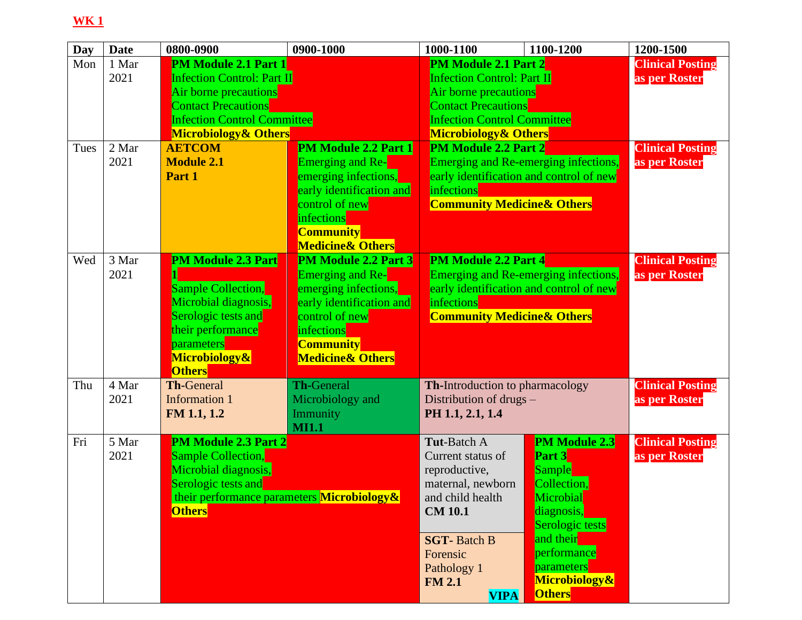| Day         | <b>Date</b>            | 0800-0900                                                                                                                                                                                                                                         | 0900-1000                                                                                                                                                                                     | 1000-1100                                                                                                                                                                                                                        | 1100-1200                                                                                                                                                                                | 1200-1500                                                           |
|-------------|------------------------|---------------------------------------------------------------------------------------------------------------------------------------------------------------------------------------------------------------------------------------------------|-----------------------------------------------------------------------------------------------------------------------------------------------------------------------------------------------|----------------------------------------------------------------------------------------------------------------------------------------------------------------------------------------------------------------------------------|------------------------------------------------------------------------------------------------------------------------------------------------------------------------------------------|---------------------------------------------------------------------|
| Mon<br>Tues | 1 Mar<br>2021<br>2 Mar | <b>PM Module 2.1 Part 1</b><br><b>Infection Control: Part II</b><br>Air borne precautions<br><b>Contact Precautions</b><br><b>Infection Control Committee</b><br><b>Microbiology &amp; Others</b><br><b>PM Module 2.2 Part 1</b><br><b>AETCOM</b> |                                                                                                                                                                                               | <b>PM Module 2.1 Part 2</b><br><b>Infection Control: Part II</b><br>Air borne precautions<br><b>Contact Precautions</b><br><b>Infection Control Committee</b><br><b>Microbiology &amp; Others</b><br><b>PM Module 2.2 Part 2</b> |                                                                                                                                                                                          | <b>Clinical Posting</b><br>as per Roster<br><b>Clinical Posting</b> |
|             | 2021                   | <b>Module 2.1</b><br>Part 1                                                                                                                                                                                                                       | <b>Emerging and Re-</b><br>emerging infections,<br>early identification and<br>control of new<br>infections<br><b>Community</b><br><b>Medicine &amp; Others</b>                               | infections<br><b>Community Medicine &amp; Others</b>                                                                                                                                                                             | Emerging and Re-emerging infections,<br>early identification and control of new                                                                                                          | as per Roster                                                       |
| Wed         | 3 Mar<br>2021          | <b>PM Module 2.3 Part</b><br><b>Sample Collection,</b><br>Microbial diagnosis,<br>Serologic tests and<br>their performance<br>parameters<br>Microbiology&<br><b>Others</b>                                                                        | <b>PM Module 2.2 Part 3</b><br><b>Emerging and Re-</b><br>emerging infections,<br>early identification and<br>control of new<br>infections<br><b>Community</b><br><b>Medicine&amp; Others</b> | <b>PM Module 2.2 Part 4</b><br>infections<br><b>Community Medicine &amp; Others</b>                                                                                                                                              | Emerging and Re-emerging infections,<br>early identification and control of new                                                                                                          | <b>Clinical Posting</b><br>as per Roster                            |
| Thu         | 4 Mar<br>2021          | <b>Th-General</b><br><b>Information 1</b><br>FM 1.1, 1.2                                                                                                                                                                                          | <b>Th-General</b><br>Microbiology and<br>Immunity<br><b>MI1.1</b>                                                                                                                             | <b>Th-Introduction to pharmacology</b><br>Distribution of drugs -<br>PH 1.1, 2.1, 1.4                                                                                                                                            |                                                                                                                                                                                          | <b>Clinical Posting</b><br>as per Roster                            |
| Fri         | 5 Mar<br>2021          | <b>PM Module 2.3 Part 2</b><br><b>Sample Collection,</b><br>Microbial diagnosis,<br>Serologic tests and<br><b>Others</b>                                                                                                                          | their performance parameters Microbiology &                                                                                                                                                   | <b>Tut-Batch A</b><br>Current status of<br>reproductive,<br>maternal, newborn<br>and child health<br><b>CM 10.1</b><br><b>SGT-Batch B</b><br>Forensic<br>Pathology 1<br><b>FM 2.1</b><br><b>VIPA</b>                             | PM Module 2.3<br><b>Part 3</b><br><b>Sample</b><br>Collection,<br>Microbial<br>diagnosis,<br>Serologic tests<br>and their<br>performance<br>parameters<br>Microbiology&<br><b>Others</b> | <b>Clinical Posting</b><br>as per Roster                            |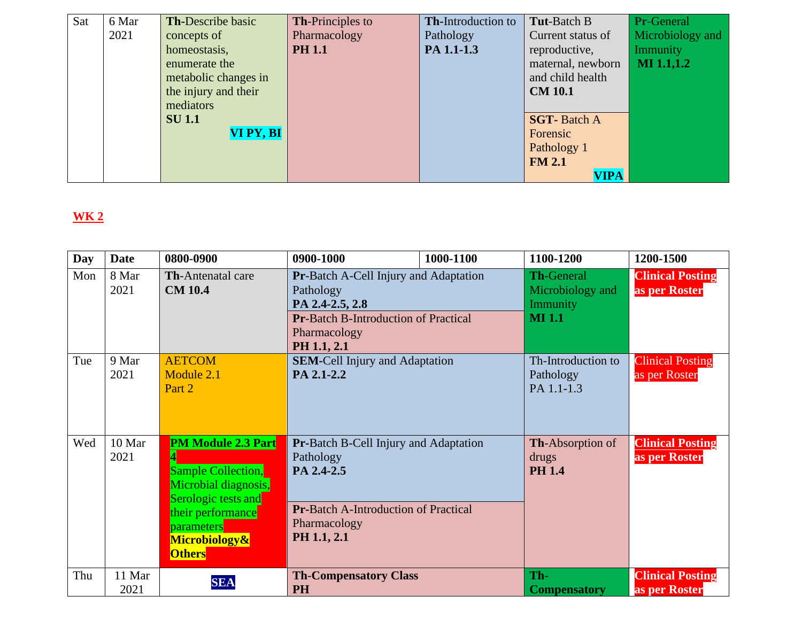| Sat | 6 Mar | <b>Th-Describe basic</b> | <b>Th-Principles to</b> | Th-Introduction to | <b>Tut-Batch B</b> | Pr-General        |
|-----|-------|--------------------------|-------------------------|--------------------|--------------------|-------------------|
|     | 2021  | concepts of              | Pharmacology            | Pathology          | Current status of  | Microbiology and  |
|     |       | homeostasis,             | <b>PH 1.1</b>           | PA 1.1-1.3         | reproductive,      | Immunity          |
|     |       | enumerate the            |                         |                    | maternal, newborn  | <b>MI</b> 1.1,1.2 |
|     |       | metabolic changes in     |                         |                    | and child health   |                   |
|     |       | the injury and their     |                         |                    | <b>CM 10.1</b>     |                   |
|     |       | mediators                |                         |                    |                    |                   |
|     |       | <b>SU</b> 1.1            |                         |                    | <b>SGT-Batch A</b> |                   |
|     |       | VI PY, BI                |                         |                    | Forensic           |                   |
|     |       |                          |                         |                    | Pathology 1        |                   |
|     |       |                          |                         |                    | <b>FM 2.1</b>      |                   |
|     |       |                          |                         |                    | <b>VIPA</b>        |                   |

| <b>Day</b> | <b>Date</b>    | 0800-0900                                                                                                                                                                         | 0900-1000                                                                                                                                             | 1000-1100 | 1100-1200                                                          | 1200-1500                                |
|------------|----------------|-----------------------------------------------------------------------------------------------------------------------------------------------------------------------------------|-------------------------------------------------------------------------------------------------------------------------------------------------------|-----------|--------------------------------------------------------------------|------------------------------------------|
| Mon        | 8 Mar<br>2021  | <b>Th-Antenatal care</b><br><b>CM 10.4</b>                                                                                                                                        | Pr-Batch A-Cell Injury and Adaptation<br>Pathology<br>PA 2.4-2.5, 2.8<br><b>Pr-Batch B-Introduction of Practical</b><br>Pharmacology<br>PH 1.1, 2.1   |           | <b>Th-General</b><br>Microbiology and<br>Immunity<br><b>MI</b> 1.1 | <b>Clinical Posting</b><br>as per Roster |
| Tue        | 9 Mar<br>2021  | <b>AETCOM</b><br>Module 2.1<br>Part 2                                                                                                                                             | <b>SEM-Cell Injury and Adaptation</b><br>PA 2.1-2.2                                                                                                   |           | Th-Introduction to<br>Pathology<br>PA 1.1-1.3                      | <b>Clinical Posting</b><br>as per Roster |
| Wed        | 10 Mar<br>2021 | <b>PM Module 2.3 Part</b><br><b>Sample Collection,</b><br>Microbial diagnosis,<br>Serologic tests and<br>their performance<br><b>parameters</b><br>Microbiology&<br><b>Others</b> | <b>Pr-Batch B-Cell Injury and Adaptation</b><br>Pathology<br>PA 2.4-2.5<br><b>Pr-Batch A-Introduction of Practical</b><br>Pharmacology<br>PH 1.1, 2.1 |           | <b>Th-Absorption of</b><br>drugs<br><b>PH 1.4</b>                  | <b>Clinical Posting</b><br>as per Roster |
| Thu        | 11 Mar<br>2021 | <b>SEA</b>                                                                                                                                                                        | <b>Th-Compensatory Class</b><br><b>PH</b>                                                                                                             |           | Th-<br><b>Compensatory</b>                                         | <b>Clinical Posting</b><br>as per Roster |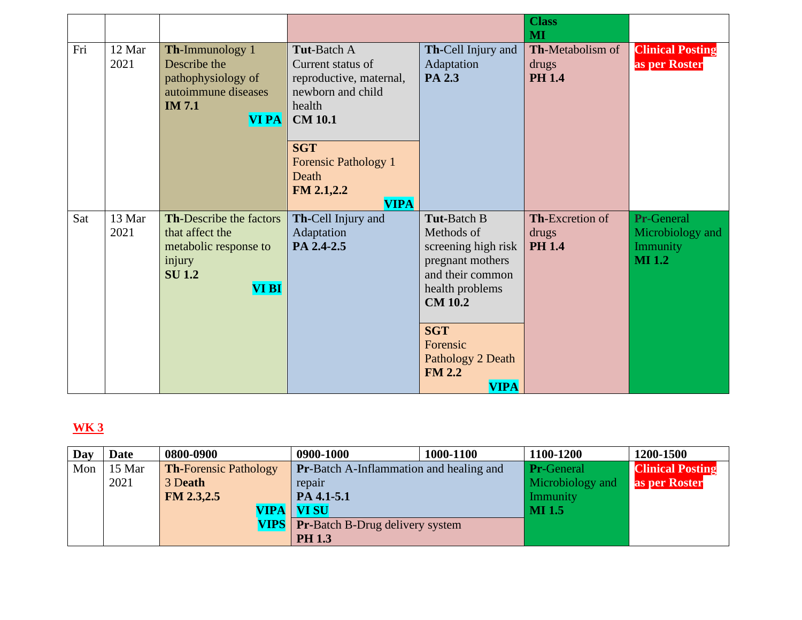|     |                |                                                                                                                       |                                                                                                                                                                                                        |                                                                                                                                                                                                                     | <b>Class</b><br>MI                                |                                                                           |
|-----|----------------|-----------------------------------------------------------------------------------------------------------------------|--------------------------------------------------------------------------------------------------------------------------------------------------------------------------------------------------------|---------------------------------------------------------------------------------------------------------------------------------------------------------------------------------------------------------------------|---------------------------------------------------|---------------------------------------------------------------------------|
| Fri | 12 Mar<br>2021 | Th-Immunology 1<br>Describe the<br>pathophysiology of<br>autoimmune diseases<br><b>IM 7.1</b><br><b>VI PA</b>         | <b>Tut-Batch A</b><br>Current status of<br>reproductive, maternal,<br>newborn and child<br>health<br><b>CM 10.1</b><br><b>SGT</b><br><b>Forensic Pathology 1</b><br>Death<br>FM 2.1,2.2<br><b>VIPA</b> | Th-Cell Injury and<br>Adaptation<br>PA 2.3                                                                                                                                                                          | <b>Th-Metabolism of</b><br>drugs<br><b>PH 1.4</b> | <b>Clinical Posting</b><br>as per Roster                                  |
| Sat | 13 Mar<br>2021 | <b>Th-Describe the factors</b><br>that affect the<br>metabolic response to<br>injury<br><b>SU 1.2</b><br><b>VI BI</b> | Th-Cell Injury and<br>Adaptation<br>PA 2.4-2.5                                                                                                                                                         | <b>Tut-Batch B</b><br>Methods of<br>screening high risk<br>pregnant mothers<br>and their common<br>health problems<br><b>CM 10.2</b><br><b>SGT</b><br>Forensic<br>Pathology 2 Death<br><b>FM 2.2</b><br><b>VIPA</b> | Th-Excretion of<br>drugs<br><b>PH 1.4</b>         | <b>Pr-General</b><br>Microbiology and<br><b>Immunity</b><br><b>MI</b> 1.2 |

| Day | Date   | 0800-0900                    | 0900-1000                                      | 1000-1100 | 1100-1200         | 1200-1500               |
|-----|--------|------------------------------|------------------------------------------------|-----------|-------------------|-------------------------|
| Mon | 15 Mar | <b>Th-Forensic Pathology</b> | <b>Pr-Batch A-Inflammation and healing and</b> |           | <b>Pr-General</b> | <b>Clinical Posting</b> |
|     | 2021   | 3 Death                      | repair                                         |           | Microbiology and  | as per Roster           |
|     |        | FM 2.3,2.5                   | PA 4.1-5.1                                     |           | Immunity          |                         |
|     |        |                              | VIPA   VI SU                                   |           | <b>MI</b> 1.5     |                         |
|     |        |                              | <b>VIPS</b>   Pr-Batch B-Drug delivery system  |           |                   |                         |
|     |        |                              | <b>PH 1.3</b>                                  |           |                   |                         |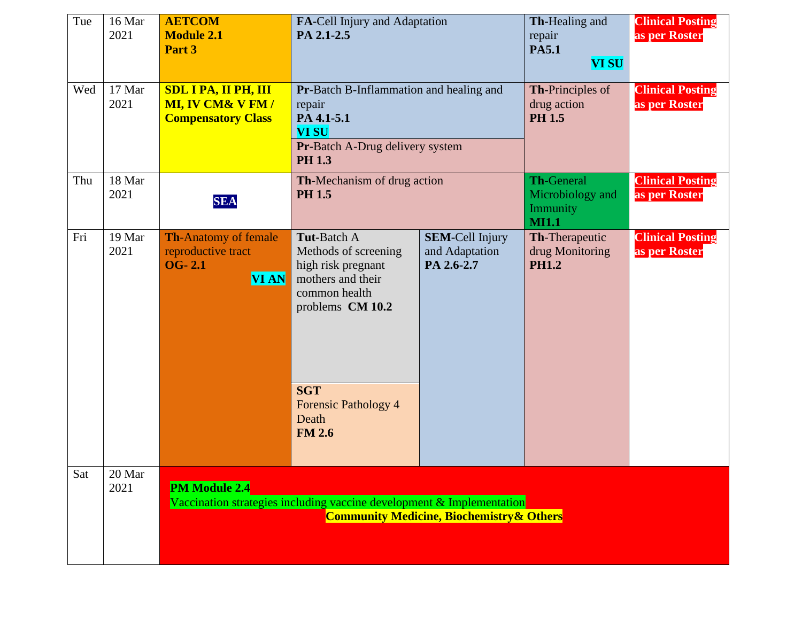| Tue | 16 Mar<br>2021 | <b>AETCOM</b><br><b>Module 2.1</b><br>Part 3                                            | FA-Cell Injury and Adaptation<br>PA 2.1-2.5                                                                                                                                                |                                                        | Th-Healing and<br>repair<br><b>PA5.1</b><br><b>VI SU</b>          | <b>Clinical Posting</b><br>as per Roster |
|-----|----------------|-----------------------------------------------------------------------------------------|--------------------------------------------------------------------------------------------------------------------------------------------------------------------------------------------|--------------------------------------------------------|-------------------------------------------------------------------|------------------------------------------|
| Wed | 17 Mar<br>2021 | <b>SDL I PA, II PH, III</b><br><b>MI, IV CM&amp; V FM/</b><br><b>Compensatory Class</b> | Pr-Batch B-Inflammation and healing and<br>repair<br>PA 4.1-5.1<br><b>VI SU</b><br><b>Pr-Batch A-Drug delivery system</b><br><b>PH 1.3</b>                                                 |                                                        | <b>Th-Principles of</b><br>drug action<br><b>PH 1.5</b>           | <b>Clinical Posting</b><br>as per Roster |
| Thu | 18 Mar<br>2021 | <b>SEA</b>                                                                              | Th-Mechanism of drug action<br><b>PH 1.5</b>                                                                                                                                               |                                                        | <b>Th-General</b><br>Microbiology and<br>Immunity<br><b>MI1.1</b> | <b>Clinical Posting</b><br>as per Roster |
| Fri | 19 Mar<br>2021 | <b>Th-Anatomy of female</b><br>reproductive tract<br><b>OG-2.1</b><br><b>VI AN</b>      | <b>Tut-Batch A</b><br>Methods of screening<br>high risk pregnant<br>mothers and their<br>common health<br>problems CM 10.2<br><b>SGT</b><br>Forensic Pathology 4<br>Death<br><b>FM 2.6</b> | <b>SEM-Cell Injury</b><br>and Adaptation<br>PA 2.6-2.7 | Th-Therapeutic<br>drug Monitoring<br><b>PH1.2</b>                 | <b>Clinical Posting</b><br>as per Roster |
| Sat | 20 Mar<br>2021 | <b>PM Module 2.4</b>                                                                    | Vaccination strategies including vaccine development & Implementation                                                                                                                      | <b>Community Medicine, Biochemistry &amp; Others</b>   |                                                                   |                                          |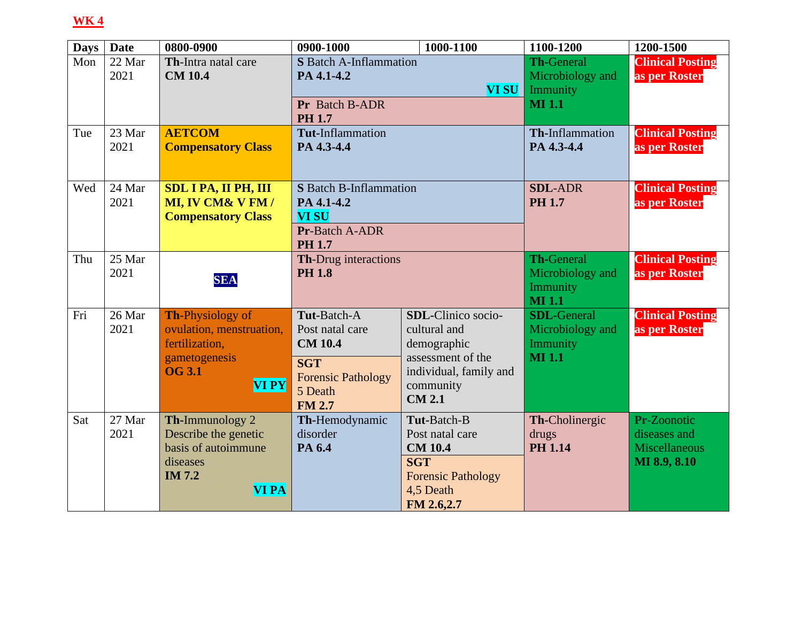| <b>Days</b> | <b>Date</b>    | 0800-0900                                                                                                        | 0900-1000                                                                                                               | 1000-1100                                                                                                                      | 1100-1200                                                           | 1200-1500                                                           |
|-------------|----------------|------------------------------------------------------------------------------------------------------------------|-------------------------------------------------------------------------------------------------------------------------|--------------------------------------------------------------------------------------------------------------------------------|---------------------------------------------------------------------|---------------------------------------------------------------------|
| Mon         | 22 Mar<br>2021 | Th-Intra natal care<br><b>CM 10.4</b>                                                                            | <b>S</b> Batch A-Inflammation<br>PA 4.1-4.2                                                                             | <b>VI SU</b>                                                                                                                   | <b>Th-General</b><br>Microbiology and<br>Immunity                   | <b>Clinical Posting</b><br>as per Roster                            |
|             |                |                                                                                                                  | Pr Batch B-ADR<br><b>PH 1.7</b>                                                                                         |                                                                                                                                | <b>MI</b> 1.1                                                       |                                                                     |
| Tue         | 23 Mar<br>2021 | <b>AETCOM</b><br><b>Compensatory Class</b>                                                                       | Tut-Inflammation<br>PA 4.3-4.4                                                                                          |                                                                                                                                | Th-Inflammation<br>PA 4.3-4.4                                       | <b>Clinical Posting</b><br>as per Roster                            |
| Wed         | 24 Mar<br>2021 | <b>SDL I PA, II PH, III</b><br>MI, IV CM& V FM /<br><b>Compensatory Class</b>                                    | <b>S</b> Batch B-Inflammation<br>PA 4.1-4.2<br><b>VI SU</b><br><b>Pr-Batch A-ADR</b><br><b>PH 1.7</b>                   |                                                                                                                                | <b>SDL-ADR</b><br><b>PH 1.7</b>                                     | <b>Clinical Posting</b><br>as per Roster                            |
| Thu         | 25 Mar<br>2021 | <b>SEA</b>                                                                                                       | Th-Drug interactions<br><b>PH 1.8</b>                                                                                   |                                                                                                                                | <b>Th-General</b><br>Microbiology and<br>Immunity<br><b>MI</b> 1.1  | <b>Clinical Posting</b><br>as per Roster                            |
| Fri         | 26 Mar<br>2021 | <b>Th-Physiology of</b><br>ovulation, menstruation,<br>fertilization,<br>gametogenesis<br><b>OG 3.1</b><br>VI PY | Tut-Batch-A<br>Post natal care<br><b>CM 10.4</b><br><b>SGT</b><br><b>Forensic Pathology</b><br>5 Death<br><b>FM 2.7</b> | SDL-Clinico socio-<br>cultural and<br>demographic<br>assessment of the<br>individual, family and<br>community<br><b>CM 2.1</b> | <b>SDL-General</b><br>Microbiology and<br>Immunity<br><b>MI</b> 1.1 | <b>Clinical Posting</b><br>as per Roster                            |
| Sat         | 27 Mar<br>2021 | Th-Immunology 2<br>Describe the genetic<br>basis of autoimmune<br>diseases<br><b>IM 7.2</b><br><b>VI PA</b>      | Th-Hemodynamic<br>disorder<br>PA 6.4                                                                                    | Tut-Batch-B<br>Post natal care<br><b>CM 10.4</b><br><b>SGT</b><br><b>Forensic Pathology</b><br>4,5 Death<br>FM 2.6,2.7         | Th-Cholinergic<br>drugs<br><b>PH 1.14</b>                           | Pr-Zoonotic<br>diseases and<br><b>Miscellaneous</b><br>MI 8.9, 8.10 |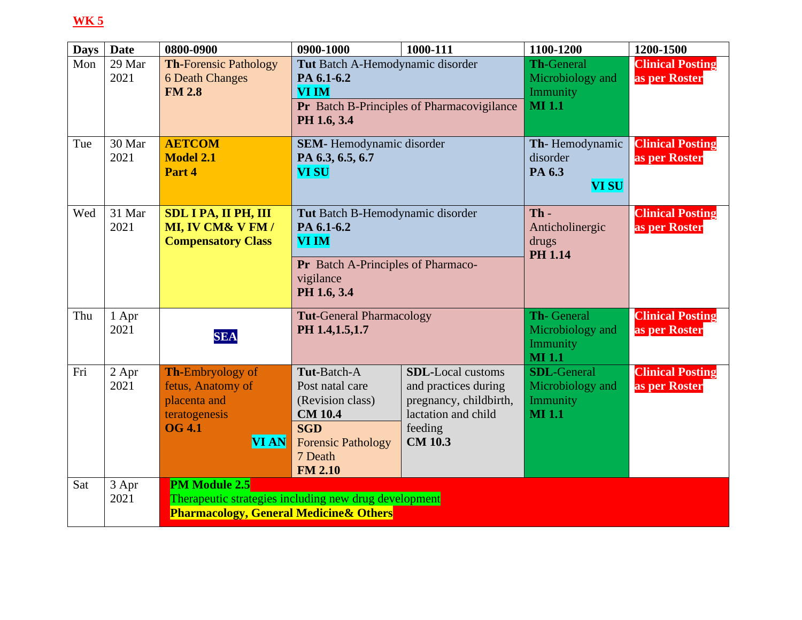| <b>Days</b> | <b>Date</b> | 0800-0900                                             | 0900-1000                          | 1000-111                                   | 1100-1200                 | 1200-1500               |
|-------------|-------------|-------------------------------------------------------|------------------------------------|--------------------------------------------|---------------------------|-------------------------|
| Mon         | 29 Mar      | <b>Th-Forensic Pathology</b>                          | Tut Batch A-Hemodynamic disorder   |                                            | <b>Th-General</b>         | <b>Clinical Posting</b> |
|             | 2021        | <b>6 Death Changes</b>                                | PA 6.1-6.2                         |                                            | Microbiology and          | as per Roster           |
|             |             | <b>FM 2.8</b>                                         | <b>VI IM</b>                       |                                            | Immunity                  |                         |
|             |             |                                                       |                                    | Pr Batch B-Principles of Pharmacovigilance | <b>MI</b> 1.1             |                         |
|             |             |                                                       | PH 1.6, 3.4                        |                                            |                           |                         |
| Tue         | 30 Mar      | <b>AETCOM</b>                                         | <b>SEM-</b> Hemodynamic disorder   |                                            | Th-Hemodynamic            | <b>Clinical Posting</b> |
|             | 2021        | <b>Model 2.1</b>                                      | PA 6.3, 6.5, 6.7                   |                                            | disorder                  | as per Roster           |
|             |             | Part 4                                                | <b>VI SU</b>                       |                                            | PA 6.3                    |                         |
|             |             |                                                       |                                    |                                            | <b>VI SU</b>              |                         |
|             |             |                                                       |                                    |                                            |                           |                         |
| Wed         | 31 Mar      | <b>SDL I PA, II PH, III</b>                           | Tut Batch B-Hemodynamic disorder   |                                            | $Th -$                    | <b>Clinical Posting</b> |
|             | 2021        | MI, IV CM& V FM /                                     | PA 6.1-6.2                         |                                            | Anticholinergic           | as per Roster           |
|             |             | <b>Compensatory Class</b>                             | <b>VI IM</b>                       |                                            | drugs<br><b>PH 1.14</b>   |                         |
|             |             |                                                       | Pr Batch A-Principles of Pharmaco- |                                            |                           |                         |
|             |             |                                                       | vigilance                          |                                            |                           |                         |
|             |             |                                                       | PH 1.6, 3.4                        |                                            |                           |                         |
|             |             |                                                       |                                    |                                            |                           |                         |
| Thu         | 1 Apr       |                                                       | <b>Tut-General Pharmacology</b>    |                                            | <b>Th-General</b>         | <b>Clinical Posting</b> |
|             | 2021        | <b>SEA</b>                                            | PH 1.4, 1.5, 1.7                   |                                            | Microbiology and          | as per Roster           |
|             |             |                                                       |                                    |                                            | Immunity<br><b>MI</b> 1.1 |                         |
| Fri         | 2 Apr       | <b>Th-Embryology of</b>                               | Tut-Batch-A                        | <b>SDL-Local customs</b>                   | <b>SDL-General</b>        | <b>Clinical Posting</b> |
|             | 2021        | fetus, Anatomy of                                     | Post natal care                    | and practices during                       | Microbiology and          | as per Roster           |
|             |             | placenta and                                          | (Revision class)                   | pregnancy, childbirth,                     | Immunity                  |                         |
|             |             | teratogenesis                                         | <b>CM 10.4</b>                     | lactation and child                        | <b>MI</b> 1.1             |                         |
|             |             | <b>OG 4.1</b>                                         | <b>SGD</b>                         | feeding                                    |                           |                         |
|             |             | <b>VI AN</b>                                          | <b>Forensic Pathology</b>          | <b>CM 10.3</b>                             |                           |                         |
|             |             |                                                       | 7 Death                            |                                            |                           |                         |
|             |             |                                                       | <b>FM 2.10</b>                     |                                            |                           |                         |
| Sat         | 3 Apr       | <b>PM Module 2.5</b>                                  |                                    |                                            |                           |                         |
|             | 2021        | Therapeutic strategies including new drug development |                                    |                                            |                           |                         |
|             |             | <b>Pharmacology, General Medicine &amp; Others</b>    |                                    |                                            |                           |                         |
|             |             |                                                       |                                    |                                            |                           |                         |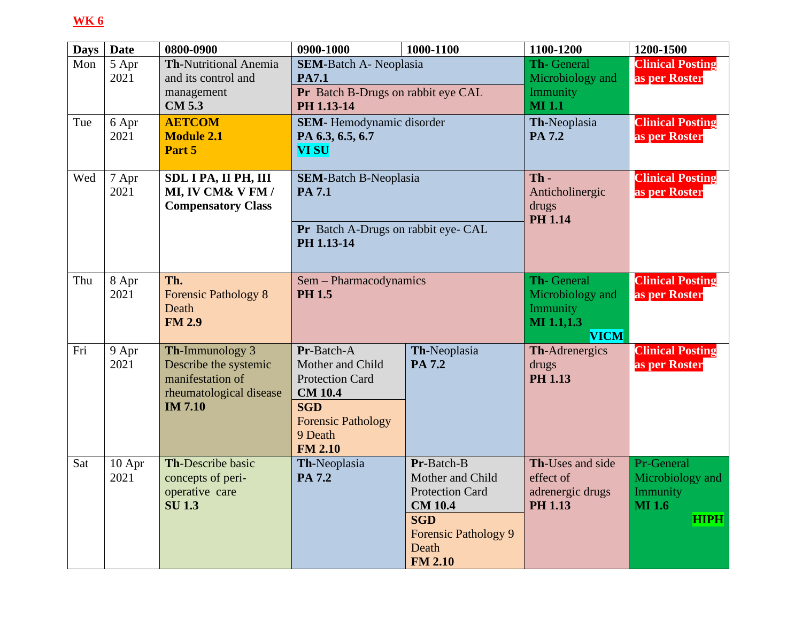| <b>Days</b> | <b>Date</b>    | 0800-0900                                                                                                 | 0900-1000                                                                                                                                          | 1000-1100                                                                                                                                          | 1100-1200                                                               | 1200-1500                                                                  |
|-------------|----------------|-----------------------------------------------------------------------------------------------------------|----------------------------------------------------------------------------------------------------------------------------------------------------|----------------------------------------------------------------------------------------------------------------------------------------------------|-------------------------------------------------------------------------|----------------------------------------------------------------------------|
| Mon         | 5 Apr<br>2021  | <b>Th-Nutritional Anemia</b><br>and its control and<br>management<br><b>CM 5.3</b>                        | <b>SEM-Batch A- Neoplasia</b><br><b>PA7.1</b><br>Pr Batch B-Drugs on rabbit eye CAL<br>PH 1.13-14                                                  |                                                                                                                                                    | Th- General<br>Microbiology and<br>Immunity<br><b>MI1.1</b>             | <b>Clinical Posting</b><br>as per Roster                                   |
| Tue         | 6 Apr<br>2021  | <b>AETCOM</b><br><b>Module 2.1</b><br>Part 5                                                              | <b>SEM-</b> Hemodynamic disorder<br>PA 6.3, 6.5, 6.7<br><b>VI SU</b>                                                                               |                                                                                                                                                    | Th-Neoplasia<br>PA 7.2                                                  | <b>Clinical Posting</b><br>as per Roster                                   |
| Wed         | 7 Apr<br>2021  | SDL I PA, II PH, III<br>MI, IV CM& V FM /<br><b>Compensatory Class</b>                                    | <b>SEM-Batch B-Neoplasia</b><br><b>PA 7.1</b><br>Pr Batch A-Drugs on rabbit eye- CAL<br>PH 1.13-14                                                 |                                                                                                                                                    | $Th -$<br>Anticholinergic<br>drugs<br><b>PH 1.14</b>                    | <b>Clinical Posting</b><br>as per Roster                                   |
| Thu         | 8 Apr<br>2021  | Th.<br><b>Forensic Pathology 8</b><br>Death<br><b>FM 2.9</b>                                              | Sem - Pharmacodynamics<br><b>PH 1.5</b>                                                                                                            |                                                                                                                                                    | Th-General<br>Microbiology and<br>Immunity<br>MI 1.1,1.3<br><b>VICM</b> | <b>Clinical Posting</b><br>as per Roster                                   |
| Fri         | 9 Apr<br>2021  | Th-Immunology 3<br>Describe the systemic<br>manifestation of<br>rheumatological disease<br><b>IM 7.10</b> | Pr-Batch-A<br>Mother and Child<br><b>Protection Card</b><br><b>CM 10.4</b><br><b>SGD</b><br><b>Forensic Pathology</b><br>9 Death<br><b>FM 2.10</b> | Th-Neoplasia<br>PA 7.2                                                                                                                             | Th-Adrenergics<br>drugs<br><b>PH 1.13</b>                               | <b>Clinical Posting</b><br>as per Roster                                   |
| Sat         | 10 Apr<br>2021 | Th-Describe basic<br>concepts of peri-<br>operative care<br><b>SU1.3</b>                                  | Th-Neoplasia<br>PA 7.2                                                                                                                             | Pr-Batch-B<br>Mother and Child<br><b>Protection Card</b><br><b>CM 10.4</b><br><b>SGD</b><br><b>Forensic Pathology 9</b><br>Death<br><b>FM 2.10</b> | Th-Uses and side<br>effect of<br>adrenergic drugs<br><b>PH 1.13</b>     | Pr-General<br>Microbiology and<br>Immunity<br><b>MI</b> 1.6<br><b>HIPH</b> |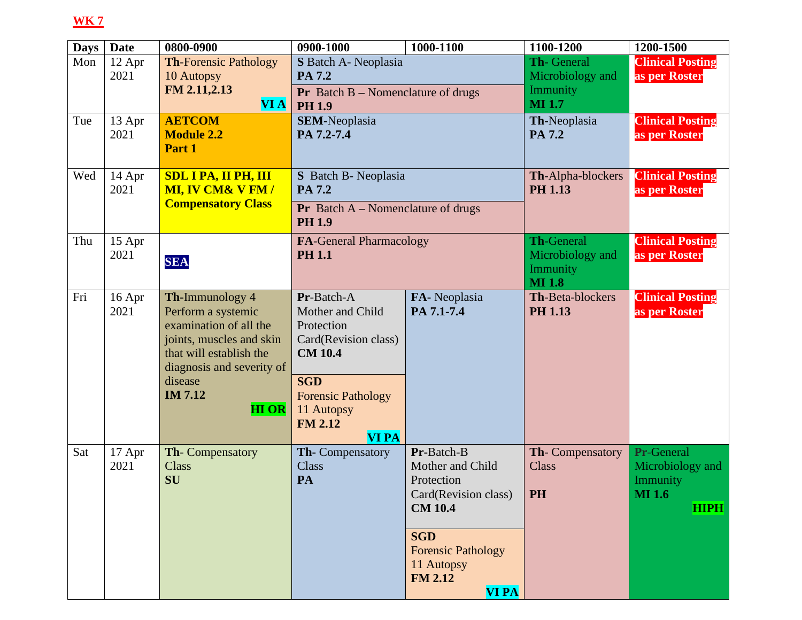| <b>Days</b> | <b>Date</b>    | 0800-0900                                                                                                                                           | 0900-1000                                                                                      | 1000-1100                                                                                                                                                                         | 1100-1200                                                   | 1200-1500                                                                  |
|-------------|----------------|-----------------------------------------------------------------------------------------------------------------------------------------------------|------------------------------------------------------------------------------------------------|-----------------------------------------------------------------------------------------------------------------------------------------------------------------------------------|-------------------------------------------------------------|----------------------------------------------------------------------------|
| Mon         | 12 Apr<br>2021 | <b>Th-Forensic Pathology</b><br>10 Autopsy<br>FM 2.11,2.13                                                                                          | S Batch A- Neoplasia<br>PA 7.2<br><b>Pr</b> Batch $B$ – Nomenclature of drugs                  |                                                                                                                                                                                   | <b>Th-General</b><br>Microbiology and<br>Immunity           | <b>Clinical Posting</b><br>as per Roster                                   |
| Tue         | 13 Apr<br>2021 | <b>VI A</b><br><b>AETCOM</b><br><b>Module 2.2</b><br>Part 1                                                                                         | <b>PH 1.9</b><br><b>SEM-Neoplasia</b><br>PA 7.2-7.4                                            |                                                                                                                                                                                   | <b>MI</b> 1.7<br>Th-Neoplasia<br>PA 7.2                     | <b>Clinical Posting</b><br>as per Roster                                   |
| Wed         | 14 Apr<br>2021 | <b>SDL I PA, II PH, III</b><br><b>MI, IV CM&amp; V FM/</b><br><b>Compensatory Class</b>                                                             | S Batch B- Neoplasia<br>PA 7.2<br><b>Pr</b> Batch $A$ – Nomenclature of drugs<br><b>PH 1.9</b> |                                                                                                                                                                                   | Th-Alpha-blockers<br><b>PH 1.13</b>                         | <b>Clinical Posting</b><br>as per Roster                                   |
| Thu         | 15 Apr<br>2021 | <b>SEA</b>                                                                                                                                          | <b>FA-General Pharmacology</b><br><b>PH 1.1</b>                                                |                                                                                                                                                                                   | Th-General<br>Microbiology and<br>Immunity<br><b>MI</b> 1.8 | <b>Clinical Posting</b><br>as per Roster                                   |
| Fri         | 16 Apr<br>2021 | Th-Immunology 4<br>Perform a systemic<br>examination of all the<br>joints, muscles and skin<br>that will establish the<br>diagnosis and severity of | Pr-Batch-A<br>Mother and Child<br>Protection<br>Card(Revision class)<br><b>CM 10.4</b>         | FA-Neoplasia<br>PA 7.1-7.4                                                                                                                                                        | <b>Th-Beta-blockers</b><br><b>PH 1.13</b>                   | <b>Clinical Posting</b><br>as per Roster                                   |
|             |                | disease<br><b>IM 7.12</b><br><b>HI OR</b>                                                                                                           | <b>SGD</b><br><b>Forensic Pathology</b><br>11 Autopsy<br><b>FM 2.12</b><br><b>VI PA</b>        |                                                                                                                                                                                   |                                                             |                                                                            |
| Sat         | 17 Apr<br>2021 | Th-Compensatory<br><b>Class</b><br>SU                                                                                                               | Th-Compensatory<br>Class<br>PA                                                                 | Pr-Batch-B<br>Mother and Child<br>Protection<br>Card(Revision class)<br><b>CM 10.4</b><br><b>SGD</b><br><b>Forensic Pathology</b><br>11 Autopsy<br><b>FM 2.12</b><br><b>VI PA</b> | Th-Compensatory<br>Class<br>PH                              | Pr-General<br>Microbiology and<br>Immunity<br><b>MI</b> 1.6<br><b>HIPH</b> |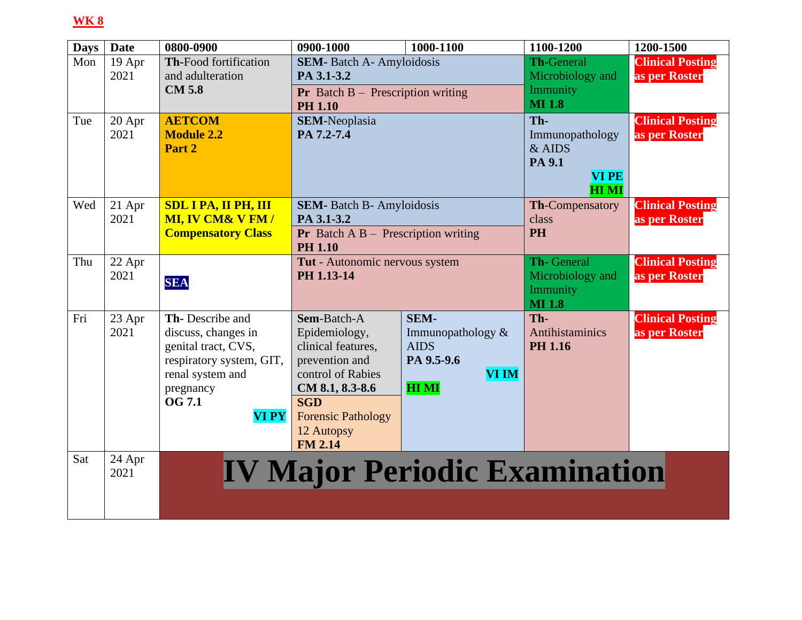| <b>Days</b> | <b>Date</b> | 0800-0900                    | 0900-1000                                              | 1000-1100                            | 1100-1200                   | 1200-1500               |
|-------------|-------------|------------------------------|--------------------------------------------------------|--------------------------------------|-----------------------------|-------------------------|
| Mon         | 19 Apr      | <b>Th-Food fortification</b> | <b>SEM-</b> Batch A- Amyloidosis                       |                                      | <b>Th-General</b>           | <b>Clinical Posting</b> |
|             | 2021        | and adulteration             | PA 3.1-3.2                                             |                                      | Microbiology and            | as per Roster           |
|             |             | <b>CM 5.8</b>                | <b>Pr</b> Batch $B -$ Prescription writing             |                                      | Immunity<br><b>MI</b> 1.8   |                         |
|             |             |                              | <b>PH 1.10</b>                                         |                                      |                             |                         |
| Tue         | 20 Apr      | <b>AETCOM</b>                | <b>SEM-Neoplasia</b>                                   |                                      | Th-                         | <b>Clinical Posting</b> |
|             | 2021        | <b>Module 2.2</b>            | PA 7.2-7.4                                             |                                      | Immunopathology             | as per Roster           |
|             |             | Part 2                       |                                                        |                                      | $&$ AIDS                    |                         |
|             |             |                              |                                                        |                                      | PA 9.1                      |                         |
|             |             |                              |                                                        |                                      | <b>VI PE</b><br><b>HIMI</b> |                         |
| Wed         | 21 Apr      | <b>SDL I PA, II PH, III</b>  | <b>SEM-</b> Batch B- Amyloidosis                       |                                      | <b>Th-Compensatory</b>      | <b>Clinical Posting</b> |
|             | 2021        | <b>MI, IV CM&amp; V FM/</b>  | PA 3.1-3.2                                             |                                      | class                       | as per Roster           |
|             |             | <b>Compensatory Class</b>    | <b>Pr</b> Batch $\overline{AB}$ – Prescription writing |                                      | <b>PH</b>                   |                         |
|             |             |                              | <b>PH 1.10</b>                                         |                                      |                             |                         |
| Thu         | 22 Apr      |                              | Tut - Autonomic nervous system                         |                                      | Th-General                  | <b>Clinical Posting</b> |
|             | 2021        | <b>SEA</b>                   | PH 1.13-14                                             |                                      | Microbiology and            | as per Roster           |
|             |             |                              |                                                        |                                      | Immunity                    |                         |
|             |             |                              |                                                        |                                      | <b>MI</b> 1.8               |                         |
| Fri         | 23 Apr      | Th-Describe and              | Sem-Batch-A                                            | SEM-                                 | Th-                         | <b>Clinical Posting</b> |
|             | 2021        | discuss, changes in          | Epidemiology,                                          | Immunopathology &                    | <b>Antihistaminics</b>      | as per Roster           |
|             |             | genital tract, CVS,          | clinical features,                                     | <b>AIDS</b>                          | <b>PH 1.16</b>              |                         |
|             |             | respiratory system, GIT,     | prevention and                                         | PA 9.5-9.6                           |                             |                         |
|             |             | renal system and             | control of Rabies                                      | <b>VI IM</b><br><b>HIMI</b>          |                             |                         |
|             |             | pregnancy<br><b>OG 7.1</b>   | CM 8.1, 8.3-8.6<br><b>SGD</b>                          |                                      |                             |                         |
|             |             | <b>VI PY</b>                 | <b>Forensic Pathology</b>                              |                                      |                             |                         |
|             |             |                              | 12 Autopsy                                             |                                      |                             |                         |
|             |             |                              | <b>FM 2.14</b>                                         |                                      |                             |                         |
| Sat         | 24 Apr      |                              |                                                        |                                      |                             |                         |
|             | 2021        |                              |                                                        | <b>IV Major Periodic Examination</b> |                             |                         |
|             |             |                              |                                                        |                                      |                             |                         |
|             |             |                              |                                                        |                                      |                             |                         |
|             |             |                              |                                                        |                                      |                             |                         |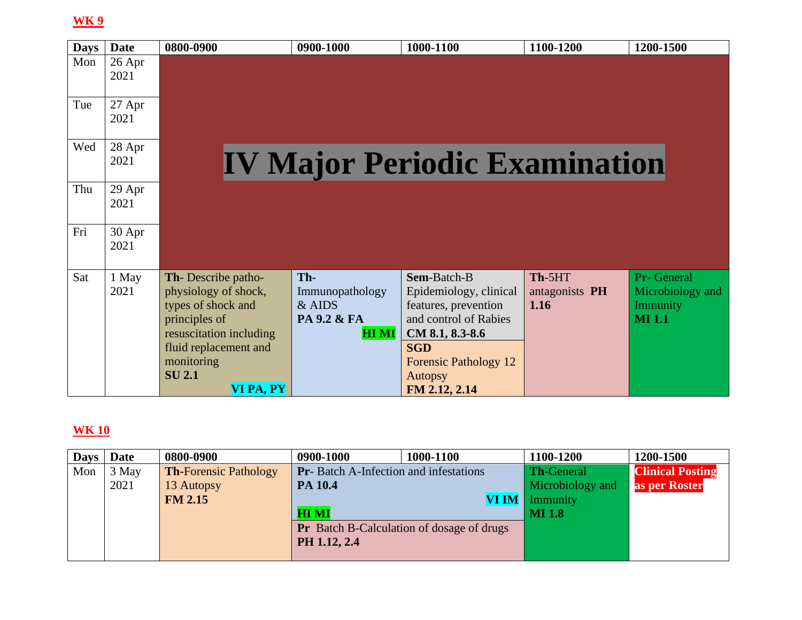| <b>Days</b> | <b>Date</b>      | 0800-0900                                                                                                                                                                         | 0900-1000                                                       | 1000-1100                                                                                                                                                                                  | 1100-1200                        | 1200-1500                                                           |
|-------------|------------------|-----------------------------------------------------------------------------------------------------------------------------------------------------------------------------------|-----------------------------------------------------------------|--------------------------------------------------------------------------------------------------------------------------------------------------------------------------------------------|----------------------------------|---------------------------------------------------------------------|
| Mon         | $26$ Apr<br>2021 |                                                                                                                                                                                   |                                                                 |                                                                                                                                                                                            |                                  |                                                                     |
| Tue         | 27 Apr<br>2021   |                                                                                                                                                                                   |                                                                 |                                                                                                                                                                                            |                                  |                                                                     |
| Wed         | 28 Apr<br>2021   |                                                                                                                                                                                   |                                                                 | <b>IV Major Periodic Examination</b>                                                                                                                                                       |                                  |                                                                     |
| Thu         | 29 Apr<br>2021   |                                                                                                                                                                                   |                                                                 |                                                                                                                                                                                            |                                  |                                                                     |
| Fri         | 30 Apr<br>2021   |                                                                                                                                                                                   |                                                                 |                                                                                                                                                                                            |                                  |                                                                     |
| Sat         | 1 May<br>2021    | Th-Describe patho-<br>physiology of shock,<br>types of shock and<br>principles of<br>resuscitation including<br>fluid replacement and<br>monitoring<br><b>SU 2.1</b><br>VI PA, PY | Th-<br>Immunopathology<br>& AIDS<br>PA 9.2 & FA<br><b>HI MI</b> | Sem-Batch-B<br>Epidemiology, clinical<br>features, prevention<br>and control of Rabies<br>CM 8.1, 8.3-8.6<br><b>SGD</b><br><b>Forensic Pathology 12</b><br><b>Autopsy</b><br>FM 2.12, 2.14 | Th-5HT<br>antagonists PH<br>1.16 | <b>Pr-</b> General<br>Microbiology and<br>Immunity<br><b>MI</b> 1.1 |

| <b>Days</b> | <b>Date</b> | 0800-0900                    | 0900-1000                                     | 1000-1100                                        | 1100-1200             | 1200-1500               |
|-------------|-------------|------------------------------|-----------------------------------------------|--------------------------------------------------|-----------------------|-------------------------|
| Mon         | 3 May       | <b>Th-Forensic Pathology</b> | <b>Pr</b> -Batch A-Infection and infestations |                                                  | Th-General            | <b>Clinical Posting</b> |
|             | 2021        | 13 Autopsy                   | PA 10.4                                       |                                                  | Microbiology and      | as per Roster           |
|             |             | <b>FM 2.15</b>               |                                               |                                                  | <b>VI IM</b> Immunity |                         |
|             |             |                              | <b>HI MI</b>                                  |                                                  | <b>MI</b> 1.8         |                         |
|             |             |                              |                                               | <b>Pr</b> Batch B-Calculation of dosage of drugs |                       |                         |
|             |             |                              | PH 1.12, 2.4                                  |                                                  |                       |                         |
|             |             |                              |                                               |                                                  |                       |                         |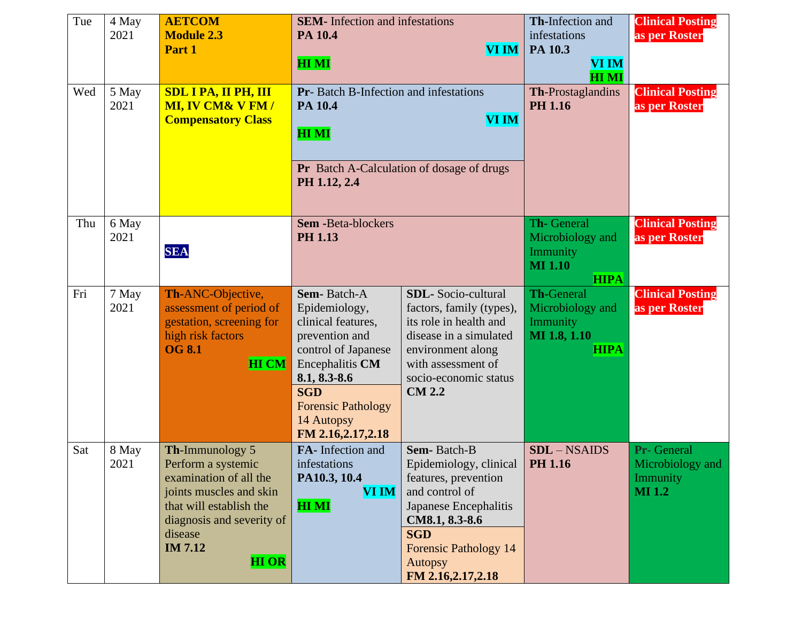| Tue | 4 May<br>2021 | <b>AETCOM</b><br><b>Module 2.3</b><br>Part 1                                                                                                                                                    | <b>SEM-</b> Infection and infestations<br>PA 10.4<br>VI IM<br><b>HIMI</b>                                                                                                                                    |                                                                                                                                                                                                                 | Th-Infection and<br>infestations<br>PA 10.3<br><b>VI IM</b><br><b>HIMI</b>       | <b>Clinical Posting</b><br>as per Roster                     |
|-----|---------------|-------------------------------------------------------------------------------------------------------------------------------------------------------------------------------------------------|--------------------------------------------------------------------------------------------------------------------------------------------------------------------------------------------------------------|-----------------------------------------------------------------------------------------------------------------------------------------------------------------------------------------------------------------|----------------------------------------------------------------------------------|--------------------------------------------------------------|
| Wed | 5 May<br>2021 | <b>SDL I PA, II PH, III</b><br><b>MI, IV CM&amp; V FM/</b><br><b>Compensatory Class</b>                                                                                                         | Pr- Batch B-Infection and infestations<br>PA 10.4<br><b>VI IM</b><br><b>HIMI</b><br><b>Pr</b> Batch A-Calculation of dosage of drugs<br>PH 1.12, 2.4                                                         |                                                                                                                                                                                                                 | Th-Prostaglandins<br><b>PH 1.16</b>                                              | <b>Clinical Posting</b><br>as per Roster                     |
| Thu | 6 May<br>2021 | <b>SEA</b>                                                                                                                                                                                      | <b>Sem -Beta-blockers</b><br><b>PH 1.13</b>                                                                                                                                                                  |                                                                                                                                                                                                                 | Th-General<br>Microbiology and<br>Immunity<br><b>MI</b> 1.10<br><b>HIPA</b>      | <b>Clinical Posting</b><br>as per Roster                     |
| Fri | 7 May<br>2021 | Th-ANC-Objective,<br>assessment of period of<br>gestation, screening for<br>high risk factors<br><b>OG 8.1</b><br><b>HI CM</b>                                                                  | Sem-Batch-A<br>Epidemiology,<br>clinical features,<br>prevention and<br>control of Japanese<br>Encephalitis CM<br>8.1, 8.3-8.6<br><b>SGD</b><br><b>Forensic Pathology</b><br>14 Autopsy<br>FM 2.16,2.17,2.18 | <b>SDL-</b> Socio-cultural<br>factors, family (types),<br>its role in health and<br>disease in a simulated<br>environment along<br>with assessment of<br>socio-economic status<br><b>CM 2.2</b>                 | <b>Th-General</b><br>Microbiology and<br>Immunity<br>MI 1.8, 1.10<br><b>HIPA</b> | <b>Clinical Posting</b><br>as per Roster                     |
| Sat | 8 May<br>2021 | Th-Immunology 5<br>Perform a systemic<br>examination of all the<br>joints muscles and skin<br>that will establish the<br>diagnosis and severity of<br>disease<br><b>IM 7.12</b><br><b>HI OR</b> | FA-Infection and<br>infestations<br>PA10.3, 10.4<br><b>VI IM</b><br><b>HIMI</b>                                                                                                                              | Sem-Batch-B<br>Epidemiology, clinical<br>features, prevention<br>and control of<br>Japanese Encephalitis<br>CM8.1, 8.3-8.6<br><b>SGD</b><br><b>Forensic Pathology 14</b><br><b>Autopsy</b><br>FM 2.16,2.17,2.18 | <b>SDL</b> - NSAIDS<br><b>PH 1.16</b>                                            | Pr- General<br>Microbiology and<br>Immunity<br><b>MI</b> 1.2 |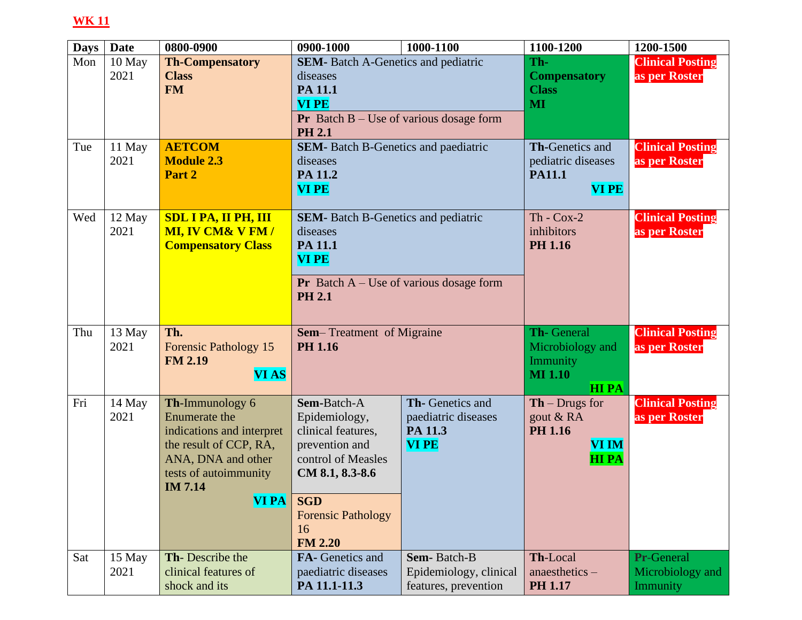| <b>Days</b> | <b>Date</b> | 0800-0900                   | 0900-1000                                                         | 1000-1100              | 1100-1200                                | 1200-1500               |
|-------------|-------------|-----------------------------|-------------------------------------------------------------------|------------------------|------------------------------------------|-------------------------|
| Mon         | 10 May      | <b>Th-Compensatory</b>      | <b>SEM-</b> Batch A-Genetics and pediatric                        |                        | Th-                                      | <b>Clinical Posting</b> |
|             | 2021        | <b>Class</b>                | diseases                                                          |                        | <b>Compensatory</b>                      | as per Roster           |
|             |             | <b>FM</b>                   | PA 11.1                                                           |                        | <b>Class</b>                             |                         |
|             |             |                             | <b>VI PE</b>                                                      |                        | MI                                       |                         |
|             |             |                             | <b>Pr</b> Batch $B - Use$ of various dosage form<br><b>PH 2.1</b> |                        |                                          |                         |
| Tue         | 11 May      | <b>AETCOM</b>               | <b>SEM-</b> Batch B-Genetics and paediatric                       |                        | <b>Th-Genetics and</b>                   | <b>Clinical Posting</b> |
|             | 2021        | <b>Module 2.3</b>           | diseases                                                          |                        | pediatric diseases                       | as per Roster           |
|             |             | Part 2                      | PA 11.2                                                           |                        | <b>PA11.1</b>                            |                         |
|             |             |                             | <b>VI PE</b>                                                      |                        | <b>VIPE</b>                              |                         |
| Wed         | 12 May      | <b>SDL I PA, II PH, III</b> | <b>SEM-</b> Batch B-Genetics and pediatric                        |                        | $Th - Cox-2$                             | <b>Clinical Posting</b> |
|             | 2021        | <b>MI, IV CM&amp; V FM/</b> | diseases                                                          |                        | inhibitors                               | as per Roster           |
|             |             | <b>Compensatory Class</b>   | PA 11.1                                                           |                        | <b>PH 1.16</b>                           |                         |
|             |             |                             | <b>VI PE</b>                                                      |                        |                                          |                         |
|             |             |                             | <b>Pr</b> Batch $A - Use$ of various dosage form                  |                        |                                          |                         |
|             |             |                             | <b>PH 2.1</b>                                                     |                        |                                          |                         |
|             |             |                             |                                                                   |                        |                                          |                         |
| Thu         | 13 May      | Th.                         | <b>Sem-Treatment of Migraine</b>                                  |                        | Th-General                               | <b>Clinical Posting</b> |
|             | 2021        | Forensic Pathology 15       | <b>PH 1.16</b>                                                    |                        | Microbiology and                         | as per Roster           |
|             |             | <b>FM 2.19</b>              |                                                                   |                        | Immunity                                 |                         |
|             |             | <b>VIAS</b>                 |                                                                   |                        | <b>MI 1.10</b>                           |                         |
| Fri         | 14 May      | Th-Immunology 6             | Sem-Batch-A                                                       | Th- Genetics and       | <b>HIPA</b><br>$\mathbf{Th}$ – Drugs for | <b>Clinical Posting</b> |
|             | 2021        | <b>Enumerate the</b>        | Epidemiology,                                                     | paediatric diseases    | gout & RA                                | as per Roster           |
|             |             | indications and interpret   | clinical features,                                                | PA 11.3                | <b>PH 1.16</b>                           |                         |
|             |             | the result of CCP, RA,      | prevention and                                                    | <b>VI PE</b>           | <b>VI IM</b>                             |                         |
|             |             | ANA, DNA and other          | control of Measles                                                |                        | <b>HIPA</b>                              |                         |
|             |             | tests of autoimmunity       | CM 8.1, 8.3-8.6                                                   |                        |                                          |                         |
|             |             | <b>IM 7.14</b>              |                                                                   |                        |                                          |                         |
|             |             | <b>VI PA</b>                | <b>SGD</b>                                                        |                        |                                          |                         |
|             |             |                             | <b>Forensic Pathology</b>                                         |                        |                                          |                         |
|             |             |                             | 16                                                                |                        |                                          |                         |
|             |             |                             | <b>FM 2.20</b>                                                    |                        |                                          |                         |
| Sat         | 15 May      | Th-Describe the             | FA- Genetics and                                                  | Sem-Batch-B            | Th-Local                                 | Pr-General              |
|             | 2021        | clinical features of        | paediatric diseases                                               | Epidemiology, clinical | $anaesthetics -$                         | Microbiology and        |
|             |             | shock and its               | PA 11.1-11.3                                                      | features, prevention   | <b>PH 1.17</b>                           | Immunity                |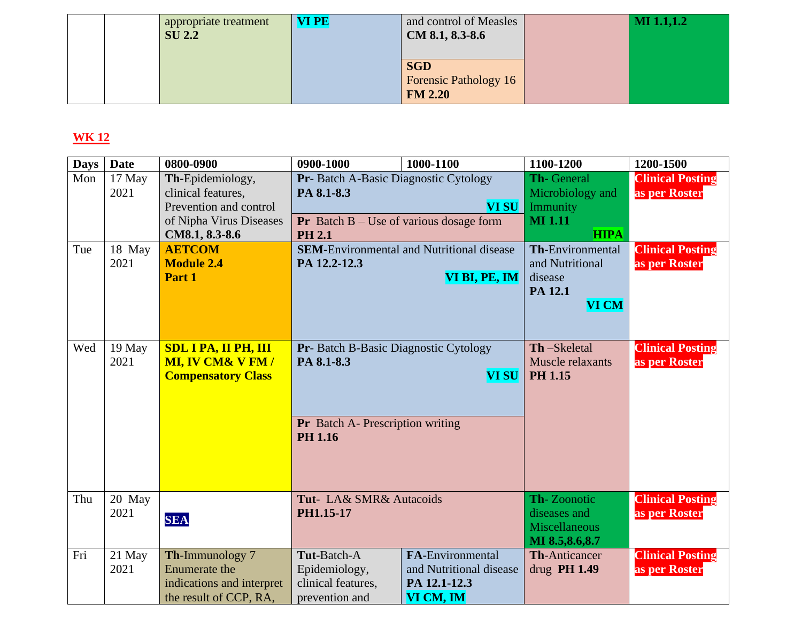|  | appropriate treatment<br><b>SU 2.2</b> | <b>VI PE</b> | and control of Measles<br>$CM 8.1, 8.3-8.6$           | <b>MI 1.1,1.2</b> |
|--|----------------------------------------|--------------|-------------------------------------------------------|-------------------|
|  |                                        |              | <b>SGD</b><br><b>Forensic Pathology 16</b><br>FM 2.20 |                   |

| <b>Days</b> | <b>Date</b>    | 0800-0900                          | 0900-1000                                        | 1000-1100                                        | 1100-1200                              | 1200-1500                                |
|-------------|----------------|------------------------------------|--------------------------------------------------|--------------------------------------------------|----------------------------------------|------------------------------------------|
| Mon         | 17 May         | Th-Epidemiology,                   | Pr- Batch A-Basic Diagnostic Cytology            |                                                  | Th-General                             | <b>Clinical Posting</b>                  |
|             | 2021           | clinical features,                 | PA 8.1-8.3                                       |                                                  | Microbiology and                       | as per Roster                            |
|             |                | Prevention and control             |                                                  | <b>VI SU</b>                                     | Immunity                               |                                          |
|             |                | of Nipha Virus Diseases            | <b>Pr</b> Batch $B - Use$ of various dosage form |                                                  | <b>MI</b> 1.11                         |                                          |
|             |                | CM8.1, 8.3-8.6                     | <b>PH 2.1</b>                                    | <b>SEM-Environmental and Nutritional disease</b> | <b>HIPA</b><br><b>Th-Environmental</b> |                                          |
| Tue         | 18 May<br>2021 | <b>AETCOM</b><br><b>Module 2.4</b> | PA 12.2-12.3                                     |                                                  | and Nutritional                        | <b>Clinical Posting</b><br>as per Roster |
|             |                | Part 1                             |                                                  | VI BI, PE, IM                                    | disease                                |                                          |
|             |                |                                    |                                                  |                                                  | PA 12.1                                |                                          |
|             |                |                                    |                                                  |                                                  | <b>VI CM</b>                           |                                          |
|             |                |                                    |                                                  |                                                  |                                        |                                          |
|             |                |                                    |                                                  |                                                  |                                        |                                          |
| Wed         | 19 May         | <b>SDL I PA, II PH, III</b>        | Pr- Batch B-Basic Diagnostic Cytology            |                                                  | Th-Skeletal                            | <b>Clinical Posting</b>                  |
|             | 2021           | <b>MI, IV CM&amp; V FM/</b>        | PA 8.1-8.3                                       |                                                  | Muscle relaxants                       | as per Roster                            |
|             |                | <b>Compensatory Class</b>          |                                                  | <b>VI SU</b>                                     | <b>PH 1.15</b>                         |                                          |
|             |                |                                    |                                                  |                                                  |                                        |                                          |
|             |                |                                    |                                                  |                                                  |                                        |                                          |
|             |                |                                    | <b>Pr</b> Batch A- Prescription writing          |                                                  |                                        |                                          |
|             |                |                                    | <b>PH 1.16</b>                                   |                                                  |                                        |                                          |
|             |                |                                    |                                                  |                                                  |                                        |                                          |
|             |                |                                    |                                                  |                                                  |                                        |                                          |
|             |                |                                    |                                                  |                                                  |                                        |                                          |
| Thu         | 20 May<br>2021 |                                    | Tut- LA& SMR& Autacoids                          |                                                  | Th-Zoonotic<br>diseases and            | <b>Clinical Posting</b>                  |
|             |                | <b>SEA</b>                         | PH1.15-17                                        |                                                  | <b>Miscellaneous</b>                   | as per Roster                            |
|             |                |                                    |                                                  |                                                  | MI 8.5,8.6,8.7                         |                                          |
| Fri         | 21 May         | Th-Immunology 7                    | Tut-Batch-A                                      | <b>FA-Environmental</b>                          | <b>Th-Anticancer</b>                   | <b>Clinical Posting</b>                  |
|             | 2021           | <b>Enumerate the</b>               | Epidemiology,                                    | and Nutritional disease                          | drug $PH 1.49$                         | as per Roster                            |
|             |                | indications and interpret          | clinical features,                               | PA 12.1-12.3                                     |                                        |                                          |
|             |                | the result of CCP, RA,             | prevention and                                   | VI CM, IM                                        |                                        |                                          |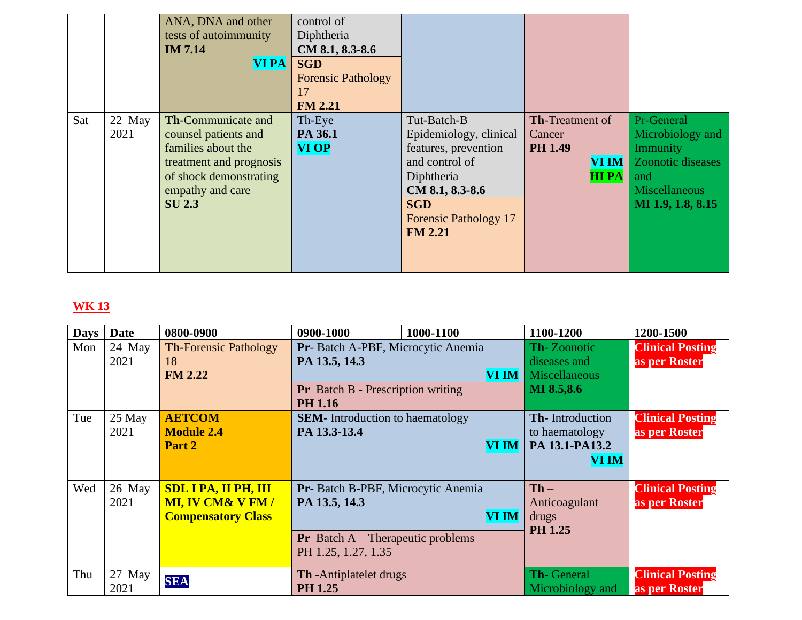|     |                | ANA, DNA and other<br>tests of autoimmunity<br><b>IM 7.14</b><br><b>VI PA</b>                                                                                     | control of<br>Diphtheria<br>CM 8.1, 8.3-8.6<br><b>SGD</b><br><b>Forensic Pathology</b><br>17<br><b>FM 2.21</b> |                                                                                                                                                                                  |                                                                                   |                                                                                                                            |
|-----|----------------|-------------------------------------------------------------------------------------------------------------------------------------------------------------------|----------------------------------------------------------------------------------------------------------------|----------------------------------------------------------------------------------------------------------------------------------------------------------------------------------|-----------------------------------------------------------------------------------|----------------------------------------------------------------------------------------------------------------------------|
| Sat | 22 May<br>2021 | <b>Th-Communicate and</b><br>counsel patients and<br>families about the<br>treatment and prognosis<br>of shock demonstrating<br>empathy and care<br><b>SU 2.3</b> | Th-Eye<br>PA 36.1<br><b>VI OP</b>                                                                              | Tut-Batch-B<br>Epidemiology, clinical<br>features, prevention<br>and control of<br>Diphtheria<br>CM 8.1, 8.3-8.6<br><b>SGD</b><br><b>Forensic Pathology 17</b><br><b>FM 2.21</b> | <b>Th-Treatment of</b><br>Cancer<br><b>PH 1.49</b><br><b>VI IM</b><br><b>HIPA</b> | Pr-General<br>Microbiology and<br>Immunity<br><b>Zoonotic diseases</b><br>and<br><b>Miscellaneous</b><br>MI 1.9, 1.8, 8.15 |

| <b>Days</b> | <b>Date</b>    | 0800-0900                                                                               | 0900-1000                                                                                                                | 1000-1100    | 1100-1200                                                                | 1200-1500                                |
|-------------|----------------|-----------------------------------------------------------------------------------------|--------------------------------------------------------------------------------------------------------------------------|--------------|--------------------------------------------------------------------------|------------------------------------------|
| Mon         | 24 May<br>2021 | <b>Th-Forensic Pathology</b><br>18<br><b>FM 2.22</b>                                    | Pr- Batch A-PBF, Microcytic Anemia<br>PA 13.5, 14.3<br><b>Pr</b> Batch B - Prescription writing                          | VI IM        | <b>Th-Zoonotic</b><br>diseases and<br><b>Miscellaneous</b><br>MI 8.5,8.6 | <b>Clinical Posting</b><br>as per Roster |
|             |                |                                                                                         | <b>PH 1.16</b>                                                                                                           |              |                                                                          |                                          |
| Tue         | 25 May<br>2021 | <b>AETCOM</b><br><b>Module 2.4</b><br>Part 2                                            | <b>SEM-</b> Introduction to haematology<br>PA 13.3-13.4                                                                  | <b>VI IM</b> | <b>Th-Introduction</b><br>to haematology<br>PA 13.1-PA13.2<br>VI IM      | <b>Clinical Posting</b><br>as per Roster |
| Wed         | 26 May<br>2021 | <b>SDL I PA, II PH, III</b><br><b>MI, IV CM&amp; V FM/</b><br><b>Compensatory Class</b> | Pr- Batch B-PBF, Microcytic Anemia<br>PA 13.5, 14.3<br><b>Pr</b> Batch $A$ – Therapeutic problems<br>PH 1.25, 1.27, 1.35 | <b>VI IM</b> | $Th -$<br>Anticoagulant<br>drugs<br><b>PH 1.25</b>                       | <b>Clinical Posting</b><br>as per Roster |
| Thu         | 27 May<br>2021 | <b>SEA</b>                                                                              | <b>Th</b> - Antiplatelet drugs<br><b>PH 1.25</b>                                                                         |              | Th-General<br>Microbiology and                                           | <b>Clinical Posting</b><br>as per Roster |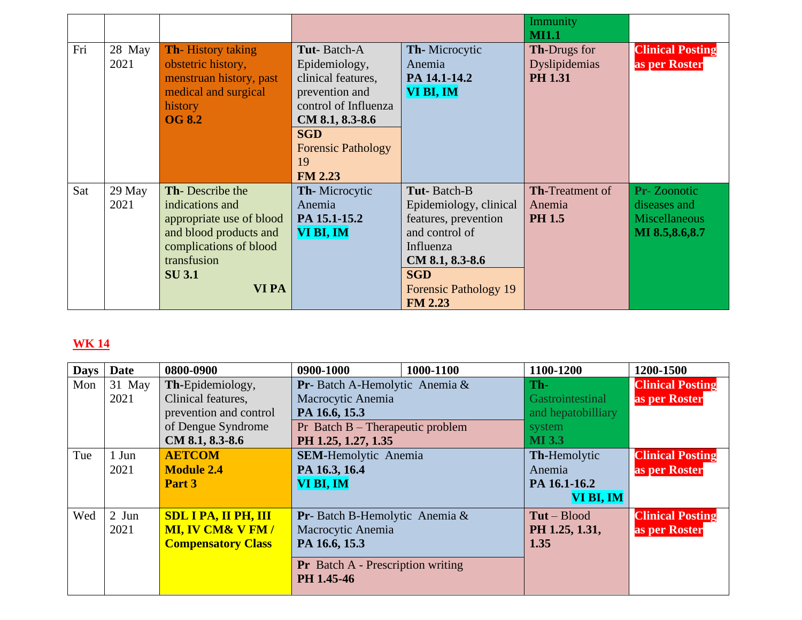|     |                |                                                                                                                                                            |                                                                                                                                                                                    |                                                                                                                                                                                 | Immunity<br><b>MI1.1</b>                               |                                                                              |
|-----|----------------|------------------------------------------------------------------------------------------------------------------------------------------------------------|------------------------------------------------------------------------------------------------------------------------------------------------------------------------------------|---------------------------------------------------------------------------------------------------------------------------------------------------------------------------------|--------------------------------------------------------|------------------------------------------------------------------------------|
| Fri | 28 May<br>2021 | <b>Th</b> -History taking<br>obstetric history,<br>menstruan history, past<br>medical and surgical<br>history<br><b>OG 8.2</b>                             | Tut-Batch-A<br>Epidemiology,<br>clinical features,<br>prevention and<br>control of Influenza<br>CM 8.1, 8.3-8.6<br><b>SGD</b><br><b>Forensic Pathology</b><br>19<br><b>FM 2.23</b> | <b>Th-Microcytic</b><br>Anemia<br>PA 14.1-14.2<br>VI BI, IM                                                                                                                     | <b>Th-Drugs for</b><br>Dyslipidemias<br><b>PH 1.31</b> | <b>Clinical Posting</b><br>as per Roster                                     |
| Sat | 29 May<br>2021 | Th-Describe the<br>indications and<br>appropriate use of blood<br>and blood products and<br>complications of blood<br>transfusion<br><b>SU3.1</b><br>VI PA | <b>Th-Microcytic</b><br>Anemia<br>PA 15.1-15.2<br>VI BI, IM                                                                                                                        | Tut-Batch-B<br>Epidemiology, clinical<br>features, prevention<br>and control of<br>Influenza<br>CM 8.1, 8.3-8.6<br><b>SGD</b><br><b>Forensic Pathology 19</b><br><b>FM 2.23</b> | <b>Th-Treatment of</b><br>Anemia<br><b>PH 1.5</b>      | <b>Pr-Zoonotic</b><br>diseases and<br><b>Miscellaneous</b><br>MI 8.5,8.6,8.7 |

| <b>Days</b> | <b>Date</b> | 0800-0900                   | 0900-1000                                              | 1000-1100 | 1100-1200          | 1200-1500               |
|-------------|-------------|-----------------------------|--------------------------------------------------------|-----------|--------------------|-------------------------|
| Mon         | 31 May      | Th-Epidemiology,            | <b>Pr</b> -Batch A-Hemolytic Anemia $\&$               |           | Th-                | <b>Clinical Posting</b> |
|             | 2021        | Clinical features,          | Macrocytic Anemia                                      |           | Gastrointestinal   | as per Roster           |
|             |             | prevention and control      | PA 16.6, 15.3                                          |           | and hepatobilliary |                         |
|             |             | of Dengue Syndrome          | Pr Batch $B$ – Therapeutic problem                     |           | system             |                         |
|             |             | CM 8.1, 8.3-8.6             | PH 1.25, 1.27, 1.35                                    |           | <b>MI</b> 3.3      |                         |
| Tue         | 1 Jun       | <b>AETCOM</b>               | <b>SEM-Hemolytic Anemia</b>                            |           | Th-Hemolytic       | <b>Clinical Posting</b> |
|             | 2021        | <b>Module 2.4</b>           | PA 16.3, 16.4                                          |           | Anemia             | as per Roster           |
|             |             | Part 3                      | VI BI, IM                                              |           | PA 16.1-16.2       |                         |
|             |             |                             |                                                        |           | VI BI, IM          |                         |
| Wed         | $2$ Jun     | <b>SDL I PA, II PH, III</b> | <b>Pr</b> -Batch B-Hemolytic Anemia $\&$               |           | $Tut - Blood$      | <b>Clinical Posting</b> |
|             | 2021        | <b>MI, IV CM&amp; V FM/</b> | Macrocytic Anemia                                      |           | PH 1.25, 1.31,     | as per Roster           |
|             |             | <b>Compensatory Class</b>   | PA 16.6, 15.3                                          |           | 1.35               |                         |
|             |             |                             | <b>Pr</b> Batch A - Prescription writing<br>PH 1.45-46 |           |                    |                         |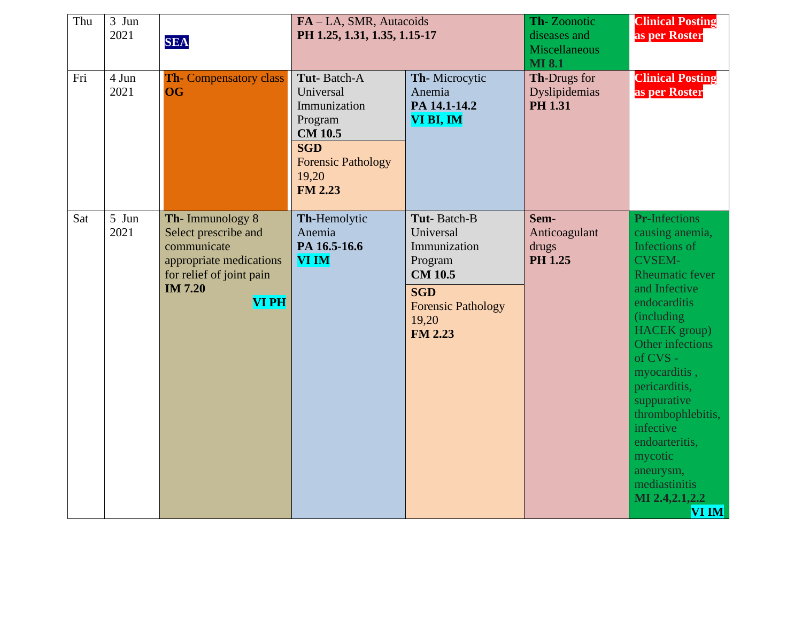| Thu | 3 Jun<br>2021 | <b>SEA</b>                                                                                                                                     | FA-LA, SMR, Autacoids<br>PH 1.25, 1.31, 1.35, 1.15-17                                                                                       |                                                                                                                                             | Th-Zoonotic<br>diseases and<br><b>Miscellaneous</b><br><b>MI 8.1</b> | <b>Clinical Posting</b><br>as per Roster                                                                                                                                                                                                                                                                                                                                               |
|-----|---------------|------------------------------------------------------------------------------------------------------------------------------------------------|---------------------------------------------------------------------------------------------------------------------------------------------|---------------------------------------------------------------------------------------------------------------------------------------------|----------------------------------------------------------------------|----------------------------------------------------------------------------------------------------------------------------------------------------------------------------------------------------------------------------------------------------------------------------------------------------------------------------------------------------------------------------------------|
| Fri | 4 Jun<br>2021 | <b>Th-Compensatory class</b><br><b>OG</b>                                                                                                      | Tut-Batch-A<br>Universal<br>Immunization<br>Program<br><b>CM 10.5</b><br><b>SGD</b><br><b>Forensic Pathology</b><br>19,20<br><b>FM 2.23</b> | Th-Microcytic<br>Anemia<br>PA 14.1-14.2<br>VI BI, IM                                                                                        | Th-Drugs for<br>Dyslipidemias<br><b>PH 1.31</b>                      | <b>Clinical Posting</b><br>as per Roster                                                                                                                                                                                                                                                                                                                                               |
| Sat | 5 Jun<br>2021 | Th-Immunology 8<br>Select prescribe and<br>communicate<br>appropriate medications<br>for relief of joint pain<br><b>IM 7.20</b><br><b>VIPH</b> | Th-Hemolytic<br>Anemia<br>PA 16.5-16.6<br><b>VI IM</b>                                                                                      | Tut-Batch-B<br>Universal<br>Immunization<br>Program<br><b>CM</b> 10.5<br><b>SGD</b><br><b>Forensic Pathology</b><br>19,20<br><b>FM 2.23</b> | Sem-<br>Anticoagulant<br>drugs<br><b>PH 1.25</b>                     | <b>Pr-Infections</b><br>causing anemia,<br>Infections of<br><b>CVSEM-</b><br>Rheumatic fever<br>and Infective<br>endocarditis<br>(including)<br><b>HACEK</b> group)<br>Other infections<br>of $CVS -$<br>myocarditis,<br>pericarditis,<br>suppurative<br>thrombophlebitis,<br>infective<br>endoarteritis,<br>mycotic<br>aneurysm,<br>mediastinitis<br>MI 2.4, 2.1, 2.2<br><b>VI IM</b> |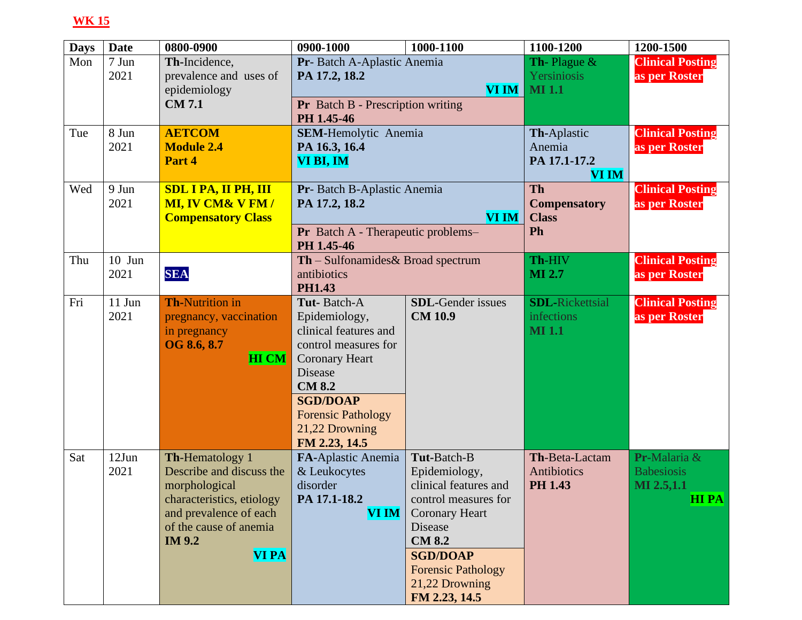| <b>Days</b> | <b>Date</b> | 0800-0900                   | 0900-1000                                | 1000-1100                 | 1100-1200                            | 1200-1500               |
|-------------|-------------|-----------------------------|------------------------------------------|---------------------------|--------------------------------------|-------------------------|
| Mon         | 7 Jun       | Th-Incidence,               | Pr- Batch A-Aplastic Anemia              |                           | <b>Th-Plague <math>\&amp;</math></b> | <b>Clinical Posting</b> |
|             | 2021        | prevalence and uses of      | PA 17.2, 18.2                            |                           | Yersiniosis                          | as per Roster           |
|             |             | epidemiology                |                                          | <b>VI IM</b>              | <b>MI</b> 1.1                        |                         |
|             |             | <b>CM7.1</b>                | <b>Pr</b> Batch B - Prescription writing |                           |                                      |                         |
|             |             |                             | PH 1.45-46                               |                           |                                      |                         |
| Tue         | 8 Jun       | <b>AETCOM</b>               | <b>SEM-Hemolytic Anemia</b>              |                           | Th-Aplastic                          | <b>Clinical Posting</b> |
|             | 2021        | <b>Module 2.4</b>           | PA 16.3, 16.4                            |                           | Anemia                               | as per Roster           |
|             |             | Part 4                      | VI BI, IM                                |                           | PA 17.1-17.2                         |                         |
|             |             |                             |                                          |                           | <b>VI IM</b>                         |                         |
| Wed         | 9 Jun       | <b>SDL I PA, II PH, III</b> | Pr-Batch B-Aplastic Anemia               |                           | <b>Th</b>                            | <b>Clinical Posting</b> |
|             | 2021        | <b>MI, IV CM&amp; V FM/</b> | PA 17.2, 18.2                            |                           | <b>Compensatory</b>                  | as per Roster           |
|             |             | <b>Compensatory Class</b>   |                                          | <b>VI IM</b>              | <b>Class</b>                         |                         |
|             |             |                             | Pr Batch A - Therapeutic problems-       |                           | Ph                                   |                         |
|             |             |                             | PH 1.45-46                               |                           |                                      |                         |
| Thu         | $10$ Jun    |                             | $Th$ – Sulfonamides & Broad spectrum     |                           | Th-HIV                               | <b>Clinical Posting</b> |
|             | 2021        | <b>SEA</b>                  | antibiotics                              |                           | <b>MI 2.7</b>                        | as per Roster           |
|             |             |                             | <b>PH1.43</b>                            |                           |                                      |                         |
| Fri         | 11 Jun      | <b>Th-Nutrition in</b>      | Tut-Batch-A                              | <b>SDL-Gender</b> issues  | <b>SDL-Rickettsial</b>               | <b>Clinical Posting</b> |
|             | 2021        | pregnancy, vaccination      | Epidemiology,                            | <b>CM 10.9</b>            | infections                           | as per Roster           |
|             |             | in pregnancy                | clinical features and                    |                           | <b>MI</b> 1.1                        |                         |
|             |             | OG 8.6, 8.7                 | control measures for                     |                           |                                      |                         |
|             |             | <b>HI CM</b>                | <b>Coronary Heart</b>                    |                           |                                      |                         |
|             |             |                             | Disease                                  |                           |                                      |                         |
|             |             |                             | <b>CM 8.2</b>                            |                           |                                      |                         |
|             |             |                             | <b>SGD/DOAP</b>                          |                           |                                      |                         |
|             |             |                             | <b>Forensic Pathology</b>                |                           |                                      |                         |
|             |             |                             | 21,22 Drowning                           |                           |                                      |                         |
|             |             |                             | FM 2.23, 14.5                            |                           |                                      |                         |
| Sat         | $12$ Jun    | Th-Hematology 1             | FA-Aplastic Anemia                       | Tut-Batch-B               | Th-Beta-Lactam                       | Pr-Malaria &            |
|             | 2021        | Describe and discuss the    | & Leukocytes                             | Epidemiology,             | <b>Antibiotics</b>                   | <b>Babesiosis</b>       |
|             |             | morphological               | disorder                                 | clinical features and     | <b>PH 1.43</b>                       | MI 2.5,1.1              |
|             |             | characteristics, etiology   | PA 17.1-18.2                             | control measures for      |                                      | <b>HIPA</b>             |
|             |             | and prevalence of each      | <b>VI IM</b>                             | <b>Coronary Heart</b>     |                                      |                         |
|             |             | of the cause of anemia      |                                          | Disease                   |                                      |                         |
|             |             | <b>IM 9.2</b>               |                                          | <b>CM 8.2</b>             |                                      |                         |
|             |             | <b>VI PA</b>                |                                          | <b>SGD/DOAP</b>           |                                      |                         |
|             |             |                             |                                          | <b>Forensic Pathology</b> |                                      |                         |
|             |             |                             |                                          | 21,22 Drowning            |                                      |                         |
|             |             |                             |                                          | FM 2.23, 14.5             |                                      |                         |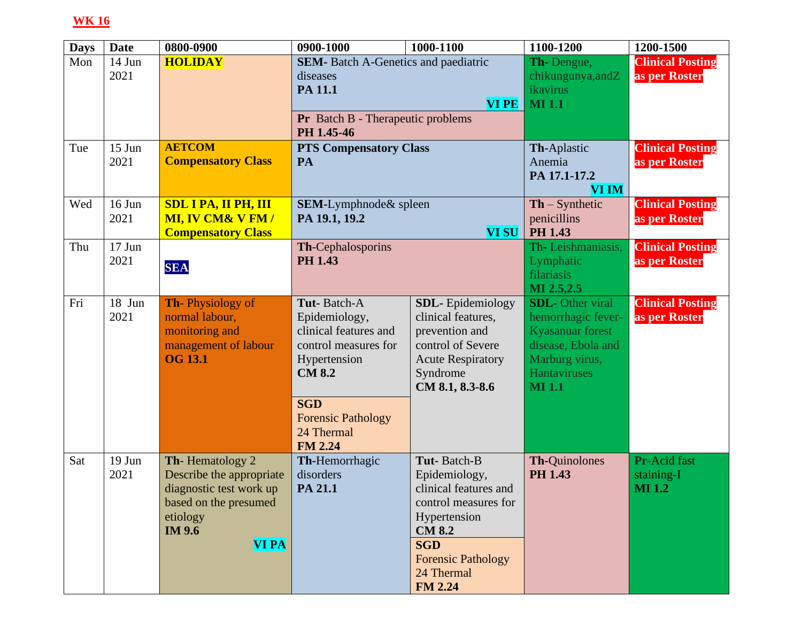| <b>Days</b> | <b>Date</b>         | 0800-0900                              | 0900-1000                                              | 1000-1100                            | 1100-1200                          | 1200-1500               |
|-------------|---------------------|----------------------------------------|--------------------------------------------------------|--------------------------------------|------------------------------------|-------------------------|
| Mon         | 14 Jun              | <b>HOLIDAY</b>                         | <b>SEM-</b> Batch A-Genetics and paediatric            |                                      | Th-Dengue,                         | <b>Clinical Posting</b> |
|             | 2021                |                                        | diseases                                               |                                      | chikungunya, and Z                 | as per Roster           |
|             |                     |                                        | PA 11.1                                                |                                      | <i>ikavirus</i>                    |                         |
|             |                     |                                        | <b>VI PE</b>                                           |                                      | <b>MI</b> 1.1                      |                         |
|             |                     |                                        | <b>Pr</b> Batch B - Therapeutic problems<br>PH 1.45-46 |                                      |                                    |                         |
| Tue         | $15$ Jun            | <b>AETCOM</b>                          | <b>PTS Compensatory Class</b>                          |                                      | Th-Aplastic                        | <b>Clinical Posting</b> |
|             | 2021                | <b>Compensatory Class</b>              | PA                                                     |                                      | Anemia                             | as per Roster           |
|             |                     |                                        |                                                        |                                      | PA 17.1-17.2                       |                         |
|             |                     |                                        |                                                        |                                      | <b>VI IM</b>                       |                         |
| Wed         | 16 Jun              | <b>SDL I PA, II PH, III</b>            | SEM-Lymphnode& spleen                                  |                                      | $\mathbf{Th} - \mathbf{Synthetic}$ | <b>Clinical Posting</b> |
|             | 2021                | <b>MI, IV CM&amp; V FM/</b>            | PA 19.1, 19.2                                          |                                      | penicillins                        | as per Roster           |
|             |                     | <b>Compensatory Class</b>              |                                                        | <b>VI SU</b>                         | <b>PH 1.43</b>                     |                         |
| Thu         | $17$ Jun            |                                        | Th-Cephalosporins                                      |                                      | Th-Leishmaniasis,                  | <b>Clinical Posting</b> |
|             | 2021                | <b>SEA</b>                             | <b>PH 1.43</b>                                         |                                      | Lymphatic                          | as per Roster           |
|             |                     |                                        |                                                        |                                      | filariasis                         |                         |
|             |                     |                                        |                                                        |                                      | MI 2.5,2.5                         |                         |
| Fri         | $\overline{18}$ Jun | <b>Th-Physiology of</b>                | Tut-Batch-A                                            | <b>SDL</b> -Epidemiology             | <b>SDL</b> -Other viral            | <b>Clinical Posting</b> |
|             | 2021                | normal labour,                         | Epidemiology,                                          | clinical features,                   | hemorrhagic fever-                 | as per Roster           |
|             |                     | monitoring and                         | clinical features and                                  | prevention and                       | Kyasanuar forest                   |                         |
|             |                     | management of labour<br><b>OG 13.1</b> | control measures for                                   | control of Severe                    | disease, Ebola and                 |                         |
|             |                     |                                        | Hypertension<br><b>CM 8.2</b>                          | <b>Acute Respiratory</b><br>Syndrome | Marburg virus,<br>Hantaviruses     |                         |
|             |                     |                                        |                                                        | CM 8.1, 8.3-8.6                      | <b>MI</b> 1.1                      |                         |
|             |                     |                                        |                                                        |                                      |                                    |                         |
|             |                     |                                        | <b>SGD</b>                                             |                                      |                                    |                         |
|             |                     |                                        | <b>Forensic Pathology</b>                              |                                      |                                    |                         |
|             |                     |                                        | 24 Thermal<br><b>FM 2.24</b>                           |                                      |                                    |                         |
| Sat         | $19$ Jun            | Th-Hematology 2                        | Th-Hemorrhagic                                         | Tut-Batch-B                          | Th-Quinolones                      | Pr-Acid fast            |
|             | 2021                | Describe the appropriate               | disorders                                              | Epidemiology,                        | <b>PH 1.43</b>                     | staining-I              |
|             |                     | diagnostic test work up                | PA 21.1                                                | clinical features and                |                                    | <b>MI</b> 1.2           |
|             |                     | based on the presumed                  |                                                        | control measures for                 |                                    |                         |
|             |                     | etiology                               |                                                        | Hypertension                         |                                    |                         |
|             |                     | <b>IM 9.6</b>                          |                                                        | <b>CM 8.2</b>                        |                                    |                         |
|             |                     | <b>VI PA</b>                           |                                                        | <b>SGD</b>                           |                                    |                         |
|             |                     |                                        |                                                        | <b>Forensic Pathology</b>            |                                    |                         |
|             |                     |                                        |                                                        | 24 Thermal                           |                                    |                         |
|             |                     |                                        |                                                        | <b>FM 2.24</b>                       |                                    |                         |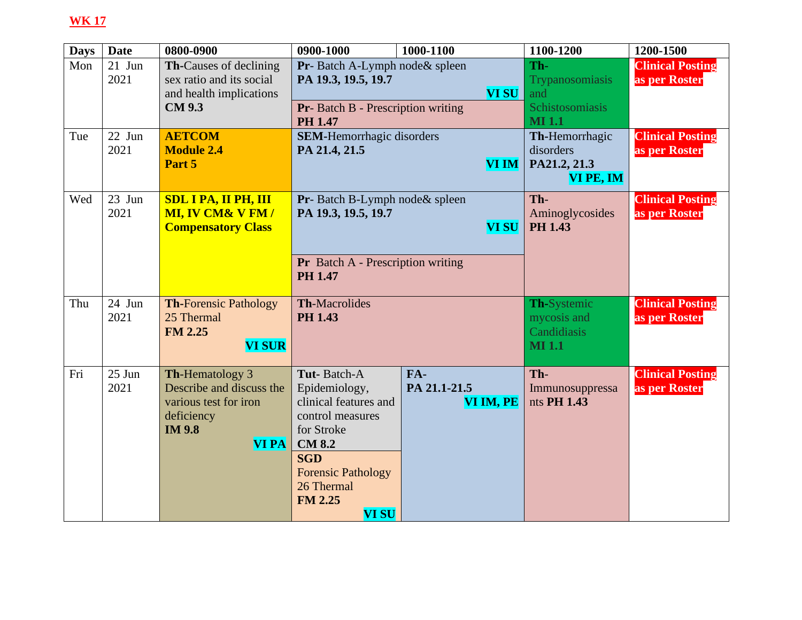| <b>Days</b> | <b>Date</b>      | 0800-0900                                                 | 0900-1000                                                   | 1000-1100    | 1100-1200                       | 1200-1500                                |
|-------------|------------------|-----------------------------------------------------------|-------------------------------------------------------------|--------------|---------------------------------|------------------------------------------|
| Mon         | $21$ Jun<br>2021 | <b>Th-Causes of declining</b><br>sex ratio and its social | Pr-Batch A-Lymph node & spleen<br>PA 19.3, 19.5, 19.7       |              | Th-<br>Trypanosomiasis          | <b>Clinical Posting</b><br>as per Roster |
|             |                  | and health implications                                   |                                                             | <b>VI SU</b> | and                             |                                          |
|             |                  | <b>CM 9.3</b>                                             | <b>Pr-</b> Batch B - Prescription writing<br><b>PH 1.47</b> |              | Schistosomiasis<br><b>MI1.1</b> |                                          |
| Tue         | $22$ Jun         | <b>AETCOM</b>                                             | <b>SEM-Hemorrhagic disorders</b>                            |              | Th-Hemorrhagic                  | <b>Clinical Posting</b>                  |
|             | 2021             | <b>Module 2.4</b>                                         | PA 21.4, 21.5                                               |              | disorders                       | as per Roster                            |
|             |                  | Part 5                                                    |                                                             | <b>VI IM</b> | PA21.2, 21.3                    |                                          |
|             |                  |                                                           |                                                             |              | VI PE, IM                       |                                          |
| Wed         | 23 Jun           | <b>SDL I PA, II PH, III</b>                               | <b>Pr</b> -Batch B-Lymph node & spleen                      |              | Th-                             | <b>Clinical Posting</b>                  |
|             | 2021             | <b>MI, IV CM&amp; V FM/</b>                               | PA 19.3, 19.5, 19.7                                         |              | Aminoglycosides                 | as per Roster                            |
|             |                  | <b>Compensatory Class</b>                                 |                                                             | <b>VI SU</b> | <b>PH 1.43</b>                  |                                          |
|             |                  |                                                           |                                                             |              |                                 |                                          |
|             |                  |                                                           | <b>Pr</b> Batch A - Prescription writing<br><b>PH 1.47</b>  |              |                                 |                                          |
|             |                  |                                                           |                                                             |              |                                 |                                          |
| Thu         | 24 Jun           | <b>Th-Forensic Pathology</b>                              | <b>Th-Macrolides</b>                                        |              | Th-Systemic                     | <b>Clinical Posting</b>                  |
|             | 2021             | 25 Thermal                                                | <b>PH 1.43</b>                                              |              | mycosis and<br>Candidiasis      | as per Roster                            |
|             |                  | <b>FM 2.25</b><br><b>VI SUR</b>                           |                                                             |              | <b>MI</b> 1.1                   |                                          |
|             |                  |                                                           |                                                             |              |                                 |                                          |
| Fri         | $25$ Jun         | Th-Hematology 3                                           | Tut-Batch-A                                                 | FA-          | Th-                             | <b>Clinical Posting</b>                  |
|             | 2021             | Describe and discuss the                                  | Epidemiology,                                               | PA 21.1-21.5 | Immunosuppressa                 | as per Roster                            |
|             |                  | various test for iron                                     | clinical features and                                       | VI IM, PE    | nts PH 1.43                     |                                          |
|             |                  | deficiency<br><b>IM 9.8</b>                               | control measures<br>for Stroke                              |              |                                 |                                          |
|             |                  | <b>VI PA</b>                                              | <b>CM 8.2</b>                                               |              |                                 |                                          |
|             |                  |                                                           | <b>SGD</b>                                                  |              |                                 |                                          |
|             |                  |                                                           | <b>Forensic Pathology</b>                                   |              |                                 |                                          |
|             |                  |                                                           | 26 Thermal                                                  |              |                                 |                                          |
|             |                  |                                                           | <b>FM 2.25</b>                                              |              |                                 |                                          |
|             |                  |                                                           | <b>VI SU</b>                                                |              |                                 |                                          |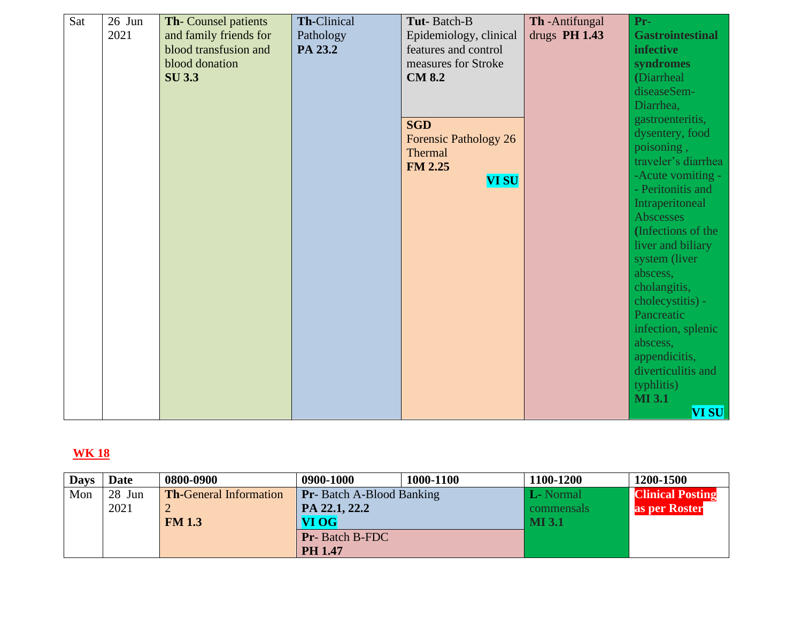| Sat | $26$ Jun | <b>Th-Counsel patients</b> | Th-Clinical | Tut-Batch-B                  | Th-Antifungal   | $Pr-$                   |
|-----|----------|----------------------------|-------------|------------------------------|-----------------|-------------------------|
|     | 2021     | and family friends for     | Pathology   | Epidemiology, clinical       | drugs $PH 1.43$ | <b>Gastrointestinal</b> |
|     |          | blood transfusion and      | PA 23.2     | features and control         |                 | <b>infective</b>        |
|     |          | blood donation             |             | measures for Stroke          |                 | syndromes               |
|     |          | <b>SU 3.3</b>              |             | <b>CM 8.2</b>                |                 | (Diarrheal              |
|     |          |                            |             |                              |                 | diseaseSem-             |
|     |          |                            |             |                              |                 | Diarrhea,               |
|     |          |                            |             | <b>SGD</b>                   |                 | gastroenteritis,        |
|     |          |                            |             | <b>Forensic Pathology 26</b> |                 | dysentery, food         |
|     |          |                            |             | Thermal                      |                 | poisoning,              |
|     |          |                            |             | <b>FM 2.25</b>               |                 | traveler's diarrhea     |
|     |          |                            |             | <b>VI SU</b>                 |                 | -Acute vomiting -       |
|     |          |                            |             |                              |                 | - Peritonitis and       |
|     |          |                            |             |                              |                 | Intraperitoneal         |
|     |          |                            |             |                              |                 | Abscesses               |
|     |          |                            |             |                              |                 | (Infections of the      |
|     |          |                            |             |                              |                 | liver and biliary       |
|     |          |                            |             |                              |                 | system (liver           |
|     |          |                            |             |                              |                 | abscess,                |
|     |          |                            |             |                              |                 | cholangitis,            |
|     |          |                            |             |                              |                 | cholecystitis) -        |
|     |          |                            |             |                              |                 | Pancreatic              |
|     |          |                            |             |                              |                 | infection, splenic      |
|     |          |                            |             |                              |                 | abscess,                |
|     |          |                            |             |                              |                 | appendicitis,           |
|     |          |                            |             |                              |                 | diverticulitis and      |
|     |          |                            |             |                              |                 | typhlitis)              |
|     |          |                            |             |                              |                 | <b>MI3.1</b>            |
|     |          |                            |             |                              |                 | <b>VI SU</b>            |

| <b>Days</b> | Date   | 0800-0900                     | 0900-1000                        | 1000-1100 | 1100-1200        | 1200-1500               |
|-------------|--------|-------------------------------|----------------------------------|-----------|------------------|-------------------------|
| Mon         | 28 Jun | <b>Th-General Information</b> | <b>Pr</b> -Batch A-Blood Banking |           | <b>L</b> -Normal | <b>Clinical Posting</b> |
|             | 2021   |                               | PA 22.1, 22.2                    |           | commensals       | as per Roster           |
|             |        | <b>FM 1.3</b>                 | VI OG                            |           | <b>MI3.1</b>     |                         |
|             |        |                               | <b>Pr-</b> Batch B-FDC           |           |                  |                         |
|             |        |                               | <b>PH 1.47</b>                   |           |                  |                         |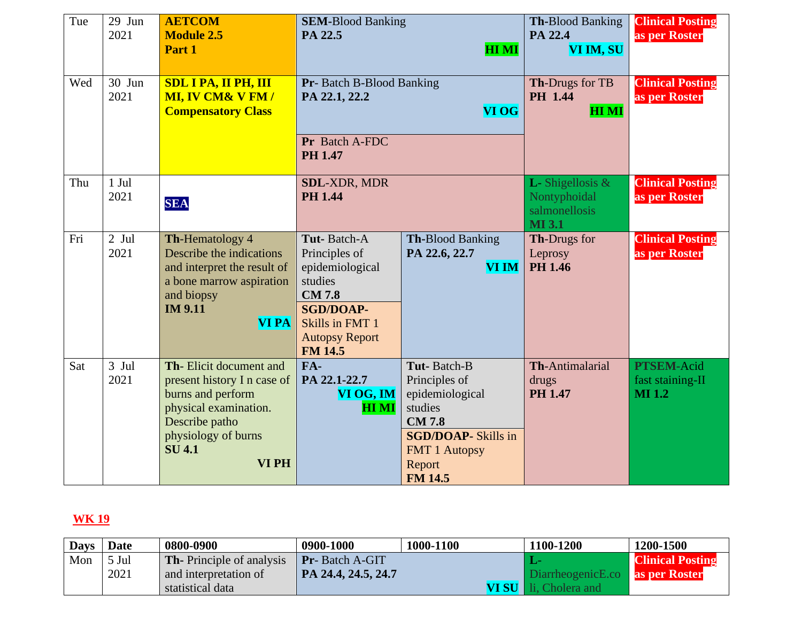| Tue | 29 Jun<br>2021  | <b>AETCOM</b><br><b>Module 2.5</b><br>Part 1                                                                                                                           | <b>SEM-Blood Banking</b><br>PA 22.5                                                                                                                          | <b>HIMI</b>                                                                                                                                                  | <b>Th-Blood Banking</b><br>PA 22.4<br>VI IM, SU                              | <b>Clinical Posting</b><br>as per Roster               |
|-----|-----------------|------------------------------------------------------------------------------------------------------------------------------------------------------------------------|--------------------------------------------------------------------------------------------------------------------------------------------------------------|--------------------------------------------------------------------------------------------------------------------------------------------------------------|------------------------------------------------------------------------------|--------------------------------------------------------|
| Wed | 30 Jun<br>2021  | <b>SDL I PA, II PH, III</b><br><b>MI, IV CM&amp; V FM/</b><br><b>Compensatory Class</b>                                                                                | <b>Pr-</b> Batch B-Blood Banking<br>PA 22.1, 22.2<br><b>VI OG</b><br>Pr Batch A-FDC<br><b>PH 1.47</b>                                                        |                                                                                                                                                              | Th-Drugs for TB<br><b>PH</b> 1.44<br><b>HIMI</b>                             | <b>Clinical Posting</b><br>as per Roster               |
| Thu | $1$ Jul<br>2021 | <b>SEA</b>                                                                                                                                                             | <b>SDL-XDR, MDR</b><br><b>PH 1.44</b>                                                                                                                        |                                                                                                                                                              | <b>L</b> -Shigellosis $\&$<br>Nontyphoidal<br>salmonellosis<br><b>MI</b> 3.1 | <b>Clinical Posting</b><br>as per Roster               |
| Fri | $2$ Jul<br>2021 | Th-Hematology 4<br>Describe the indications<br>and interpret the result of<br>a bone marrow aspiration<br>and biopsy<br><b>IM 9.11</b><br><b>VI PA</b>                 | Tut-Batch-A<br>Principles of<br>epidemiological<br>studies<br><b>CM7.8</b><br><b>SGD/DOAP-</b><br>Skills in FMT 1<br><b>Autopsy Report</b><br><b>FM 14.5</b> | <b>Th-Blood Banking</b><br>PA 22.6, 22.7<br><b>VI IM</b>                                                                                                     | Th-Drugs for<br>Leprosy<br><b>PH 1.46</b>                                    | <b>Clinical Posting</b><br>as per Roster               |
| Sat | $3$ Jul<br>2021 | Th-Elicit document and<br>present history I n case of<br>burns and perform<br>physical examination.<br>Describe patho<br>physiology of burns<br><b>SU 4.1</b><br>VI PH | FA-<br>PA 22.1-22.7<br>VI OG, IM<br><b>HIMI</b>                                                                                                              | Tut-Batch-B<br>Principles of<br>epidemiological<br>studies<br><b>CM 7.8</b><br><b>SGD/DOAP-Skills in</b><br><b>FMT 1 Autopsy</b><br>Report<br><b>FM 14.5</b> | Th-Antimalarial<br>drugs<br><b>PH 1.47</b>                                   | <b>PTSEM-Acid</b><br>fast staining-II<br><b>MI</b> 1.2 |

| <b>Days</b> | <b>Date</b> | 0800-0900                        | 0900-1000              | 1000-1100 | 1100-1200                              | 1200-1500               |
|-------------|-------------|----------------------------------|------------------------|-----------|----------------------------------------|-------------------------|
| Mon         | 5 Jul       | <b>Th-</b> Principle of analysis | <b>Pr</b> -Batch A-GIT |           |                                        | <b>Clinical Posting</b> |
|             | 2021        | and interpretation of            | PA 24.4, 24.5, 24.7    |           | DiarrheogenicE.co <b>as per Roster</b> |                         |
|             |             | statistical data                 |                        | VI SU N   | Cholera and                            |                         |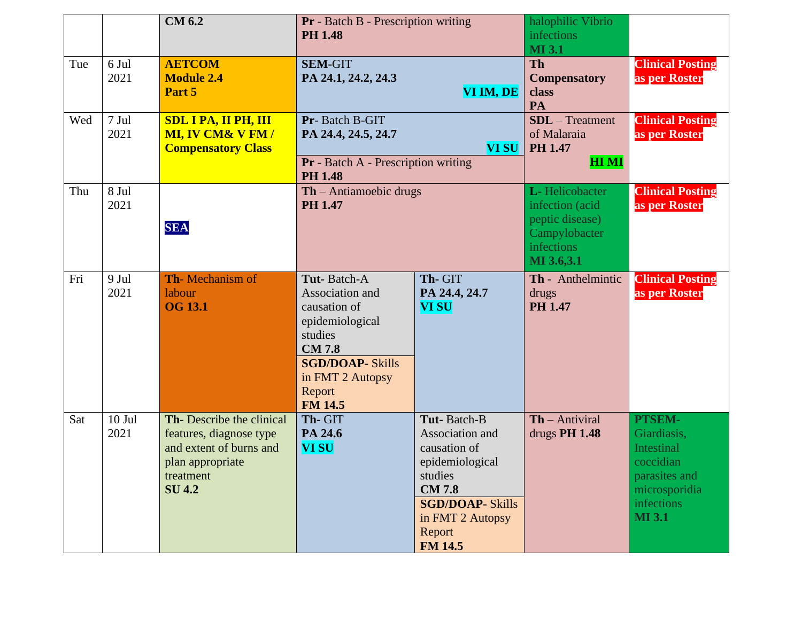|     |                  | <b>CM 6.2</b>                                                                                                                   | <b>Pr</b> - Batch B - Prescription writing<br><b>PH 1.48</b>                                                                                                            |                                                                                                                                                                         | halophilic Vibrio<br><i>infections</i><br><b>MI</b> 3.1                                           |                                                                                                                                 |
|-----|------------------|---------------------------------------------------------------------------------------------------------------------------------|-------------------------------------------------------------------------------------------------------------------------------------------------------------------------|-------------------------------------------------------------------------------------------------------------------------------------------------------------------------|---------------------------------------------------------------------------------------------------|---------------------------------------------------------------------------------------------------------------------------------|
| Tue | 6 Jul<br>2021    | <b>AETCOM</b><br><b>Module 2.4</b><br>Part 5                                                                                    | <b>SEM-GIT</b><br>PA 24.1, 24.2, 24.3<br>VI IM, DE                                                                                                                      |                                                                                                                                                                         | <b>Th</b><br><b>Compensatory</b><br>class<br>PA                                                   | <b>Clinical Posting</b><br>as per Roster                                                                                        |
| Wed | 7 Jul<br>2021    | <b>SDL I PA, II PH, III</b><br><b>MI, IV CM&amp; V FM/</b><br><b>Compensatory Class</b>                                         | Pr-Batch B-GIT<br>PA 24.4, 24.5, 24.7<br><b>VI SU</b><br>Pr - Batch A - Prescription writing<br><b>PH 1.48</b>                                                          |                                                                                                                                                                         | $SDL$ – Treatment<br>of Malaraia<br><b>PH 1.47</b><br><b>HIMI</b>                                 | <b>Clinical Posting</b><br>as per Roster                                                                                        |
| Thu | 8 Jul<br>2021    | <b>SEA</b>                                                                                                                      | $\mathbf{Th}$ – Antiamoebic drugs<br><b>PH 1.47</b>                                                                                                                     |                                                                                                                                                                         | L-Helicobacter<br>infection (acid<br>peptic disease)<br>Campylobacter<br>infections<br>MI 3.6,3.1 | <b>Clinical Posting</b><br>as per Roster                                                                                        |
| Fri | 9 Jul<br>2021    | <b>Th-Mechanism of</b><br>labour<br><b>OG 13.1</b>                                                                              | Tut-Batch-A<br>Association and<br>causation of<br>epidemiological<br>studies<br><b>CM7.8</b><br><b>SGD/DOAP- Skills</b><br>in FMT 2 Autopsy<br>Report<br><b>FM 14.5</b> | Th-GIT<br>PA 24.4, 24.7<br><b>VI SU</b>                                                                                                                                 | Th - Anthelmintic<br>drugs<br><b>PH 1.47</b>                                                      | <b>Clinical Posting</b><br>as per Roster                                                                                        |
| Sat | $10$ Jul<br>2021 | Th-Describe the clinical<br>features, diagnose type<br>and extent of burns and<br>plan appropriate<br>treatment<br><b>SU4.2</b> | Th-GIT<br>PA 24.6<br><b>VI SU</b>                                                                                                                                       | Tut-Batch-B<br>Association and<br>causation of<br>epidemiological<br>studies<br><b>CM7.8</b><br><b>SGD/DOAP- Skills</b><br>in FMT 2 Autopsy<br>Report<br><b>FM 14.5</b> | $Th - Antiviral$<br>drugs PH 1.48                                                                 | PTSEM-<br>Giardiasis,<br><b>Intestinal</b><br>coccidian<br>parasites and<br>microsporidia<br><i>infections</i><br><b>MI</b> 3.1 |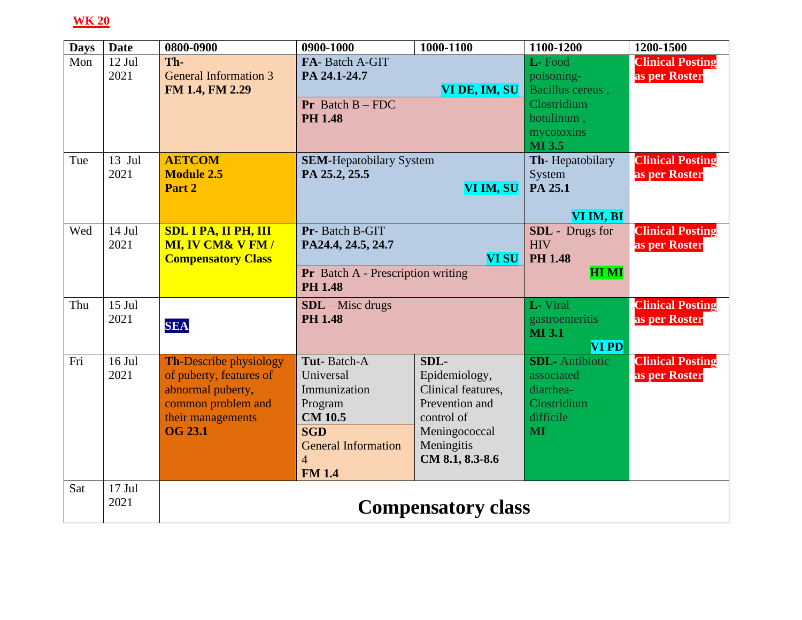| <b>Days</b> | <b>Date</b>      | 0800-0900                                                                                                                                  | 0900-1000                                                                                                                                            | 1000-1100                                                                                                                     | 1100-1200                                                                                           | 1200-1500                                |
|-------------|------------------|--------------------------------------------------------------------------------------------------------------------------------------------|------------------------------------------------------------------------------------------------------------------------------------------------------|-------------------------------------------------------------------------------------------------------------------------------|-----------------------------------------------------------------------------------------------------|------------------------------------------|
| Mon         | 12 Jul<br>2021   | Th-<br><b>General Information 3</b><br>FM 1.4, FM 2.29                                                                                     | FA-Batch A-GIT<br>PA 24.1-24.7<br><b>Pr</b> Batch $B$ – FDC<br><b>PH 1.48</b>                                                                        | VI DE, IM, SU                                                                                                                 | L-Food<br>poisoning-<br>Bacillus cereus,<br>Clostridium<br>botulinum,<br>mycotoxins<br><b>MI3.5</b> | <b>Clinical Posting</b><br>as per Roster |
| Tue         | $13$ Jul<br>2021 | <b>AETCOM</b><br><b>Module 2.5</b><br>Part 2                                                                                               | <b>SEM-Hepatobilary System</b><br>PA 25.2, 25.5                                                                                                      | VI IM, SU                                                                                                                     | Th-Hepatobilary<br>System<br>PA 25.1<br>VI IM, BI                                                   | <b>Clinical Posting</b><br>as per Roster |
| Wed         | $14$ Jul<br>2021 | <b>SDL I PA, II PH, III</b><br><b>MI, IV CM&amp; V FM/</b><br><b>Compensatory Class</b>                                                    | Pr-Batch B-GIT<br>PA24.4, 24.5, 24.7<br>Pr Batch A - Prescription writing<br><b>PH 1.48</b>                                                          | <b>VI SU</b>                                                                                                                  | <b>SDL</b> - Drugs for<br><b>HIV</b><br><b>PH 1.48</b><br><b>HIMI</b>                               | <b>Clinical Posting</b><br>as per Roster |
| Thu         | $15$ Jul<br>2021 | <b>SEA</b>                                                                                                                                 | $SDL$ – Misc drugs<br><b>PH 1.48</b>                                                                                                                 |                                                                                                                               | L-Viral<br>gastroenteritis<br><b>MI</b> 3.1<br><b>VI PD</b>                                         | <b>Clinical Posting</b><br>as per Roster |
| Fri         | $16$ Jul<br>2021 | <b>Th-Describe physiology</b><br>of puberty, features of<br>abnormal puberty,<br>common problem and<br>their managements<br><b>OG 23.1</b> | Tut-Batch-A<br>Universal<br>Immunization<br>Program<br><b>CM 10.5</b><br><b>SGD</b><br><b>General Information</b><br>$\overline{4}$<br><b>FM 1.4</b> | SDL-<br>Epidemiology,<br>Clinical features,<br>Prevention and<br>control of<br>Meningococcal<br>Meningitis<br>CM 8.1, 8.3-8.6 | <b>SDL</b> -Antibiotic<br>associated<br>diarrhea-<br>Clostridium<br>difficile<br>MI                 | <b>Clinical Posting</b><br>as per Roster |
| Sat         | $17$ Jul<br>2021 |                                                                                                                                            |                                                                                                                                                      | <b>Compensatory class</b>                                                                                                     |                                                                                                     |                                          |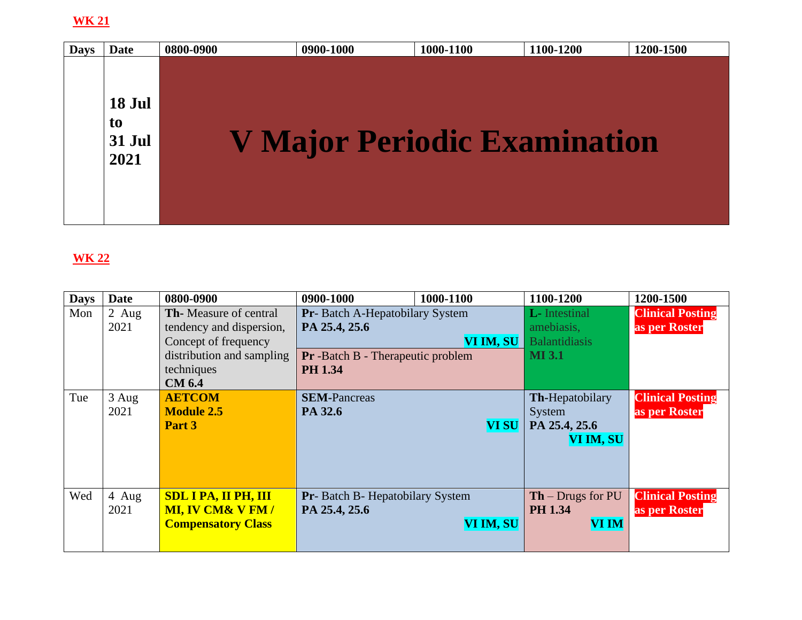| <b>Days</b> | Date                                  | 0800-0900 | 0900-1000                           | 1000-1100 | 1100-1200 | 1200-1500 |
|-------------|---------------------------------------|-----------|-------------------------------------|-----------|-----------|-----------|
|             | 18 Jul<br>to<br><b>31 Jul</b><br>2021 |           | <b>V Major Periodic Examination</b> |           |           |           |

| <b>Days</b> | <b>Date</b> | 0800-0900                     | 0900-1000                                | 1000-1100    | 1100-1200                    | 1200-1500               |
|-------------|-------------|-------------------------------|------------------------------------------|--------------|------------------------------|-------------------------|
| Mon         | $2$ Aug     | <b>Th-</b> Measure of central | <b>Pr</b> -Batch A-Hepatobilary System   |              | <b>L</b> -Intestinal         | <b>Clinical Posting</b> |
|             | 2021        | tendency and dispersion,      | PA 25.4, 25.6                            |              | amebiasis,                   | as per Roster           |
|             |             | Concept of frequency          |                                          | VI IM, SU    | <b>Balantidiasis</b>         |                         |
|             |             | distribution and sampling     | <b>Pr</b> -Batch B - Therapeutic problem |              | <b>MI</b> 3.1                |                         |
|             |             | techniques                    | <b>PH 1.34</b>                           |              |                              |                         |
|             |             | <b>CM 6.4</b>                 |                                          |              |                              |                         |
| Tue         | $3$ Aug     | <b>AETCOM</b>                 | <b>SEM-Pancreas</b>                      |              | <b>Th-Hepatobilary</b>       | <b>Clinical Posting</b> |
|             | 2021        | <b>Module 2.5</b>             | PA 32.6                                  |              | System                       | as per Roster           |
|             |             | Part 3                        |                                          | <b>VI SU</b> | PA 25.4, 25.6                |                         |
|             |             |                               |                                          |              | VI IM, SU                    |                         |
|             |             |                               |                                          |              |                              |                         |
|             |             |                               |                                          |              |                              |                         |
|             |             |                               |                                          |              |                              |                         |
| Wed         | 4 Aug       | <b>SDL I PA, II PH, III</b>   | Pr-Batch B-Hepatobilary System           |              | $\mathbf{Th}$ – Drugs for PU | <b>Clinical Posting</b> |
|             | 2021        | <b>MI, IV CM&amp; V FM/</b>   | PA 25.4, 25.6                            |              | <b>PH 1.34</b>               | as per Roster           |
|             |             | <b>Compensatory Class</b>     |                                          | VI IM, SU    | <b>VI IM</b>                 |                         |
|             |             |                               |                                          |              |                              |                         |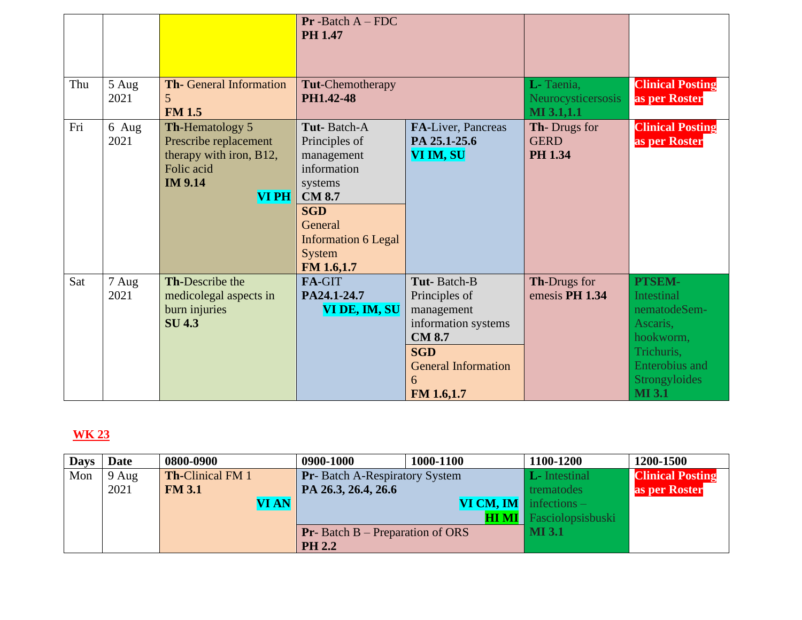|     |                 |                                                                                                                     | $Pr$ -Batch $A$ – FDC<br><b>PH 1.47</b>                                                                                                                                     |                                                                                                                                                   |                                                      |                                                                                                                                               |
|-----|-----------------|---------------------------------------------------------------------------------------------------------------------|-----------------------------------------------------------------------------------------------------------------------------------------------------------------------------|---------------------------------------------------------------------------------------------------------------------------------------------------|------------------------------------------------------|-----------------------------------------------------------------------------------------------------------------------------------------------|
| Thu | $5$ Aug<br>2021 | Th- General Information<br>5 <sup>5</sup><br><b>FM 1.5</b>                                                          | <b>Tut-Chemotherapy</b><br>PH1.42-48                                                                                                                                        |                                                                                                                                                   | L-Taenia,<br>Neurocysticersosis<br>MI 3.1,1.1        | <b>Clinical Posting</b><br>as per Roster                                                                                                      |
| Fri | 6 Aug<br>2021   | Th-Hematology 5<br>Prescribe replacement<br>therapy with iron, B12,<br>Folic acid<br><b>IM 9.14</b><br><b>VI PH</b> | <b>Tut-Batch-A</b><br>Principles of<br>management<br>information<br>systems<br><b>CM 8.7</b><br><b>SGD</b><br>General<br><b>Information 6 Legal</b><br>System<br>FM 1.6,1.7 | FA-Liver, Pancreas<br>PA 25.1-25.6<br>VI IM, SU                                                                                                   | <b>Th-Drugs for</b><br><b>GERD</b><br><b>PH 1.34</b> | <b>Clinical Posting</b><br>as per Roster                                                                                                      |
| Sat | 7 Aug<br>2021   | Th-Describe the<br>medicolegal aspects in<br>burn injuries<br><b>SU4.3</b>                                          | FA-GIT<br>PA24.1-24.7<br>VI DE, IM, SU                                                                                                                                      | Tut-Batch-B<br>Principles of<br>management<br>information systems<br><b>CM 8.7</b><br><b>SGD</b><br><b>General Information</b><br>6<br>FM 1.6,1.7 | Th-Drugs for<br>emesis PH 1.34                       | PTSEM-<br><b>Intestinal</b><br>nematodeSem-<br>Ascaris.<br>hookworm,<br>Trichuris,<br><b>Enterobius</b> and<br>Strongyloides<br><b>MI</b> 3.1 |

| <b>Days</b> | Date  | 0800-0900               | 0900-1000                                 | 1000-1100 | 1100-1200            | 1200-1500               |
|-------------|-------|-------------------------|-------------------------------------------|-----------|----------------------|-------------------------|
| Mon         | 9 Aug | <b>Th-Clinical FM 1</b> | <b>Pr</b> -Batch A-Respiratory System     |           | <b>L</b> -Intestinal | <b>Clinical Posting</b> |
|             | 2021  | <b>FM 3.1</b>           | PA 26.3, 26.4, 26.6                       |           | trematodes           | as per Roster           |
|             |       | <b>VI AN</b>            | <b>VI CM, IM</b> infections $-$           |           |                      |                         |
|             |       |                         |                                           |           | Fasciolopsisbuski    |                         |
|             |       |                         | <b>Pr</b> -Batch $B$ – Preparation of ORS |           | MI 3.1               |                         |
|             |       |                         | <b>PH 2.2</b>                             |           |                      |                         |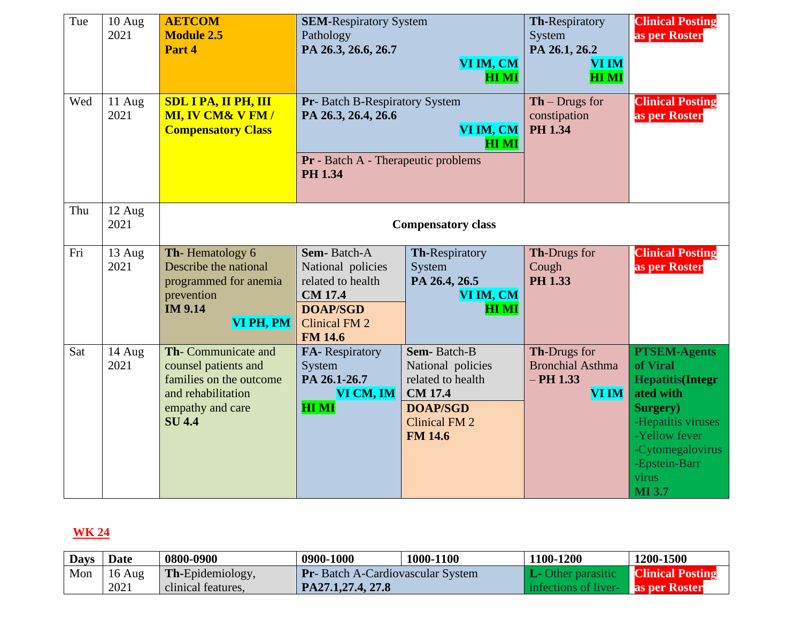| Tue<br>Wed | $10$ Aug<br>2021<br>11 Aug<br>2021 | <b>AETCOM</b><br><b>Module 2.5</b><br>Part 4<br><b>SDL I PA, II PH, III</b><br><b>MI, IV CM&amp; V FM/</b><br><b>Compensatory Class</b> | <b>SEM-Respiratory System</b><br>Pathology<br>PA 26.3, 26.6, 26.7<br>VI IM, CM<br><b>HI MI</b><br>Pr-Batch B-Respiratory System<br>PA 26.3, 26.4, 26.6<br>VI IM, CM<br><b>HIMI</b> |                                                                                                                                      | Th-Respiratory<br>System<br>PA 26.1, 26.2<br><b>VI IM</b><br><b>HI MI</b><br>$\mathbf{Th}$ – Drugs for<br>constipation<br><b>PH 1.34</b> | <b>Clinical Posting</b><br>as per Roster<br><b>Clinical Posting</b><br>as per Roster                                                                                                      |
|------------|------------------------------------|-----------------------------------------------------------------------------------------------------------------------------------------|------------------------------------------------------------------------------------------------------------------------------------------------------------------------------------|--------------------------------------------------------------------------------------------------------------------------------------|------------------------------------------------------------------------------------------------------------------------------------------|-------------------------------------------------------------------------------------------------------------------------------------------------------------------------------------------|
|            |                                    |                                                                                                                                         | <b>Pr</b> - Batch A - Therapeutic problems<br><b>PH 1.34</b>                                                                                                                       |                                                                                                                                      |                                                                                                                                          |                                                                                                                                                                                           |
| Thu        | 12 Aug<br>2021                     |                                                                                                                                         |                                                                                                                                                                                    |                                                                                                                                      |                                                                                                                                          |                                                                                                                                                                                           |
| Fri        | 13 Aug<br>2021                     | Th-Hematology 6<br>Describe the national<br>programmed for anemia<br>prevention<br><b>IM 9.14</b><br>VI PH, PM                          | Sem-Batch-A<br>National policies<br>related to health<br><b>CM 17.4</b><br><b>DOAP/SGD</b><br><b>Clinical FM 2</b><br><b>FM 14.6</b>                                               | Th-Respiratory<br>System<br>PA 26.4, 26.5<br>VI IM, CM<br><b>HIMI</b>                                                                | <b>Th-Drugs for</b><br>Cough<br><b>PH 1.33</b>                                                                                           | <b>Clinical Posting</b><br>as per Roster                                                                                                                                                  |
| Sat        | $14$ Aug<br>2021                   | Th-Communicate and<br>counsel patients and<br>families on the outcome<br>and rehabilitation<br>empathy and care<br><b>SU 4.4</b>        | FA-Respiratory<br>System<br>PA 26.1-26.7<br>VI CM, IM<br><b>HIMI</b>                                                                                                               | Sem-Batch-B<br>National policies<br>related to health<br><b>CM 17.4</b><br><b>DOAP/SGD</b><br><b>Clinical FM 2</b><br><b>FM 14.6</b> | Th-Drugs for<br><b>Bronchial Asthma</b><br>$-$ PH 1.33<br><b>VI IM</b>                                                                   | <b>PTSEM-Agents</b><br>of Viral<br><b>Hepatitis(Integr</b><br>ated with<br>Surgery)<br>-Hepatitis viruses<br>-Yellow fever<br>-Cytomegalovirus<br>-Epstein-Barr<br>virus<br><b>MI</b> 3.7 |

| <b>Days</b> | <b>Date</b>      | 0800-0900               | 0900-1000                                | 1000-1100 | 100-1200             | 1200-1500               |
|-------------|------------------|-------------------------|------------------------------------------|-----------|----------------------|-------------------------|
| Mon         | $16 \text{ Aug}$ | <b>Th-Epidemiology,</b> | <b>Pr</b> -Batch A-Cardiovascular System |           |                      | <b>Clinical Posting</b> |
|             | 2021             | clinical features.      | PA27.1,27.4, 27.8                        |           | infections of liver- | <b>as per Roster</b>    |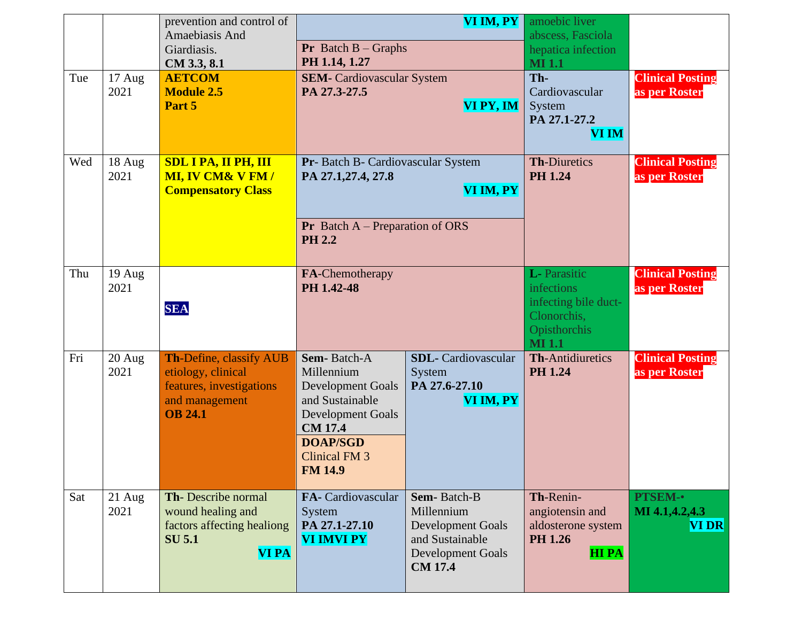|     |                          | prevention and control of<br>Amaebiasis And<br>Giardiasis.<br>CM 3.3, 8.1                                     | <b>Pr</b> Batch $B -$ Graphs<br>PH 1.14, 1.27                                                                                                                                | VI IM, PY                                                                                                              | amoebic liver<br>abscess, Fasciola<br>hepatica infection<br><b>MI1.1</b>                                  |                                                  |
|-----|--------------------------|---------------------------------------------------------------------------------------------------------------|------------------------------------------------------------------------------------------------------------------------------------------------------------------------------|------------------------------------------------------------------------------------------------------------------------|-----------------------------------------------------------------------------------------------------------|--------------------------------------------------|
| Tue | $17 \text{ Aug}$<br>2021 | <b>AETCOM</b><br><b>Module 2.5</b><br>Part 5                                                                  | <b>SEM-</b> Cardiovascular System<br>PA 27.3-27.5                                                                                                                            | VI PY, IM                                                                                                              | Th-<br>Cardiovascular<br>System<br>PA 27.1-27.2<br><b>VI IM</b>                                           | <b>Clinical Posting</b><br>as per Roster         |
| Wed | 18 Aug<br>2021           | <b>SDL I PA, II PH, III</b><br><b>MI, IV CM&amp; V FM/</b><br><b>Compensatory Class</b>                       | Pr- Batch B- Cardiovascular System<br>PA 27.1,27.4, 27.8<br><b>Pr</b> Batch $A$ – Preparation of ORS<br><b>PH 2.2</b>                                                        | VI IM, PY                                                                                                              | <b>Th-Diuretics</b><br><b>PH 1.24</b>                                                                     | <b>Clinical Posting</b><br>as per Roster         |
| Thu | 19 Aug<br>2021           | <b>SEA</b>                                                                                                    | FA-Chemotherapy<br>PH 1.42-48                                                                                                                                                |                                                                                                                        | L- Parasitic<br><i>infections</i><br>infecting bile duct-<br>Clonorchis,<br>Opisthorchis<br><b>MI</b> 1.1 | <b>Clinical Posting</b><br>as per Roster         |
| Fri | 20 Aug<br>2021           | Th-Define, classify AUB<br>etiology, clinical<br>features, investigations<br>and management<br><b>OB 24.1</b> | Sem-Batch-A<br>Millennium<br><b>Development Goals</b><br>and Sustainable<br>Development Goals<br><b>CM 17.4</b><br><b>DOAP/SGD</b><br><b>Clinical FM 3</b><br><b>FM 14.9</b> | <b>SDL-</b> Cardiovascular<br>System<br>PA 27.6-27.10<br>VI IM, PY                                                     | <b>Th-Antidiuretics</b><br><b>PH 1.24</b>                                                                 | <b>Clinical Posting</b><br>as per Roster         |
| Sat | $21$ Aug<br>2021         | Th-Describe normal<br>wound healing and<br>factors affecting healiong<br><b>SU 5.1</b><br><b>VI PA</b>        | FA- Cardiovascular<br>System<br>PA 27.1-27.10<br><b>VI IMVI PY</b>                                                                                                           | Sem-Batch-B<br>Millennium<br><b>Development Goals</b><br>and Sustainable<br><b>Development Goals</b><br><b>CM 17.4</b> | Th-Renin-<br>angiotensin and<br>aldosterone system<br><b>PH 1.26</b><br><b>HIPA</b>                       | <b>PTSEM-•</b><br>MI 4.1,4.2,4.3<br><b>VI DR</b> |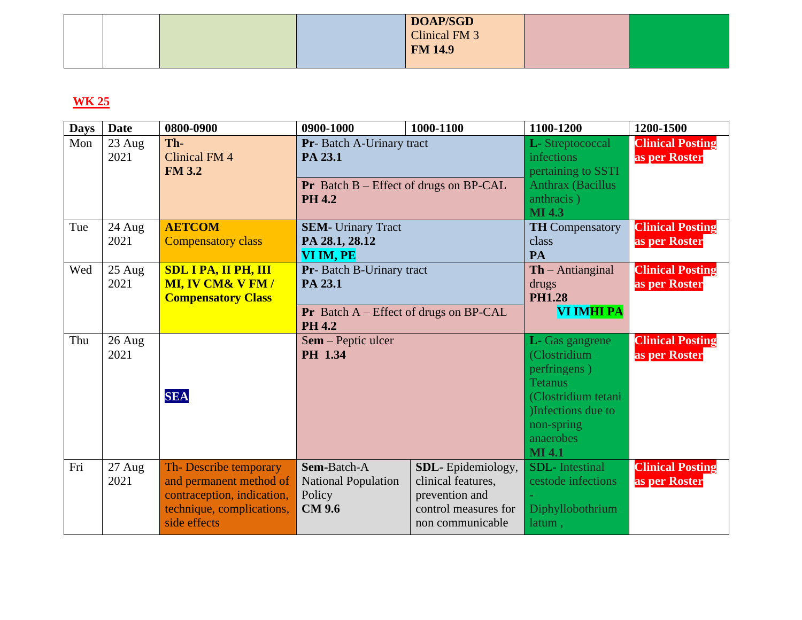|  |  | <b>DOAP/SGD</b> |  |
|--|--|-----------------|--|
|  |  | Clinical FM 3   |  |
|  |  | <b>FM 14.9</b>  |  |
|  |  |                 |  |

| <b>Days</b> | <b>Date</b>      | 0800-0900                                                                                                                   | 0900-1000                                                                                                | 1000-1100                                                                                             | 1100-1200                                                                                                                                                  | 1200-1500                                |
|-------------|------------------|-----------------------------------------------------------------------------------------------------------------------------|----------------------------------------------------------------------------------------------------------|-------------------------------------------------------------------------------------------------------|------------------------------------------------------------------------------------------------------------------------------------------------------------|------------------------------------------|
| Mon         | $23$ Aug<br>2021 | Th-<br><b>Clinical FM 4</b><br><b>FM 3.2</b>                                                                                | Pr- Batch A-Urinary tract<br>PA 23.1<br><b>Pr</b> Batch $B$ – Effect of drugs on BP-CAL<br><b>PH 4.2</b> |                                                                                                       | L-Streptococcal<br><i>infections</i><br>pertaining to SSTI<br><b>Anthrax (Bacillus</b><br>anthracis)<br><b>MI</b> 4.3                                      | <b>Clinical Posting</b><br>as per Roster |
| Tue         | 24 Aug<br>2021   | <b>AETCOM</b><br><b>Compensatory class</b>                                                                                  | <b>SEM-</b> Urinary Tract<br>PA 28.1, 28.12<br>VI IM, PE                                                 |                                                                                                       | <b>TH</b> Compensatory<br>class<br>PA                                                                                                                      | <b>Clinical Posting</b><br>as per Roster |
| Wed         | $25$ Aug<br>2021 | <b>SDL I PA, II PH, III</b><br><b>MI, IV CM&amp; V FM/</b><br><b>Compensatory Class</b>                                     | Pr- Batch B-Urinary tract<br>PA 23.1<br><b>Pr</b> Batch $A$ – Effect of drugs on BP-CAL<br><b>PH 4.2</b> |                                                                                                       | $\mathbf{Th}$ – Antianginal<br>drugs<br><b>PH1.28</b><br>VI IMHI PA                                                                                        | <b>Clinical Posting</b><br>as per Roster |
| Thu         | 26 Aug<br>2021   | <b>SEA</b>                                                                                                                  | Sem – Peptic ulcer<br>PH 1.34                                                                            |                                                                                                       | L- Gas gangrene<br>(Clostridium<br>perfringens)<br><b>Tetanus</b><br>(Clostridium tetani<br>)Infections due to<br>non-spring<br>anaerobes<br><b>MI 4.1</b> | <b>Clinical Posting</b><br>as per Roster |
| Fri         | 27 Aug<br>2021   | Th-Describe temporary<br>and permanent method of<br>contraception, indication,<br>technique, complications,<br>side effects | Sem-Batch-A<br><b>National Population</b><br>Policy<br><b>CM 9.6</b>                                     | SDL-Epidemiology,<br>clinical features,<br>prevention and<br>control measures for<br>non communicable | <b>SDL</b> -Intestinal<br>cestode infections<br>Diphyllobothrium<br>latum,                                                                                 | <b>Clinical Posting</b><br>as per Roster |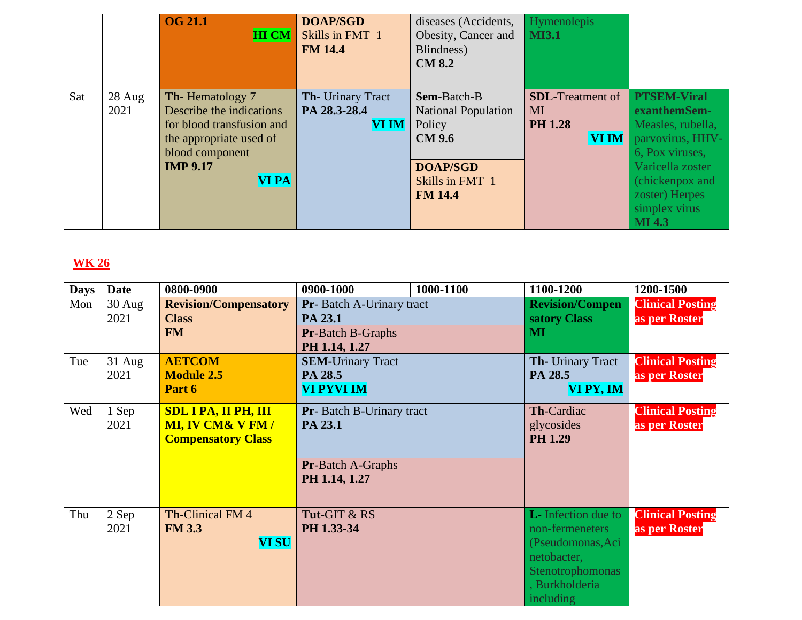|     |                | <b>OG 21.1</b><br><b>HI CM</b>                                                                                                                            | <b>DOAP/SGD</b><br>Skills in FMT 1<br><b>FM 14.4</b> | diseases (Accidents,<br>Obesity, Cancer and<br>Blindness)<br><b>CM 8.2</b>                                                   | Hymenolepis<br><b>MI3.1</b>                                      |                                                                                                                                                                                           |
|-----|----------------|-----------------------------------------------------------------------------------------------------------------------------------------------------------|------------------------------------------------------|------------------------------------------------------------------------------------------------------------------------------|------------------------------------------------------------------|-------------------------------------------------------------------------------------------------------------------------------------------------------------------------------------------|
| Sat | 28 Aug<br>2021 | Th-Hematology 7<br>Describe the indications<br>for blood transfusion and<br>the appropriate used of<br>blood component<br><b>IMP 9.17</b><br><b>VI PA</b> | Th- Urinary Tract<br>PA 28.3-28.4<br><b>VI IM</b>    | Sem-Batch-B<br><b>National Population</b><br>Policy<br><b>CM 9.6</b><br><b>DOAP/SGD</b><br>Skills in FMT 1<br><b>FM 14.4</b> | <b>SDL</b> -Treatment of<br>MI<br><b>PH 1.28</b><br><b>VI IM</b> | <b>PTSEM-Viral</b><br>exanthemSem-<br>Measles, rubella,<br>parvovirus, HHV-<br>6, Pox viruses,<br>Varicella zoster<br>(chickenpox and<br>zoster) Herpes<br>simplex virus<br><b>MI</b> 4.3 |

| <b>Days</b> | <b>Date</b>      | 0800-0900                                                                               | 0900-1000                                                                         | 1000-1100 | 1100-1200                                                                                                                             | 1200-1500                                |
|-------------|------------------|-----------------------------------------------------------------------------------------|-----------------------------------------------------------------------------------|-----------|---------------------------------------------------------------------------------------------------------------------------------------|------------------------------------------|
| Mon         | $30$ Aug<br>2021 | <b>Revision/Compensatory</b><br><b>Class</b><br><b>FM</b>                               | Pr- Batch A-Urinary tract<br>PA 23.1<br>Pr-Batch B-Graphs                         |           | <b>Revision/Compen</b><br>satory Class<br><b>MI</b>                                                                                   | <b>Clinical Posting</b><br>as per Roster |
| Tue         | $31$ Aug<br>2021 | <b>AETCOM</b><br><b>Module 2.5</b><br>Part 6                                            | PH 1.14, 1.27<br><b>SEM-Urinary Tract</b><br>PA 28.5<br>VI PYVI IM                |           | Th- Urinary Tract<br>PA 28.5<br>VI PY, IM                                                                                             | <b>Clinical Posting</b><br>as per Roster |
| Wed         | 1 Sep<br>2021    | <b>SDL I PA, II PH, III</b><br><b>MI, IV CM&amp; V FM/</b><br><b>Compensatory Class</b> | Pr- Batch B-Urinary tract<br>PA 23.1<br><b>Pr-Batch A-Graphs</b><br>PH 1.14, 1.27 |           | Th-Cardiac<br>glycosides<br><b>PH 1.29</b>                                                                                            | <b>Clinical Posting</b><br>as per Roster |
| Thu         | 2 Sep<br>2021    | <b>Th-Clinical FM4</b><br><b>FM 3.3</b><br><b>VI SU</b>                                 | Tut-GIT & RS<br>PH 1.33-34                                                        |           | <b>L</b> - Infection due to<br>non-fermeneters<br>(Pseudomonas, Aci<br>netobacter,<br>Stenotrophomonas<br>, Burkholderia<br>including | <b>Clinical Posting</b><br>as per Roster |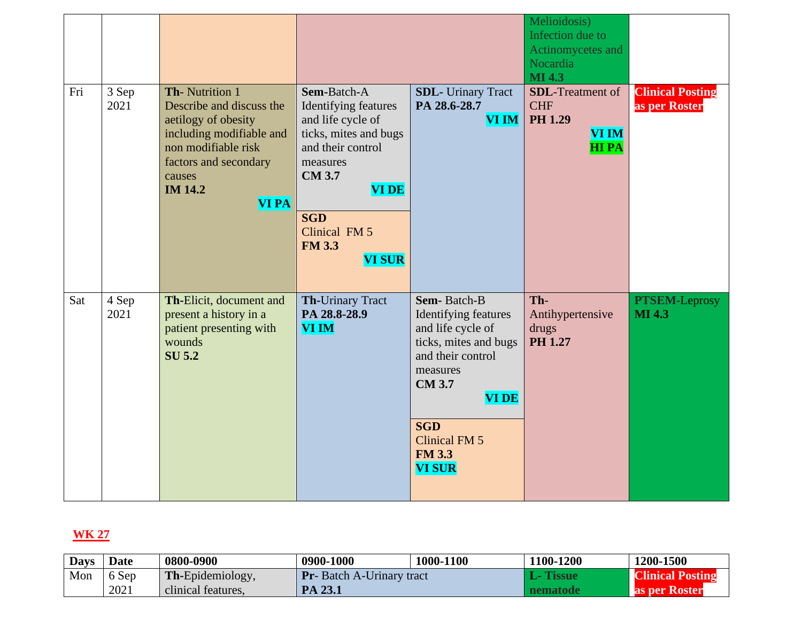|     |               |                                                                                                                                                                                           |                                                                                                                                                                                                                      |                                                                                                                                                                                                                            | Melioidosis)<br>Infection due to<br>Actinomycetes and<br>Nocardia<br><b>MI</b> 4.3     |                                          |
|-----|---------------|-------------------------------------------------------------------------------------------------------------------------------------------------------------------------------------------|----------------------------------------------------------------------------------------------------------------------------------------------------------------------------------------------------------------------|----------------------------------------------------------------------------------------------------------------------------------------------------------------------------------------------------------------------------|----------------------------------------------------------------------------------------|------------------------------------------|
| Fri | 3 Sep<br>2021 | Th-Nutrition 1<br>Describe and discuss the<br>aetilogy of obesity<br>including modifiable and<br>non modifiable risk<br>factors and secondary<br>causes<br><b>IM 14.2</b><br><b>VI PA</b> | Sem-Batch-A<br>Identifying features<br>and life cycle of<br>ticks, mites and bugs<br>and their control<br>measures<br><b>CM 3.7</b><br><b>VI DE</b><br><b>SGD</b><br>Clinical FM 5<br><b>FM 3.3</b><br><b>VI SUR</b> | <b>SDL-</b> Urinary Tract<br>PA 28.6-28.7<br><b>VI IM</b>                                                                                                                                                                  | <b>SDL-Treatment of</b><br><b>CHF</b><br><b>PH 1.29</b><br><b>VI IM</b><br><b>HIPA</b> | <b>Clinical Posting</b><br>as per Roster |
| Sat | 4 Sep<br>2021 | Th-Elicit, document and<br>present a history in a<br>patient presenting with<br>wounds<br><b>SU 5.2</b>                                                                                   | Th-Urinary Tract<br>PA 28.8-28.9<br><b>VI IM</b>                                                                                                                                                                     | Sem-Batch-B<br>Identifying features<br>and life cycle of<br>ticks, mites and bugs<br>and their control<br>measures<br><b>CM 3.7</b><br><b>VIDE</b><br><b>SGD</b><br><b>Clinical FM 5</b><br><b>FM 3.3</b><br><b>VI SUR</b> | Th-<br>Antihypertensive<br>drugs<br>PH 1.27                                            | <b>PTSEM-Leprosy</b><br><b>MI</b> 4.3    |

| <b>Days</b> | <b>Date</b> | 0800-0900               | 0900-1000                        | 1000-1100 | 100-1200 | 1200-1500               |
|-------------|-------------|-------------------------|----------------------------------|-----------|----------|-------------------------|
| Mon         | 6 Sep       | <b>Th-Epidemiology,</b> | <b>Pr</b> -Batch A-Urinary tract |           |          | <b>Clinical Posting</b> |
|             | 2021        | clinical features.      | PA 23.1                          |           | nematode | as per Roster           |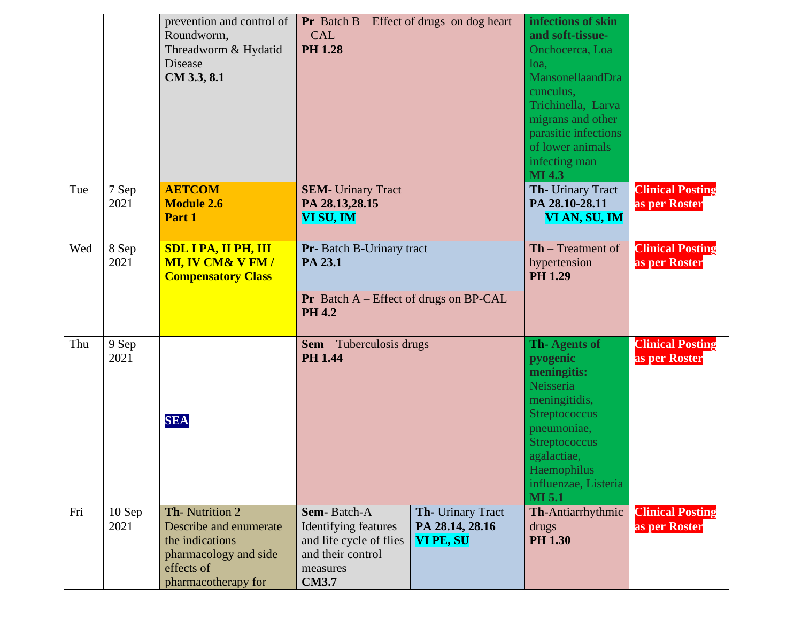|     |                  | prevention and control of<br>Roundworm,<br>Threadworm & Hydatid<br><b>Disease</b><br>CM 3.3, 8.1                          | <b>Pr</b> Batch $B$ – Effect of drugs on dog heart<br>$- CAL$<br><b>PH 1.28</b>                                 |                                                          | infections of skin<br>and soft-tissue-<br>Onchocerca, Loa<br>loa,<br>MansonellaandDra<br>cunculus,<br>Trichinella, Larva<br>migrans and other<br>parasitic infections<br>of lower animals<br>infecting man<br><b>MI 4.3</b> |                                          |
|-----|------------------|---------------------------------------------------------------------------------------------------------------------------|-----------------------------------------------------------------------------------------------------------------|----------------------------------------------------------|-----------------------------------------------------------------------------------------------------------------------------------------------------------------------------------------------------------------------------|------------------------------------------|
| Tue | 7 Sep<br>2021    | <b>AETCOM</b><br><b>Module 2.6</b><br>Part 1                                                                              | <b>SEM-</b> Urinary Tract<br>PA 28.13,28.15<br>VI SU, IM                                                        |                                                          | Th- Urinary Tract<br>PA 28.10-28.11<br>VI AN, SU, IM                                                                                                                                                                        | <b>Clinical Posting</b><br>as per Roster |
| Wed | 8 Sep<br>2021    | <b>SDL I PA, II PH, III</b><br><b>MI, IV CM&amp; V FM/</b><br><b>Compensatory Class</b>                                   | Pr- Batch B-Urinary tract<br>PA 23.1<br>Pr Batch A - Effect of drugs on BP-CAL<br><b>PH 4.2</b>                 |                                                          | $\mathbf{Th}$ – Treatment of<br>hypertension<br><b>PH 1.29</b>                                                                                                                                                              | <b>Clinical Posting</b><br>as per Roster |
| Thu | 9 Sep<br>2021    | <b>SEA</b>                                                                                                                | $Sem$ – Tuberculosis drugs–<br><b>PH 1.44</b>                                                                   |                                                          | Th-Agents of<br>pyogenic<br>meningitis:<br>Neisseria<br>meningitidis,<br>Streptococcus<br>pneumoniae,<br>Streptococcus<br>agalactiae,<br>Haemophilus<br>influenzae, Listeria<br><b>MI 5.1</b>                               | <b>Clinical Posting</b><br>as per Roster |
| Fri | $10$ Sep<br>2021 | Th-Nutrition 2<br>Describe and enumerate<br>the indications<br>pharmacology and side<br>effects of<br>pharmacotherapy for | Sem-Batch-A<br>Identifying features<br>and life cycle of flies<br>and their control<br>measures<br><b>CM3.7</b> | Th- Urinary Tract<br>PA 28.14, 28.16<br><b>VI PE, SU</b> | <b>Th-Antiarrhythmic</b><br>drugs<br><b>PH 1.30</b>                                                                                                                                                                         | <b>Clinical Posting</b><br>as per Roster |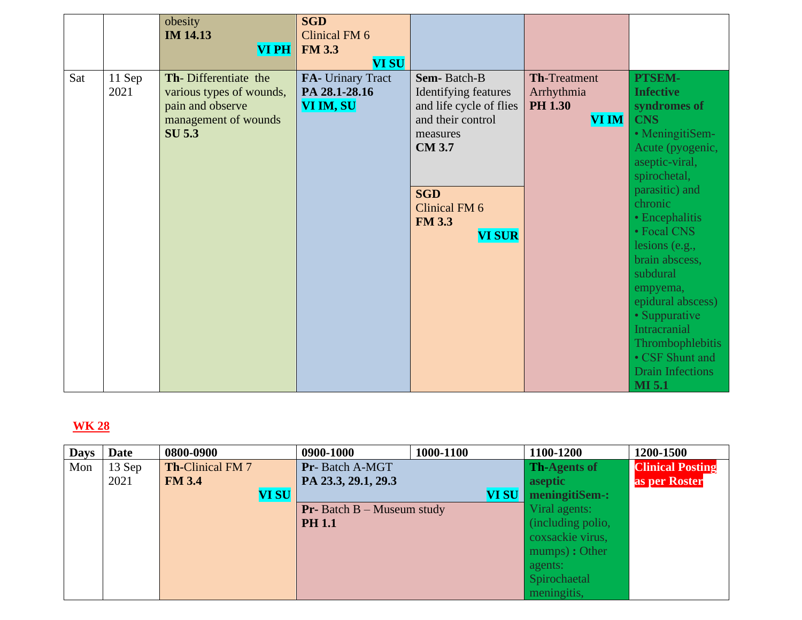|     |                | obesity<br><b>IM 14.13</b><br><b>VI PH</b>                                                                    | <b>SGD</b><br>Clinical FM 6<br><b>FM 3.3</b><br><b>VI SU</b> |                                                                                                        |                                                                     |                                                                                      |
|-----|----------------|---------------------------------------------------------------------------------------------------------------|--------------------------------------------------------------|--------------------------------------------------------------------------------------------------------|---------------------------------------------------------------------|--------------------------------------------------------------------------------------|
| Sat | 11 Sep<br>2021 | Th-Differentiate the<br>various types of wounds,<br>pain and observe<br>management of wounds<br><b>SU 5.3</b> | FA- Urinary Tract<br>PA 28.1-28.16<br>VI IM, SU              | Sem-Batch-B<br><b>Identifying features</b><br>and life cycle of flies<br>and their control<br>measures | <b>Th-Treatment</b><br>Arrhythmia<br><b>PH 1.30</b><br><b>VI IM</b> | PTSEM-<br><b>Infective</b><br>syndromes of<br><b>CNS</b><br>· MeningitiSem-          |
|     |                |                                                                                                               |                                                              | <b>CM 3.7</b>                                                                                          |                                                                     | Acute (pyogenic,<br>aseptic-viral,<br>spirochetal,<br>parasitic) and                 |
|     |                |                                                                                                               |                                                              | <b>SGD</b><br>Clinical FM 6<br><b>FM 3.3</b><br><b>VI SUR</b>                                          |                                                                     | chronic<br>• Encephalitis<br>• Focal CNS                                             |
|     |                |                                                                                                               |                                                              |                                                                                                        |                                                                     | lesions (e.g.,<br>brain abscess,<br>subdural<br>empyema,                             |
|     |                |                                                                                                               |                                                              |                                                                                                        |                                                                     | epidural abscess)<br>• Suppurative<br><b>Intracranial</b><br><b>Thrombophlebitis</b> |
|     |                |                                                                                                               |                                                              |                                                                                                        |                                                                     | • CSF Shunt and<br><b>Drain Infections</b><br><b>MI 5.1</b>                          |

| <b>Days</b> | <b>Date</b> | 0800-0900               | 0900-1000                           | 1000-1100 | 1100-1200           | 1200-1500               |
|-------------|-------------|-------------------------|-------------------------------------|-----------|---------------------|-------------------------|
| Mon         | $13$ Sep    | <b>Th-Clinical FM 7</b> | Pr-Batch A-MGT                      |           | <b>Th-Agents of</b> | <b>Clinical Posting</b> |
|             | 2021        | <b>FM 3.4</b>           | PA 23.3, 29.1, 29.3                 |           | aseptic             | as per Roster           |
|             |             | <b>VI SU</b>            |                                     | VI SU     | meningitiSem-:      |                         |
|             |             |                         | <b>Pr-</b> Batch $B$ – Museum study |           | Viral agents:       |                         |
|             |             |                         | <b>PH 1.1</b>                       |           | (including polio,   |                         |
|             |             |                         |                                     |           | coxsackie virus,    |                         |
|             |             |                         |                                     |           | mumps) : Other      |                         |
|             |             |                         |                                     |           | agents:             |                         |
|             |             |                         |                                     |           | Spirochaetal        |                         |
|             |             |                         |                                     |           | meningitis,         |                         |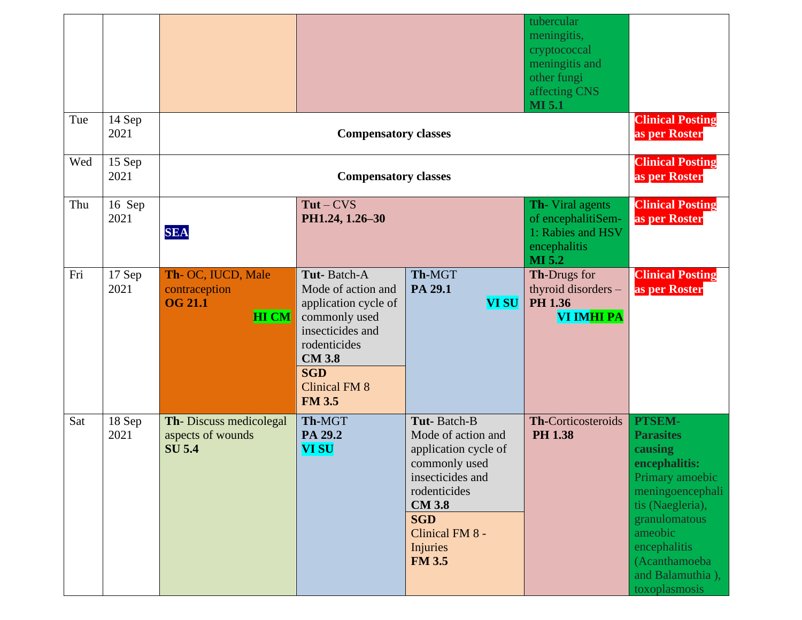| Tue | 14 Sep         |                                                                       |                                                                                                                                                                                        |                                                                                                                                                                                                      | tubercular<br>meningitis,<br>cryptococcal<br>meningitis and<br>other fungi<br>affecting CNS<br><b>MI 5.1</b> | <b>Clinical Posting</b>                                                                                                                                                                                             |  |
|-----|----------------|-----------------------------------------------------------------------|----------------------------------------------------------------------------------------------------------------------------------------------------------------------------------------|------------------------------------------------------------------------------------------------------------------------------------------------------------------------------------------------------|--------------------------------------------------------------------------------------------------------------|---------------------------------------------------------------------------------------------------------------------------------------------------------------------------------------------------------------------|--|
| Wed | 2021<br>15 Sep |                                                                       | <b>Compensatory classes</b>                                                                                                                                                            |                                                                                                                                                                                                      |                                                                                                              | as per Roster<br><b>Clinical Posting</b><br>as per Roster                                                                                                                                                           |  |
|     | 2021           |                                                                       | <b>Compensatory classes</b>                                                                                                                                                            |                                                                                                                                                                                                      |                                                                                                              |                                                                                                                                                                                                                     |  |
| Thu | 16 Sep<br>2021 | <b>SEA</b>                                                            | $Tut-CVS$<br>PH1.24, 1.26-30                                                                                                                                                           |                                                                                                                                                                                                      | Th- Viral agents<br>of encephalitiSem-<br>1: Rabies and HSV<br>encephalitis<br><b>MI 5.2</b>                 | <b>Clinical Posting</b><br>as per Roster                                                                                                                                                                            |  |
| Fri | 17 Sep<br>2021 | Th- OC, IUCD, Male<br>contraception<br><b>OG 21.1</b><br><b>HI CM</b> | Tut-Batch-A<br>Mode of action and<br>application cycle of<br>commonly used<br>insecticides and<br>rodenticides<br><b>CM 3.8</b><br><b>SGD</b><br><b>Clinical FM 8</b><br><b>FM 3.5</b> | Th-MGT<br>PA 29.1<br><b>VI SU</b>                                                                                                                                                                    | Th-Drugs for<br>thyroid disorders -<br>PH 1.36<br>VI IMHI PA                                                 | <b>Clinical Posting</b><br>as per Roster                                                                                                                                                                            |  |
| Sat | 18 Sep<br>2021 | Th-Discuss medicolegal<br>aspects of wounds<br><b>SU 5.4</b>          | Th-MGT<br>PA 29.2<br><b>VI SU</b>                                                                                                                                                      | Tut-Batch-B<br>Mode of action and<br>application cycle of<br>commonly used<br>insecticides and<br>rodenticides<br><b>CM 3.8</b><br><b>SGD</b><br>Clinical FM 8 -<br><b>Injuries</b><br><b>FM 3.5</b> | Th-Corticosteroids<br><b>PH 1.38</b>                                                                         | PTSEM-<br><b>Parasites</b><br>causing<br>encephalitis:<br>Primary amoebic<br>meningoencephali<br>tis (Naegleria),<br>granulomatous<br>ameobic<br>encephalitis<br>(Acanthamoeba<br>and Balamuthia),<br>toxoplasmosis |  |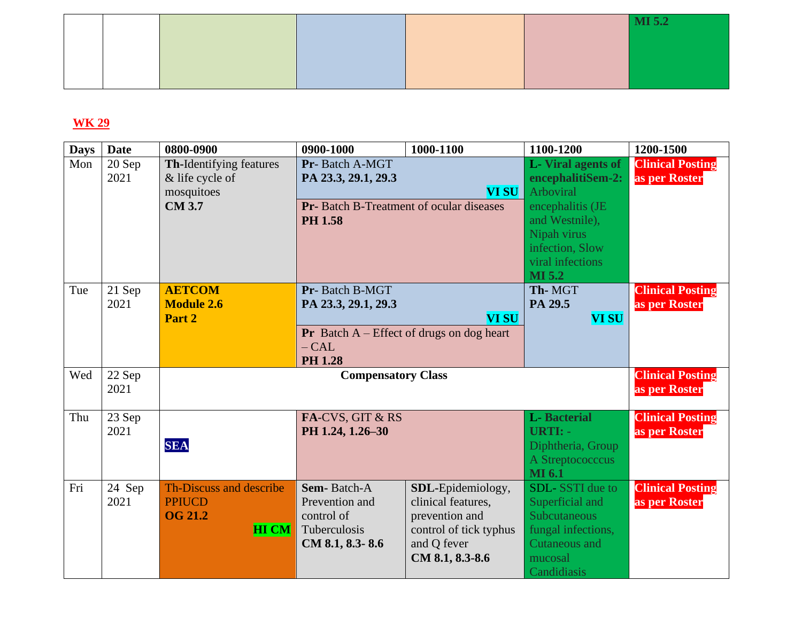|  |  | MI 5.2 |
|--|--|--------|
|  |  |        |
|  |  |        |
|  |  |        |

| <b>Days</b> | <b>Date</b>    | 0800-0900                                                                        | 0900-1000                                                                                           | 1000-1100                                                                                                             | 1100-1200                                                                                                                                                               | 1200-1500                                |
|-------------|----------------|----------------------------------------------------------------------------------|-----------------------------------------------------------------------------------------------------|-----------------------------------------------------------------------------------------------------------------------|-------------------------------------------------------------------------------------------------------------------------------------------------------------------------|------------------------------------------|
| Mon         | 20 Sep<br>2021 | <b>Th-Identifying features</b><br>& life cycle of<br>mosquitoes<br><b>CM 3.7</b> | Pr-Batch A-MGT<br>PA 23.3, 29.1, 29.3<br>Pr- Batch B-Treatment of ocular diseases<br><b>PH 1.58</b> | <b>VI SU</b>                                                                                                          | L-Viral agents of<br>encephalitiSem-2:<br><b>Arboviral</b><br>encephalitis (JE<br>and Westnile),<br>Nipah virus<br>infection, Slow<br>viral infections<br><b>MI 5.2</b> | <b>Clinical Posting</b><br>as per Roster |
| Tue         | 21 Sep<br>2021 | <b>AETCOM</b><br><b>Module 2.6</b><br>Part 2                                     | Pr-Batch B-MGT<br>PA 23.3, 29.1, 29.3<br>$- CAL$<br><b>PH 1.28</b>                                  | <b>VI SU</b><br><b>Pr</b> Batch $A$ – Effect of drugs on dog heart                                                    | Th-MGT<br>PA 29.5<br><b>VI SU</b>                                                                                                                                       | <b>Clinical Posting</b><br>as per Roster |
| Wed         | 22 Sep<br>2021 |                                                                                  | <b>Compensatory Class</b>                                                                           |                                                                                                                       |                                                                                                                                                                         | <b>Clinical Posting</b><br>as per Roster |
| Thu         | 23 Sep<br>2021 | <b>SEA</b>                                                                       | FA-CVS, GIT & RS<br>PH 1.24, 1.26-30                                                                |                                                                                                                       | <b>L</b> -Bacterial<br><b>URTI: -</b><br>Diphtheria, Group<br>A Streptococccus<br><b>MI</b> 6.1                                                                         | <b>Clinical Posting</b><br>as per Roster |
| Fri         | 24 Sep<br>2021 | Th-Discuss and describe<br><b>PPIUCD</b><br><b>OG 21.2</b><br><b>HI CM</b>       | <b>Sem-Batch-A</b><br>Prevention and<br>control of<br>Tuberculosis<br>CM 8.1, 8.3-8.6               | SDL-Epidemiology,<br>clinical features,<br>prevention and<br>control of tick typhus<br>and Q fever<br>CM 8.1, 8.3-8.6 | <b>SDL-SSTI</b> due to<br>Superficial and<br><b>Subcutaneous</b><br>fungal infections,<br><b>Cutaneous and</b><br>mucosal<br>Candidiasis                                | <b>Clinical Posting</b><br>as per Roster |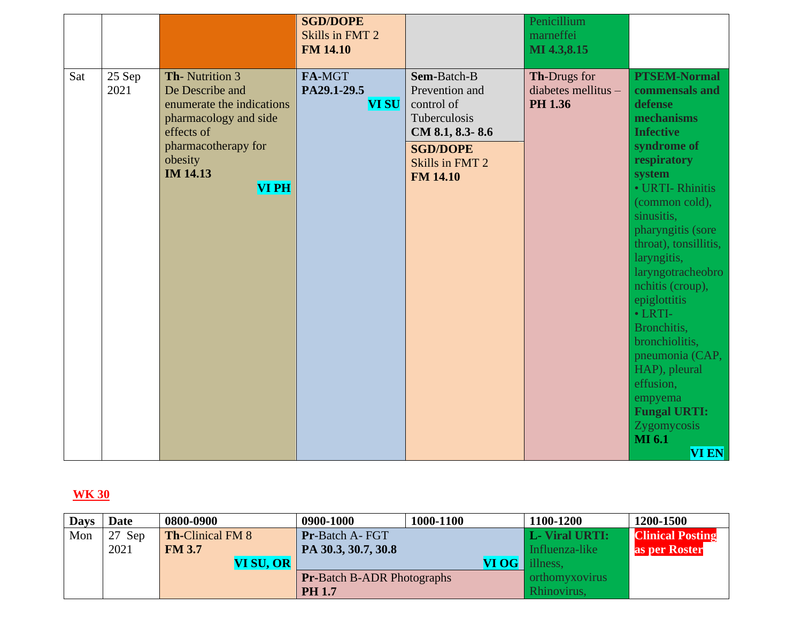|     |                |                                                                                                                                                                           | <b>SGD/DOPE</b><br>Skills in FMT 2<br><b>FM 14.10</b> |                                                                                                                                         | Penicillium<br>marneffei<br>MI 4.3,8.15                 |                                                                                                                                                                                                                                                                                                                                                                                                                                                                                            |
|-----|----------------|---------------------------------------------------------------------------------------------------------------------------------------------------------------------------|-------------------------------------------------------|-----------------------------------------------------------------------------------------------------------------------------------------|---------------------------------------------------------|--------------------------------------------------------------------------------------------------------------------------------------------------------------------------------------------------------------------------------------------------------------------------------------------------------------------------------------------------------------------------------------------------------------------------------------------------------------------------------------------|
| Sat | 25 Sep<br>2021 | Th-Nutrition 3<br>De Describe and<br>enumerate the indications<br>pharmacology and side<br>effects of<br>pharmacotherapy for<br>obesity<br><b>IM 14.13</b><br><b>VIPH</b> | FA-MGT<br>PA29.1-29.5<br><b>VI SU</b>                 | Sem-Batch-B<br>Prevention and<br>control of<br>Tuberculosis<br>CM 8.1, 8.3-8.6<br><b>SGD/DOPE</b><br>Skills in FMT 2<br><b>FM 14.10</b> | Th-Drugs for<br>diabetes mellitus $-$<br><b>PH 1.36</b> | <b>PTSEM-Normal</b><br>commensals and<br>defense<br>mechanisms<br><b>Infective</b><br>syndrome of<br>respiratory<br>system<br>· URTI-Rhinitis<br>(common cold),<br>sinusitis,<br>pharyngitis (sore<br>throat), tonsillitis,<br>laryngitis,<br>laryngotracheobro<br>nchitis (croup),<br>epiglottitis<br>$\bullet$ LRTI-<br>Bronchitis,<br>bronchiolitis,<br>pneumonia (CAP,<br>HAP), pleural<br>effusion,<br>empyema<br><b>Fungal URTI:</b><br>Zygomycosis<br><b>MI</b> 6.1<br><b>VI EN</b> |

| <b>Days</b> | Date   | 0800-0900               | 0900-1000                         | 1000-1100 | 1100-1200             | 1200-1500               |
|-------------|--------|-------------------------|-----------------------------------|-----------|-----------------------|-------------------------|
| Mon         | 27 Sep | <b>Th-Clinical FM 8</b> | <b>Pr-Batch A- FGT</b>            |           | <b>L</b> -Viral URTI: | <b>Clinical Posting</b> |
|             | 2021   | <b>FM 3.7</b>           | PA 30.3, 30.7, 30.8               |           | Influenza-like        | as per Roster           |
|             |        | VI SU, OR               |                                   |           | <b>VI OG</b> illness, |                         |
|             |        |                         | <b>Pr-Batch B-ADR Photographs</b> |           | orthomyxovirus        |                         |
|             |        |                         | <b>PH 1.7</b>                     |           | Rhinovirus,           |                         |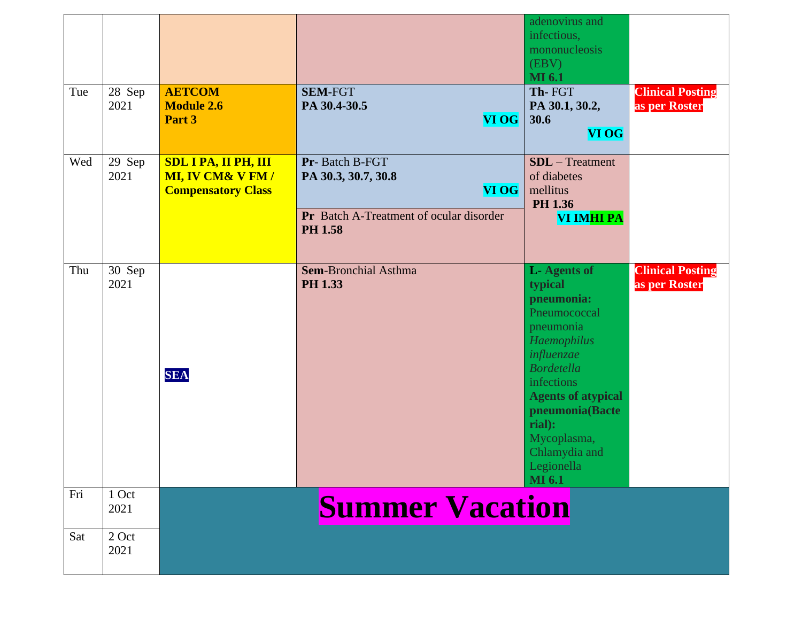|     |                |                                                                                         |                                                                                                             | adenovirus and<br>infectious,<br>mononucleosis<br>(EBV)<br><b>MI</b> 6.1                                                                                                                                                                                          |                                          |
|-----|----------------|-----------------------------------------------------------------------------------------|-------------------------------------------------------------------------------------------------------------|-------------------------------------------------------------------------------------------------------------------------------------------------------------------------------------------------------------------------------------------------------------------|------------------------------------------|
| Tue | 28 Sep<br>2021 | <b>AETCOM</b><br><b>Module 2.6</b><br>Part 3                                            | <b>SEM-FGT</b><br>PA 30.4-30.5<br><b>VI OG</b>                                                              | Th-FGT<br>PA 30.1, 30.2,<br>30.6<br><b>VI OG</b>                                                                                                                                                                                                                  | <b>Clinical Posting</b><br>as per Roster |
| Wed | 29 Sep<br>2021 | <b>SDL I PA, II PH, III</b><br><b>MI, IV CM&amp; V FM/</b><br><b>Compensatory Class</b> | Pr-Batch B-FGT<br>PA 30.3, 30.7, 30.8<br>VI OG<br>Pr Batch A-Treatment of ocular disorder<br><b>PH 1.58</b> | $SDL - Treatment$<br>of diabetes<br>mellitus<br>PH 1.36<br>VI IMHI PA                                                                                                                                                                                             |                                          |
| Thu | 30 Sep<br>2021 | <b>SEA</b>                                                                              | <b>Sem-Bronchial Asthma</b><br><b>PH 1.33</b>                                                               | <b>L-Agents of</b><br>typical<br>pneumonia:<br>Pneumococcal<br>pneumonia<br>Haemophilus<br>influenzae<br><b>Bordetella</b><br>infections<br><b>Agents of atypical</b><br>pneumonia(Bacte<br>rial):<br>Mycoplasma,<br>Chlamydia and<br>Legionella<br><b>MI</b> 6.1 | <b>Clinical Posting</b><br>as per Roster |
| Fri | 1 Oct<br>2021  |                                                                                         | <b>Summer Vacation</b>                                                                                      |                                                                                                                                                                                                                                                                   |                                          |
| Sat | 2 Oct<br>2021  |                                                                                         |                                                                                                             |                                                                                                                                                                                                                                                                   |                                          |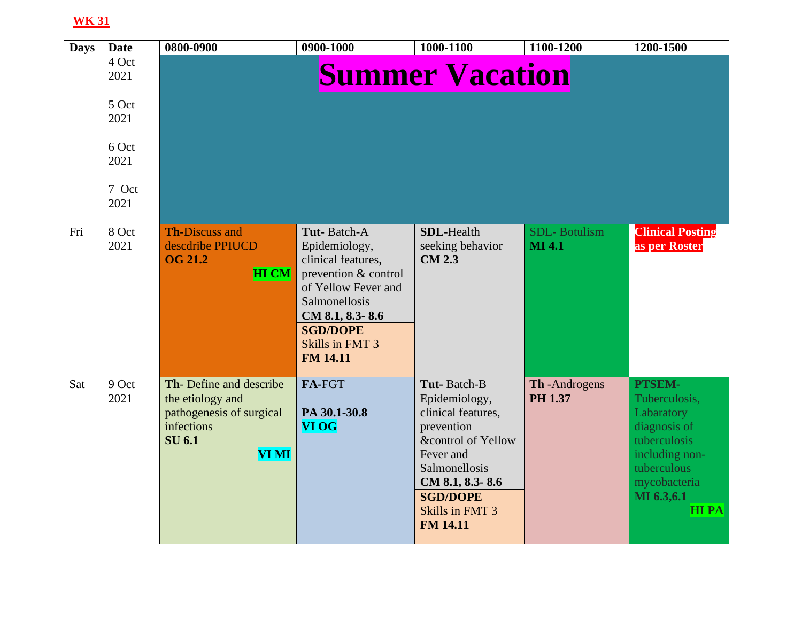| <b>Days</b> | <b>Date</b>   | 0800-0900                                                                                                      | 0900-1000                                                                                                                                                                                      | 1000-1100                                                                                                                                                                                        | 1100-1200                            | 1200-1500                                                                                                                                           |
|-------------|---------------|----------------------------------------------------------------------------------------------------------------|------------------------------------------------------------------------------------------------------------------------------------------------------------------------------------------------|--------------------------------------------------------------------------------------------------------------------------------------------------------------------------------------------------|--------------------------------------|-----------------------------------------------------------------------------------------------------------------------------------------------------|
|             | 4 Oct<br>2021 |                                                                                                                |                                                                                                                                                                                                | <b>Summer Vacation</b>                                                                                                                                                                           |                                      |                                                                                                                                                     |
|             | 5 Oct<br>2021 |                                                                                                                |                                                                                                                                                                                                |                                                                                                                                                                                                  |                                      |                                                                                                                                                     |
|             | 6 Oct<br>2021 |                                                                                                                |                                                                                                                                                                                                |                                                                                                                                                                                                  |                                      |                                                                                                                                                     |
|             | 7 Oct<br>2021 |                                                                                                                |                                                                                                                                                                                                |                                                                                                                                                                                                  |                                      |                                                                                                                                                     |
| Fri         | 8 Oct<br>2021 | <b>Th-Discuss and</b><br>descdribe PPIUCD<br><b>OG 21.2</b><br><b>HI CM</b>                                    | Tut-Batch-A<br>Epidemiology,<br>clinical features,<br>prevention & control<br>of Yellow Fever and<br>Salmonellosis<br>CM 8.1, 8.3-8.6<br><b>SGD/DOPE</b><br>Skills in FMT 3<br><b>FM 14.11</b> | <b>SDL-Health</b><br>seeking behavior<br><b>CM 2.3</b>                                                                                                                                           | <b>SDL-Botulism</b><br><b>MI 4.1</b> | <b>Clinical Posting</b><br>as per Roster                                                                                                            |
| Sat         | 9 Oct<br>2021 | Th-Define and describe<br>the etiology and<br>pathogenesis of surgical<br>infections<br><b>SU 6.1</b><br>VI MI | FA-FGT<br>PA 30.1-30.8<br><b>VI OG</b>                                                                                                                                                         | Tut-Batch-B<br>Epidemiology,<br>clinical features,<br>prevention<br>&control of Yellow<br>Fever and<br>Salmonellosis<br>CM 8.1, 8.3-8.6<br><b>SGD/DOPE</b><br>Skills in FMT 3<br><b>FM 14.11</b> | Th-Androgens<br>PH 1.37              | PTSEM-<br>Tuberculosis,<br>Labaratory<br>diagnosis of<br>tuberculosis<br>including non-<br>tuberculous<br>mycobacteria<br>MI 6.3,6.1<br><b>HIPA</b> |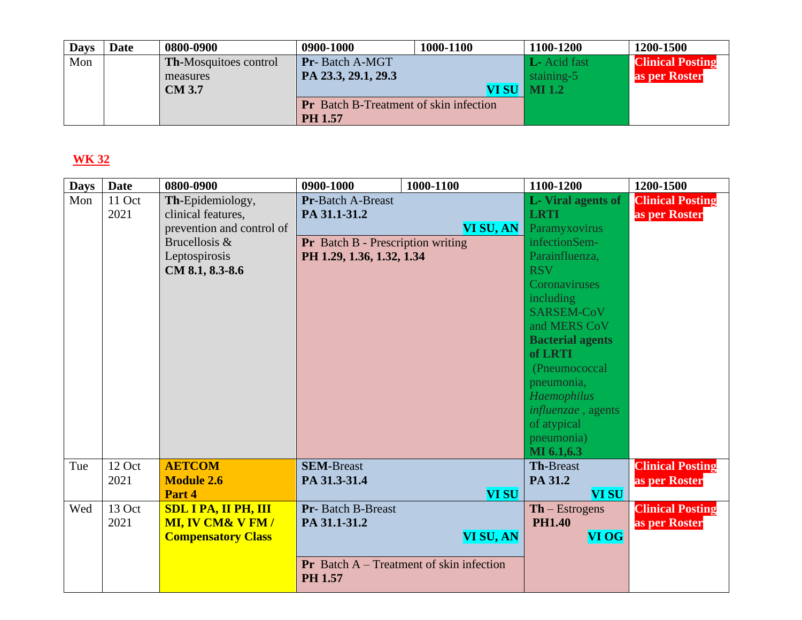| <b>Days</b> | Date | 0800-0900                    | 0900-1000                                     | 1000-1100 | 1100-1200             | 1200-1500               |
|-------------|------|------------------------------|-----------------------------------------------|-----------|-----------------------|-------------------------|
| Mon         |      | <b>Th-Mosquitoes control</b> | Pr-Batch A-MGT                                |           | L- Acid fast          | <b>Clinical Posting</b> |
|             |      | measures                     | PA 23.3, 29.1, 29.3                           |           | staining-5            | as per Roster           |
|             |      | <b>CM 3.7</b>                |                                               |           | <b>VI SU   MI 1.2</b> |                         |
|             |      |                              | <b>Pr</b> Batch B-Treatment of skin infection |           |                       |                         |
|             |      |                              | <b>PH 1.57</b>                                |           |                       |                         |

| <b>Days</b> | <b>Date</b> | 0800-0900                   | 0900-1000                                | 1000-1100                                         | 1100-1200                 | 1200-1500               |
|-------------|-------------|-----------------------------|------------------------------------------|---------------------------------------------------|---------------------------|-------------------------|
| Mon         | 11 Oct      | Th-Epidemiology,            | <b>Pr-Batch A-Breast</b>                 |                                                   | <b>L</b> -Viral agents of | <b>Clinical Posting</b> |
|             | 2021        | clinical features,          | PA 31.1-31.2                             |                                                   | <b>LRTI</b>               | as per Roster           |
|             |             | prevention and control of   |                                          | VI SU, AN                                         | Paramyxovirus             |                         |
|             |             | Brucellosis &               | <b>Pr</b> Batch B - Prescription writing |                                                   | infectionSem-             |                         |
|             |             | Leptospirosis               | PH 1.29, 1.36, 1.32, 1.34                |                                                   | Parainfluenza,            |                         |
|             |             | CM 8.1, 8.3-8.6             |                                          |                                                   | <b>RSV</b>                |                         |
|             |             |                             |                                          |                                                   | Coronaviruses             |                         |
|             |             |                             |                                          |                                                   | including                 |                         |
|             |             |                             |                                          |                                                   | SARSEM-CoV                |                         |
|             |             |                             |                                          |                                                   | and MERS CoV              |                         |
|             |             |                             |                                          |                                                   | <b>Bacterial agents</b>   |                         |
|             |             |                             |                                          |                                                   | of LRTI                   |                         |
|             |             |                             |                                          |                                                   | (Pneumococcal             |                         |
|             |             |                             |                                          |                                                   | pneumonia,                |                         |
|             |             |                             |                                          |                                                   | <b>Haemophilus</b>        |                         |
|             |             |                             |                                          |                                                   | influenzae, agents        |                         |
|             |             |                             |                                          |                                                   | of atypical               |                         |
|             |             |                             |                                          |                                                   | pneumonia)                |                         |
|             |             |                             |                                          |                                                   | MI 6.1,6.3                |                         |
| Tue         | 12 Oct      | <b>AETCOM</b>               | <b>SEM-Breast</b>                        |                                                   | <b>Th-Breast</b>          | <b>Clinical Posting</b> |
|             | 2021        | <b>Module 2.6</b>           | PA 31.3-31.4                             |                                                   | PA 31.2                   | as per Roster           |
|             |             | Part 4                      |                                          | <b>VI SU</b>                                      | <b>VI SU</b>              |                         |
| Wed         | 13 Oct      | <b>SDL I PA, II PH, III</b> | <b>Pr</b> -Batch B-Breast                |                                                   | $Th - Estrogens$          | <b>Clinical Posting</b> |
|             | 2021        | <b>MI, IV CM&amp; V FM/</b> | PA 31.1-31.2                             |                                                   | <b>PH1.40</b>             | as per Roster           |
|             |             | <b>Compensatory Class</b>   |                                          | <b>VI SU, AN</b>                                  | <b>VI OG</b>              |                         |
|             |             |                             |                                          |                                                   |                           |                         |
|             |             |                             | PH 1.57                                  | <b>Pr</b> Batch $A$ – Treatment of skin infection |                           |                         |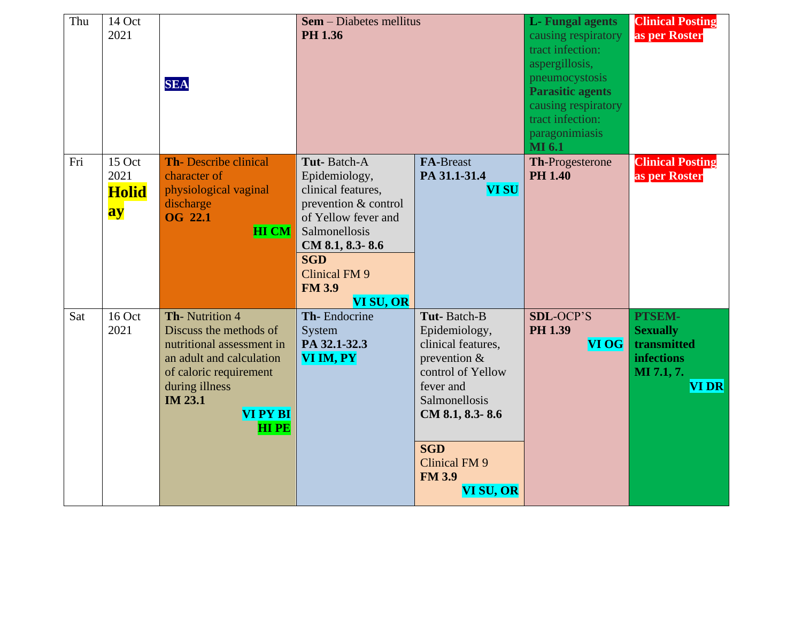| Thu | 14 Oct<br>2021                       | <b>SEA</b>                                                                                                                                                                                        | <b>Sem</b> – Diabetes mellitus<br>PH 1.36                                                                                                                                                                 |                                                                                                                                                                                                                 | <b>L</b> -Fungal agents<br>causing respiratory<br>tract infection:<br>aspergillosis,<br>pneumocystosis<br><b>Parasitic agents</b><br>causing respiratory<br>tract infection:<br>paragonimiasis<br><b>MI</b> 6.1 | <b>Clinical Posting</b><br>as per Roster                                                   |
|-----|--------------------------------------|---------------------------------------------------------------------------------------------------------------------------------------------------------------------------------------------------|-----------------------------------------------------------------------------------------------------------------------------------------------------------------------------------------------------------|-----------------------------------------------------------------------------------------------------------------------------------------------------------------------------------------------------------------|-----------------------------------------------------------------------------------------------------------------------------------------------------------------------------------------------------------------|--------------------------------------------------------------------------------------------|
| Fri | 15 Oct<br>2021<br><b>Holid</b><br>ay | <b>Th-Describe clinical</b><br>character of<br>physiological vaginal<br>discharge<br><b>OG 22.1</b><br><b>HI CM</b>                                                                               | Tut-Batch-A<br>Epidemiology,<br>clinical features,<br>prevention & control<br>of Yellow fever and<br>Salmonellosis<br>CM 8.1, 8.3-8.6<br><b>SGD</b><br><b>Clinical FM 9</b><br><b>FM 3.9</b><br>VI SU, OR | <b>FA-Breast</b><br>PA 31.1-31.4<br><b>VI SU</b>                                                                                                                                                                | <b>Th-Progesterone</b><br><b>PH 1.40</b>                                                                                                                                                                        | <b>Clinical Posting</b><br>as per Roster                                                   |
| Sat | 16 Oct<br>2021                       | Th-Nutrition 4<br>Discuss the methods of<br>nutritional assessment in<br>an adult and calculation<br>of caloric requirement<br>during illness<br><b>IM 23.1</b><br><b>VI PY BI</b><br><b>HIPE</b> | Th-Endocrine<br>System<br>PA 32.1-32.3<br>VI IM, PY                                                                                                                                                       | Tut-Batch-B<br>Epidemiology,<br>clinical features,<br>prevention $\&$<br>control of Yellow<br>fever and<br>Salmonellosis<br>CM 8.1, 8.3-8.6<br><b>SGD</b><br><b>Clinical FM 9</b><br><b>FM 3.9</b><br>VI SU, OR | <b>SDL-OCP'S</b><br><b>PH 1.39</b><br><b>VI OG</b>                                                                                                                                                              | PTSEM-<br><b>Sexually</b><br>transmitted<br><b>infections</b><br>MI 7.1, 7.<br><b>VIDR</b> |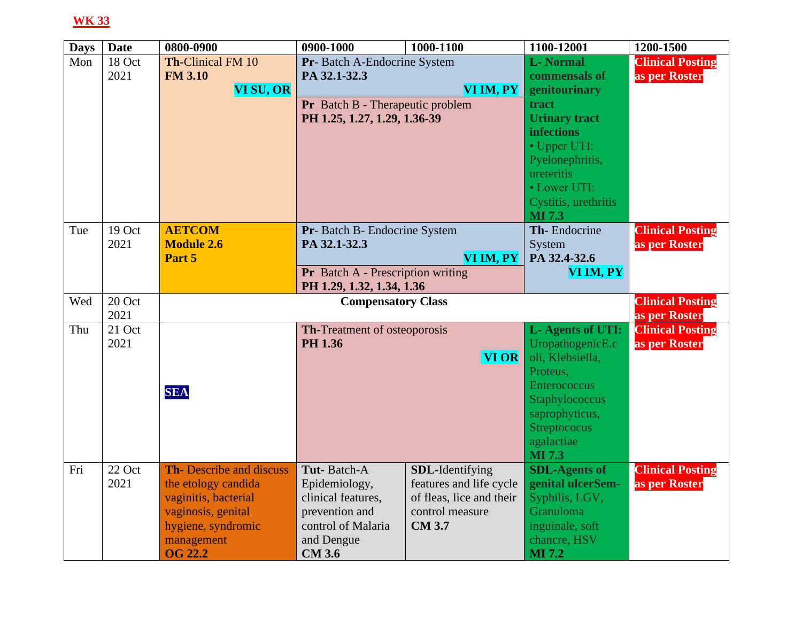| <b>Days</b> | <b>Date</b> | 0800-0900                      | 0900-1000                            | 1000-1100                                           | 1100-12001                    | 1200-1500               |
|-------------|-------------|--------------------------------|--------------------------------------|-----------------------------------------------------|-------------------------------|-------------------------|
| Mon         | 18 Oct      | <b>Th-Clinical FM 10</b>       | Pr- Batch A-Endocrine System         |                                                     | <b>L-Normal</b>               | <b>Clinical Posting</b> |
|             | 2021        | <b>FM 3.10</b>                 | PA 32.1-32.3                         |                                                     | commensals of                 | as per Roster           |
|             |             | VI SU, OR                      |                                      | VI IM, $PY$                                         | genitourinary                 |                         |
|             |             |                                | Pr Batch B - Therapeutic problem     |                                                     | tract                         |                         |
|             |             |                                | PH 1.25, 1.27, 1.29, 1.36-39         |                                                     | <b>Urinary tract</b>          |                         |
|             |             |                                |                                      |                                                     |                               |                         |
|             |             |                                |                                      |                                                     | • Upper UTI:                  |                         |
|             |             |                                |                                      |                                                     | Pyelonephritis,               |                         |
|             |             |                                |                                      |                                                     | ureteritis                    |                         |
|             |             |                                |                                      |                                                     | • Lower UTI:                  |                         |
|             |             |                                |                                      |                                                     | Cystitis, urethritis          |                         |
|             |             |                                |                                      |                                                     | <b>MI 7.3</b>                 |                         |
| Tue         | 19 Oct      | <b>AETCOM</b>                  | Pr- Batch B- Endocrine System        |                                                     | Th-Endocrine                  | <b>Clinical Posting</b> |
|             | 2021        | <b>Module 2.6</b>              | PA 32.1-32.3                         |                                                     | System                        | as per Roster           |
|             |             | Part 5                         | VI IM, PY                            |                                                     | PA 32.4-32.6                  |                         |
|             |             |                                | Pr Batch A - Prescription writing    |                                                     | VI IM, PY                     |                         |
|             |             |                                | PH 1.29, 1.32, 1.34, 1.36            |                                                     |                               |                         |
| Wed         | 20 Oct      |                                | <b>Compensatory Class</b>            | <b>Clinical Posting</b>                             |                               |                         |
|             | 2021        |                                |                                      |                                                     |                               | as per Roster           |
| Thu         | 21 Oct      |                                | Th-Treatment of osteoporosis         |                                                     | L- Agents of UTI:             | <b>Clinical Posting</b> |
|             | 2021        |                                | PH 1.36                              |                                                     | UropathogenicE.c              | as per Roster           |
|             |             |                                |                                      | VI OR                                               | oli, Klebsiella,              |                         |
|             |             |                                |                                      |                                                     | Proteus,                      |                         |
|             |             | <b>SEA</b>                     |                                      |                                                     | <b>Enterococcus</b>           |                         |
|             |             |                                |                                      |                                                     | Staphylococcus                |                         |
|             |             |                                |                                      |                                                     | saprophyticus,                |                         |
|             |             |                                |                                      |                                                     | <b>Streptococus</b>           |                         |
|             |             |                                |                                      |                                                     | agalactiae                    |                         |
|             | 22 Oct      |                                |                                      |                                                     | <b>MI 7.3</b>                 |                         |
| Fri         | 2021        | <b>Th-Describe and discuss</b> | Tut-Batch-A                          | SDL-Identifying                                     | <b>SDL-Agents of</b>          | <b>Clinical Posting</b> |
|             |             | the etology candida            | Epidemiology,                        | features and life cycle<br>of fleas, lice and their | genital ulcerSem-             | as per Roster           |
|             |             | vaginitis, bacterial           | clinical features,<br>prevention and | control measure                                     | Syphilis, LGV,<br>Granuloma   |                         |
|             |             | vaginosis, genital             | control of Malaria                   | <b>CM 3.7</b>                                       | inguinale, soft               |                         |
|             |             | hygiene, syndromic             |                                      |                                                     |                               |                         |
|             |             |                                |                                      |                                                     |                               |                         |
|             |             | management<br><b>OG 22.2</b>   | and Dengue<br><b>CM 3.6</b>          |                                                     | chancre, HSV<br><b>MI</b> 7.2 |                         |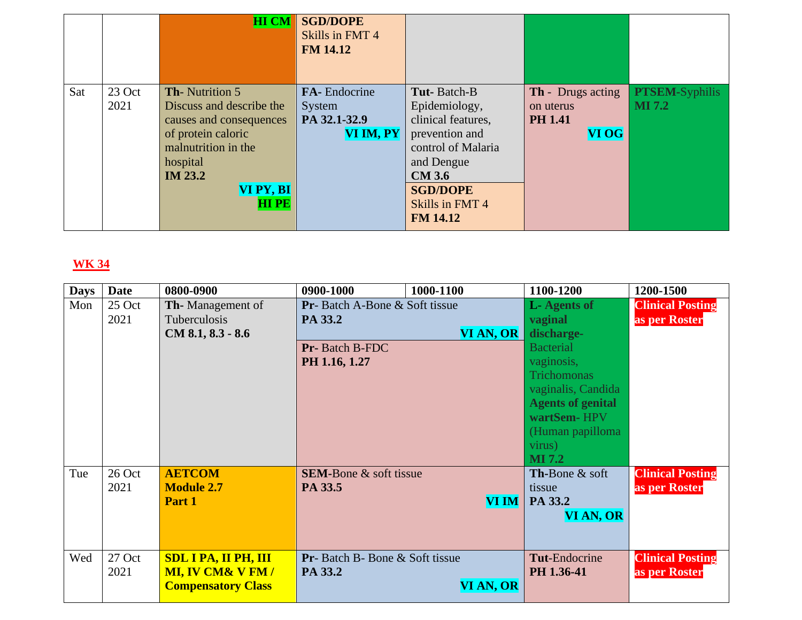|                       | <b>HI CM</b>                                                                                                                                                                        | <b>SGD/DOPE</b><br>Skills in FMT 4<br><b>FM 14.12</b> |                                                                                                                                                                 |                                                                  |                                        |
|-----------------------|-------------------------------------------------------------------------------------------------------------------------------------------------------------------------------------|-------------------------------------------------------|-----------------------------------------------------------------------------------------------------------------------------------------------------------------|------------------------------------------------------------------|----------------------------------------|
| Sat<br>23 Oct<br>2021 | <b>Th-Nutrition 5</b><br>Discuss and describe the<br>causes and consequences<br>of protein caloric<br>malnutrition in the<br>hospital<br><b>IM 23.2</b><br>VI PY, BI<br><b>HIPE</b> | FA-Endocrine<br>System<br>PA 32.1-32.9<br>VI IM, PY   | Tut-Batch-B<br>Epidemiology,<br>clinical features,<br>prevention and<br>control of Malaria<br>and Dengue<br><b>CM 3.6</b><br><b>SGD/DOPE</b><br>Skills in FMT 4 | <b>Th</b> - Drugs acting<br>on uterus<br><b>PH 1.41</b><br>VI OG | <b>PTSEM-Syphilis</b><br><b>MI</b> 7.2 |

| <b>Days</b> | <b>Date</b> | 0800-0900                   | 0900-1000                         | 1000-1100    | 1100-1200                               | 1200-1500               |
|-------------|-------------|-----------------------------|-----------------------------------|--------------|-----------------------------------------|-------------------------|
| Mon         | 25 Oct      | <b>Th-</b> Management of    | Pr-Batch A-Bone & Soft tissue     |              | <b>L</b> -Agents of                     | <b>Clinical Posting</b> |
|             | 2021        | Tuberculosis                | PA 33.2                           |              | vaginal                                 | as per Roster           |
|             |             | $CM 8.1, 8.3 - 8.6$         |                                   | VI AN, OR    | discharge-                              |                         |
|             |             |                             | Pr-Batch B-FDC                    |              | <b>Bacterial</b>                        |                         |
|             |             |                             | PH 1.16, 1.27                     |              | vaginosis,                              |                         |
|             |             |                             |                                   |              | <b>Trichomonas</b>                      |                         |
|             |             |                             |                                   |              | vaginalis, Candida                      |                         |
|             |             |                             |                                   |              | <b>Agents of genital</b>                |                         |
|             |             |                             |                                   |              | wartSem-HPV                             |                         |
|             |             |                             |                                   |              | (Human papilloma                        |                         |
|             |             |                             |                                   |              | virus)                                  |                         |
|             |             |                             |                                   |              | <b>MI</b> 7.2                           |                         |
| Tue         | 26 Oct      | <b>AETCOM</b>               | <b>SEM-Bone &amp; soft tissue</b> |              | <b>Th-Bone <math>\&amp;</math> soft</b> | <b>Clinical Posting</b> |
|             | 2021        | <b>Module 2.7</b>           | PA 33.5                           |              | tissue                                  | as per Roster           |
|             |             | Part 1                      |                                   | <b>VI IM</b> | PA 33.2                                 |                         |
|             |             |                             |                                   |              | VI AN, OR                               |                         |
|             |             |                             |                                   |              |                                         |                         |
|             |             |                             |                                   |              |                                         |                         |
| Wed         | 27 Oct      | <b>SDL I PA, II PH, III</b> | Pr-Batch B-Bone & Soft tissue     |              | <b>Tut-Endocrine</b>                    | <b>Clinical Posting</b> |
|             | 2021        | <b>MI, IV CM&amp; V FM/</b> | PA 33.2                           |              | PH 1.36-41                              | as per Roster           |
|             |             | <b>Compensatory Class</b>   |                                   | VI AN, OR    |                                         |                         |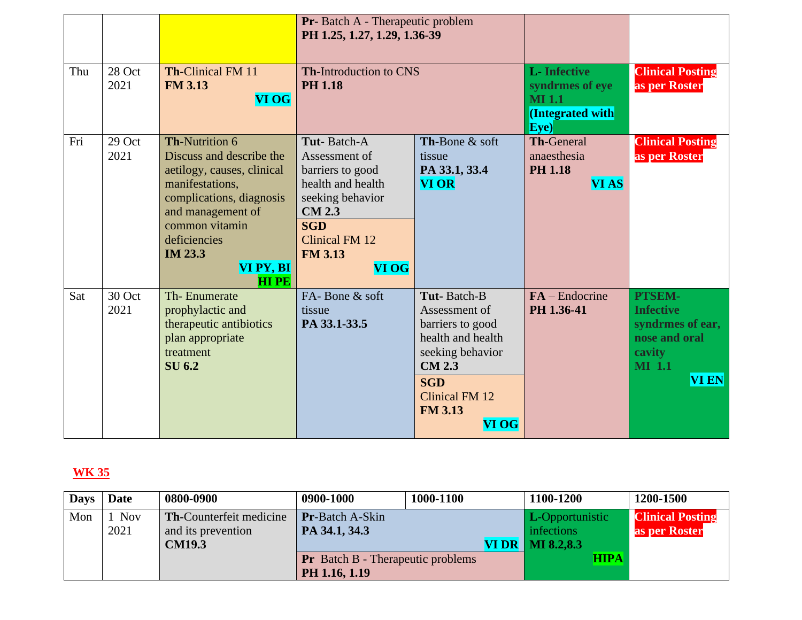|     |                |                                                                                                                                                                                                                              | Pr-Batch A - Therapeutic problem<br>PH 1.25, 1.27, 1.29, 1.36-39                                                                                                                    |                                                                                                                                                                       |                                                                                     |                                                                                                                   |
|-----|----------------|------------------------------------------------------------------------------------------------------------------------------------------------------------------------------------------------------------------------------|-------------------------------------------------------------------------------------------------------------------------------------------------------------------------------------|-----------------------------------------------------------------------------------------------------------------------------------------------------------------------|-------------------------------------------------------------------------------------|-------------------------------------------------------------------------------------------------------------------|
| Thu | 28 Oct<br>2021 | <b>Th-Clinical FM 11</b><br><b>FM 3.13</b><br>VI OG                                                                                                                                                                          | <b>Th-Introduction to CNS</b><br><b>PH 1.18</b>                                                                                                                                     |                                                                                                                                                                       | <b>L</b> -Infective<br>syndrmes of eye<br><b>MI</b> 1.1<br>(Integrated with<br>Eve) | <b>Clinical Posting</b><br>as per Roster                                                                          |
| Fri | 29 Oct<br>2021 | Th-Nutrition 6<br>Discuss and describe the<br>aetilogy, causes, clinical<br>manifestations.<br>complications, diagnosis<br>and management of<br>common vitamin<br>deficiencies<br><b>IM 23.3</b><br>VI PY, BI<br><b>HIPE</b> | Tut-Batch-A<br>Assessment of<br>barriers to good<br>health and health<br>seeking behavior<br><b>CM 2.3</b><br><b>SGD</b><br><b>Clinical FM 12</b><br><b>FM 3.13</b><br><b>VI OG</b> | Th-Bone & soft<br>tissue<br>PA 33.1, 33.4<br><b>VI OR</b>                                                                                                             | <b>Th-General</b><br>anaesthesia<br><b>PH 1.18</b><br><b>VI AS</b>                  | <b>Clinical Posting</b><br>as per Roster                                                                          |
| Sat | 30 Oct<br>2021 | Th-Enumerate<br>prophylactic and<br>therapeutic antibiotics<br>plan appropriate<br>treatment<br><b>SU 6.2</b>                                                                                                                | FA-Bone & soft<br>tissue<br>PA 33.1-33.5                                                                                                                                            | Tut-Batch-B<br>Assessment of<br>barriers to good<br>health and health<br>seeking behavior<br><b>CM 2.3</b><br><b>SGD</b><br>Clinical FM 12<br><b>FM 3.13</b><br>VI OG | $FA - Endocrine$<br>PH 1.36-41                                                      | <b>PTSEM-</b><br><b>Infective</b><br>syndrmes of ear,<br>nose and oral<br>cavity<br><b>MI</b> 1.1<br><b>VI EN</b> |

| <b>Days</b> | Date          | 0800-0900                                                             | 0900-1000                                                 | 1000-1100 | 1100-1200                                                          | 1200-1500                                |
|-------------|---------------|-----------------------------------------------------------------------|-----------------------------------------------------------|-----------|--------------------------------------------------------------------|------------------------------------------|
| Mon         | 1 Nov<br>2021 | <b>Th-Counterfeit medicine</b><br>and its prevention<br><b>CM19.3</b> | <b>Pr-Batch A-Skin</b><br>PA 34.1, 34.3                   |           | <b>L</b> -Opportunistic<br>infections<br><b>VI DR</b>   MI 8.2,8.3 | <b>Clinical Posting</b><br>as per Roster |
|             |               |                                                                       | <b>Pr</b> Batch B - Therapeutic problems<br>PH 1.16, 1.19 |           | <b>HIPA</b>                                                        |                                          |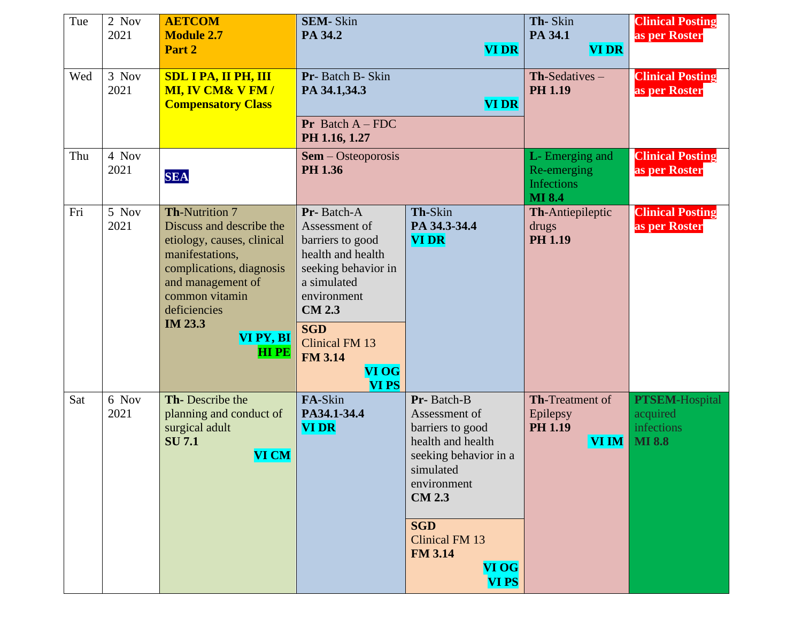| Tue | 2 Nov<br>2021 | <b>AETCOM</b><br><b>Module 2.7</b><br>Part 2                                                                                                                                                                                        | <b>SEM-Skin</b><br>PA 34.2                                                                                                                                                                                                   | <b>VI DR</b>                                                                                                                                                                                                                 | Th-Skin<br>PA 34.1<br><b>VI DR</b>                                           | <b>Clinical Posting</b><br>as per Roster                         |
|-----|---------------|-------------------------------------------------------------------------------------------------------------------------------------------------------------------------------------------------------------------------------------|------------------------------------------------------------------------------------------------------------------------------------------------------------------------------------------------------------------------------|------------------------------------------------------------------------------------------------------------------------------------------------------------------------------------------------------------------------------|------------------------------------------------------------------------------|------------------------------------------------------------------|
| Wed | 3 Nov<br>2021 | <b>SDL I PA, II PH, III</b><br><b>MI, IV CM&amp; V FM/</b><br><b>Compensatory Class</b>                                                                                                                                             | Pr-Batch B-Skin<br>PA 34.1,34.3<br><b>VI DR</b><br><b>Pr</b> Batch $A$ – FDC                                                                                                                                                 |                                                                                                                                                                                                                              | $Th-Sedatives -$<br><b>PH 1.19</b>                                           | <b>Clinical Posting</b><br>as per Roster                         |
| Thu | 4 Nov<br>2021 | <b>SEA</b>                                                                                                                                                                                                                          | PH 1.16, 1.27<br>$Sem - Osteoporosis$<br>PH 1.36                                                                                                                                                                             |                                                                                                                                                                                                                              | <b>L</b> - Emerging and<br>Re-emerging<br><b>Infections</b><br><b>MI 8.4</b> | <b>Clinical Posting</b><br>as per Roster                         |
| Fri | 5 Nov<br>2021 | <b>Th-Nutrition 7</b><br>Discuss and describe the<br>etiology, causes, clinical<br>manifestations,<br>complications, diagnosis<br>and management of<br>common vitamin<br>deficiencies<br><b>IM 23.3</b><br>VI PY, BI<br><b>HIPE</b> | Pr-Batch-A<br>Assessment of<br>barriers to good<br>health and health<br>seeking behavior in<br>a simulated<br>environment<br><b>CM 2.3</b><br><b>SGD</b><br><b>Clinical FM 13</b><br><b>FM 3.14</b><br>VI OG<br><b>VI PS</b> | Th-Skin<br>PA 34.3-34.4<br><b>VI DR</b>                                                                                                                                                                                      | Th-Antiepileptic<br>drugs<br><b>PH 1.19</b>                                  | <b>Clinical Posting</b><br>as per Roster                         |
| Sat | 6 Nov<br>2021 | Th-Describe the<br>planning and conduct of<br>surgical adult<br><b>SU 7.1</b><br><b>VI CM</b>                                                                                                                                       | FA-Skin<br>PA34.1-34.4<br><b>VI DR</b>                                                                                                                                                                                       | Pr-Batch-B<br>Assessment of<br>barriers to good<br>health and health<br>seeking behavior in a<br>simulated<br>environment<br><b>CM 2.3</b><br><b>SGD</b><br>Clinical FM 13<br><b>FM 3.14</b><br><b>VI OG</b><br><b>VI PS</b> | <b>Th-Treatment of</b><br>Epilepsy<br><b>PH 1.19</b><br><b>VI IM</b>         | <b>PTSEM-Hospital</b><br>acquired<br>infections<br><b>MI 8.8</b> |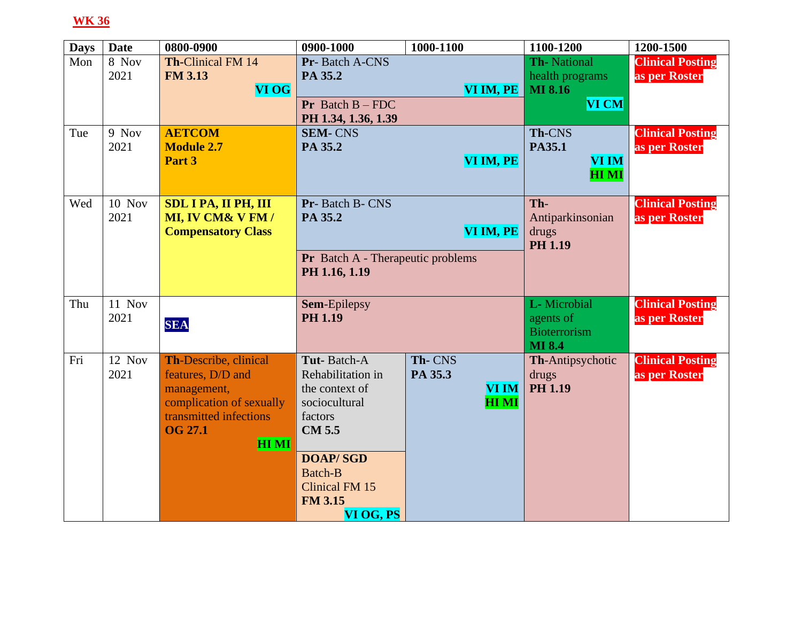| <b>Days</b> | <b>Date</b> | 0800-0900                   | 0900-1000                         | 1000-1100    | 1100-1200               | 1200-1500               |
|-------------|-------------|-----------------------------|-----------------------------------|--------------|-------------------------|-------------------------|
| Mon         | 8 Nov       | <b>Th-Clinical FM 14</b>    | Pr-Batch A-CNS                    |              | Th-National             | <b>Clinical Posting</b> |
|             | 2021        | <b>FM 3.13</b>              | PA 35.2                           |              | health programs         | as per Roster           |
|             |             | <b>VI OG</b>                |                                   | VI IM, PE    | <b>MI 8.16</b>          |                         |
|             |             |                             | <b>Pr</b> Batch $B$ – FDC         |              | <b>VI CM</b>            |                         |
|             |             |                             | PH 1.34, 1.36, 1.39               |              |                         |                         |
| Tue         | 9 Nov       | <b>AETCOM</b>               | <b>SEM-CNS</b>                    |              | Th-CNS                  | <b>Clinical Posting</b> |
|             | 2021        | <b>Module 2.7</b>           | PA 35.2                           |              | PA35.1                  | as per Roster           |
|             |             | Part 3                      |                                   | VI IM, PE    | VI IM                   |                         |
|             |             |                             |                                   |              | <b>HIMI</b>             |                         |
|             |             |                             |                                   |              |                         |                         |
| Wed         | 10 Nov      | <b>SDL I PA, II PH, III</b> | Pr-Batch B-CNS                    |              | Th-                     | <b>Clinical Posting</b> |
|             | 2021        | MI, IV CM& V FM /           | PA 35.2                           |              | Antiparkinsonian        | as per Roster           |
|             |             | <b>Compensatory Class</b>   |                                   | VI IM, PE    | drugs<br><b>PH 1.19</b> |                         |
|             |             |                             | Pr Batch A - Therapeutic problems |              |                         |                         |
|             |             |                             | PH 1.16, 1.19                     |              |                         |                         |
|             |             |                             |                                   |              |                         |                         |
| Thu         | 11 Nov      |                             | Sem-Epilepsy                      |              | L- Microbial            | <b>Clinical Posting</b> |
|             | 2021        |                             | <b>PH 1.19</b>                    |              | agents of               | as per Roster           |
|             |             | <b>SEA</b>                  |                                   |              | <b>Bioterrorism</b>     |                         |
|             |             |                             |                                   |              | <b>MI 8.4</b>           |                         |
| Fri         | 12 Nov      | Th-Describe, clinical       | Tut-Batch-A                       | Th-CNS       | Th-Antipsychotic        | <b>Clinical Posting</b> |
|             | 2021        | features, D/D and           | Rehabilitation in                 | PA 35.3      | drugs                   | as per Roster           |
|             |             | management,                 | the context of                    | <b>VI IM</b> | <b>PH 1.19</b>          |                         |
|             |             | complication of sexually    | sociocultural                     | <b>HIMI</b>  |                         |                         |
|             |             | transmitted infections      | factors                           |              |                         |                         |
|             |             | <b>OG 27.1</b>              | <b>CM 5.5</b>                     |              |                         |                         |
|             |             | <b>HIMI</b>                 |                                   |              |                         |                         |
|             |             |                             | <b>DOAP/SGD</b>                   |              |                         |                         |
|             |             |                             | <b>Batch-B</b>                    |              |                         |                         |
|             |             |                             | <b>Clinical FM 15</b>             |              |                         |                         |
|             |             |                             | <b>FM 3.15</b>                    |              |                         |                         |
|             |             |                             | VI OG, PS                         |              |                         |                         |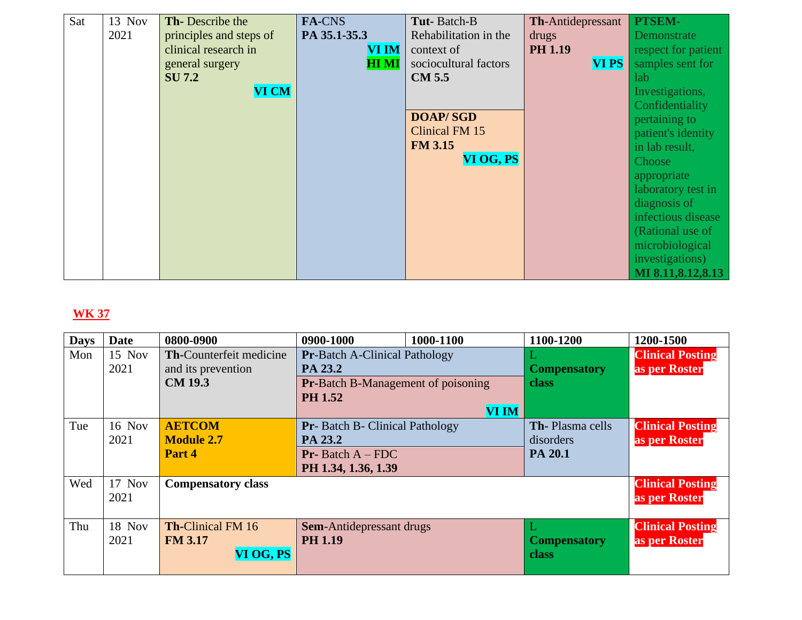| Sat | 13 Nov | <b>Th-Describe the</b>  | FA-CNS       | Tut-Batch-B           | <b>Th-Antidepressant</b> | PTSEM-              |
|-----|--------|-------------------------|--------------|-----------------------|--------------------------|---------------------|
|     | 2021   | principles and steps of | PA 35.1-35.3 | Rehabilitation in the | drugs                    | Demonstrate         |
|     |        | clinical research in    | <b>VI IM</b> | context of            | <b>PH 1.19</b>           | respect for patient |
|     |        | general surgery         | <b>HI MI</b> | sociocultural factors | <b>VIPS</b>              | samples sent for    |
|     |        | <b>SU 7.2</b>           |              | <b>CM 5.5</b>         |                          | lab                 |
|     |        | <b>VI CM</b>            |              |                       |                          | Investigations,     |
|     |        |                         |              |                       |                          | Confidentiality     |
|     |        |                         |              | <b>DOAP/SGD</b>       |                          | pertaining to       |
|     |        |                         |              | Clinical FM 15        |                          | patient's identity  |
|     |        |                         |              | <b>FM 3.15</b>        |                          | in lab result,      |
|     |        |                         |              | VI OG, PS             |                          | Choose              |
|     |        |                         |              |                       |                          | appropriate         |
|     |        |                         |              |                       |                          | laboratory test in  |
|     |        |                         |              |                       |                          | diagnosis of        |
|     |        |                         |              |                       |                          | infectious disease  |
|     |        |                         |              |                       |                          | (Rational use of    |
|     |        |                         |              |                       |                          | microbiological     |
|     |        |                         |              |                       |                          | investigations)     |
|     |        |                         |              |                       |                          | MI 8.11, 8.12, 8.13 |

| <b>Days</b> | <b>Date</b>   | 0800-0900                 | 0900-1000                                 | 1000-1100    | 1100-1200              | 1200-1500               |
|-------------|---------------|---------------------------|-------------------------------------------|--------------|------------------------|-------------------------|
| Mon         | 15 Nov        | Th-Counterfeit medicine   | <b>Pr-Batch A-Clinical Pathology</b>      |              |                        | <b>Clinical Posting</b> |
|             | 2021          | and its prevention        | PA 23.2                                   |              | <b>Compensatory</b>    | as per Roster           |
|             |               | <b>CM 19.3</b>            | <b>Pr-Batch B-Management of poisoning</b> |              | <b>class</b>           |                         |
|             |               |                           | <b>PH</b> 1.52                            |              |                        |                         |
|             |               |                           |                                           | <b>VI IM</b> |                        |                         |
| Tue         | <b>16 Nov</b> | <b>AETCOM</b>             | Pr- Batch B- Clinical Pathology           |              | <b>Th-Plasma cells</b> | <b>Clinical Posting</b> |
|             | 2021          | <b>Module 2.7</b>         | PA 23.2                                   |              | disorders              | as per Roster           |
|             |               | Part 4                    | <b>Pr-</b> Batch $A$ – FDC                |              | PA 20.1                |                         |
|             |               |                           | PH 1.34, 1.36, 1.39                       |              |                        |                         |
| Wed         | 17 Nov        | <b>Compensatory class</b> |                                           |              |                        | <b>Clinical Posting</b> |
|             | 2021          |                           |                                           |              |                        | as per Roster           |
|             |               |                           |                                           |              |                        |                         |
| Thu         | 18 Nov        | <b>Th-Clinical FM 16</b>  | <b>Sem-Antidepressant drugs</b>           |              |                        | <b>Clinical Posting</b> |
|             | 2021          | <b>FM 3.17</b>            | <b>PH 1.19</b>                            |              | <b>Compensatory</b>    | as per Roster           |
|             |               | VI OG, PS                 |                                           |              | <b>class</b>           |                         |
|             |               |                           |                                           |              |                        |                         |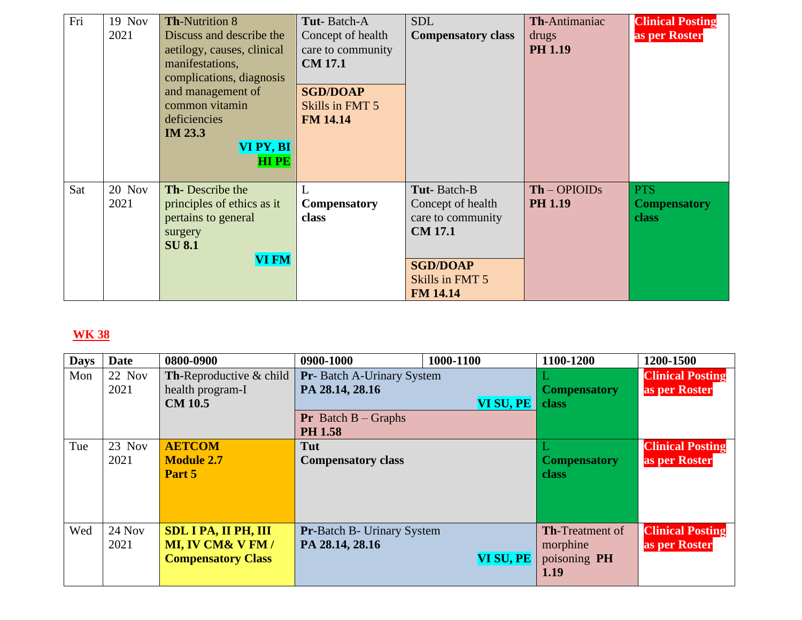| Fri | 19 Nov | <b>Th-Nutrition 8</b>      | Tut-Batch-A         | <b>SDL</b>                | Th-Antimaniac  | <b>Clinical Posting</b> |
|-----|--------|----------------------------|---------------------|---------------------------|----------------|-------------------------|
|     | 2021   | Discuss and describe the   | Concept of health   | <b>Compensatory class</b> | drugs          | as per Roster           |
|     |        | aetilogy, causes, clinical | care to community   |                           | <b>PH 1.19</b> |                         |
|     |        | manifestations,            | <b>CM 17.1</b>      |                           |                |                         |
|     |        | complications, diagnosis   |                     |                           |                |                         |
|     |        | and management of          | <b>SGD/DOAP</b>     |                           |                |                         |
|     |        | common vitamin             | Skills in FMT 5     |                           |                |                         |
|     |        | deficiencies               | <b>FM 14.14</b>     |                           |                |                         |
|     |        | <b>IM 23.3</b>             |                     |                           |                |                         |
|     |        | VI PY, BI                  |                     |                           |                |                         |
|     |        | <b>HIPE</b>                |                     |                           |                |                         |
|     |        |                            |                     |                           |                |                         |
| Sat | 20 Nov | Th-Describe the            | Ι.                  | Tut-Batch-B               | $Th$ – OPIOIDs | <b>PTS</b>              |
|     | 2021   | principles of ethics as it | <b>Compensatory</b> | Concept of health         | <b>PH 1.19</b> | <b>Compensatory</b>     |
|     |        | pertains to general        | class               | care to community         |                | <b>class</b>            |
|     |        | surgery                    |                     | <b>CM 17.1</b>            |                |                         |
|     |        | <b>SU 8.1</b>              |                     |                           |                |                         |
|     |        | <b>VI FM</b>               |                     | <b>SGD/DOAP</b>           |                |                         |
|     |        |                            |                     | Skills in FMT 5           |                |                         |
|     |        |                            |                     | <b>FM 14.14</b>           |                |                         |

| <b>Days</b> | <b>Date</b> | 0800-0900                          | 0900-1000                                      | 1000-1100 | 1100-1200              | 1200-1500               |
|-------------|-------------|------------------------------------|------------------------------------------------|-----------|------------------------|-------------------------|
| Mon         | 22 Nov      | <b>Th-Reproductive &amp; child</b> | <b>Pr</b> -Batch A-Urinary System              |           |                        | <b>Clinical Posting</b> |
|             | 2021        | health program-I                   | PA 28.14, 28.16                                |           | <b>Compensatory</b>    | as per Roster           |
|             |             | <b>CM 10.5</b>                     |                                                | VI SU, PE | class                  |                         |
|             |             |                                    | <b>Pr</b> Batch $B -$ Graphs<br><b>PH 1.58</b> |           |                        |                         |
| Tue         | $23$ Nov    | <b>AETCOM</b>                      | Tut                                            |           |                        | <b>Clinical Posting</b> |
|             | 2021        | <b>Module 2.7</b>                  | <b>Compensatory class</b>                      |           | <b>Compensatory</b>    | as per Roster           |
|             |             | Part 5                             |                                                |           | class                  |                         |
|             |             |                                    |                                                |           |                        |                         |
|             |             |                                    |                                                |           |                        |                         |
| Wed         | $24$ Nov    |                                    |                                                |           | <b>Th-Treatment of</b> |                         |
|             |             | <b>SDL I PA, II PH, III</b>        | <b>Pr-Batch B- Urinary System</b>              |           |                        | <b>Clinical Posting</b> |
|             | 2021        | <b>MI, IV CM&amp; V FM/</b>        | PA 28.14, 28.16                                |           | morphine               | as per Roster           |
|             |             | <b>Compensatory Class</b>          |                                                | VI SU, PE | poisoning PH           |                         |
|             |             |                                    |                                                |           | 1.19                   |                         |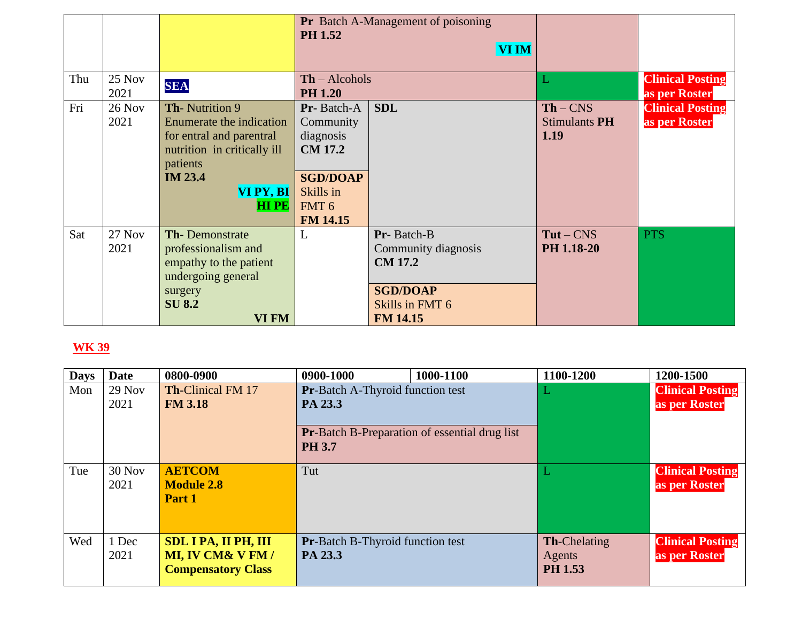|     |                       |                                                                                                                                                                        | <b>Pr</b> Batch A-Management of poisoning<br><b>PH 1.52</b><br><b>VI IM</b>                                                   |                                                                                                              |                                     |                                          |
|-----|-----------------------|------------------------------------------------------------------------------------------------------------------------------------------------------------------------|-------------------------------------------------------------------------------------------------------------------------------|--------------------------------------------------------------------------------------------------------------|-------------------------------------|------------------------------------------|
| Thu | 25 Nov<br>2021        | <b>SEA</b>                                                                                                                                                             | $Th - Alcohols$<br><b>PH 1.20</b>                                                                                             |                                                                                                              | L                                   | <b>Clinical Posting</b><br>as per Roster |
| Fri | <b>26 Nov</b><br>2021 | <b>Th-Nutrition 9</b><br>Enumerate the indication<br>for entral and parentral<br>nutrition in critically ill<br>patients<br><b>IM 23.4</b><br>VI PY, BI<br><b>HIPE</b> | Pr-Batch-A<br>Community<br>diagnosis<br><b>CM 17.2</b><br><b>SGD/DOAP</b><br>Skills in<br>FMT <sub>6</sub><br><b>FM 14.15</b> | <b>SDL</b>                                                                                                   | $Th - CNS$<br>Stimulants PH<br>1.19 | <b>Clinical Posting</b><br>as per Roster |
| Sat | <b>27 Nov</b><br>2021 | <b>Th-Demonstrate</b><br>professionalism and<br>empathy to the patient<br>undergoing general<br>surgery<br><b>SU 8.2</b><br>VI FM                                      |                                                                                                                               | Pr-Batch-B<br>Community diagnosis<br><b>CM 17.2</b><br><b>SGD/DOAP</b><br>Skills in FMT 6<br><b>FM 14.15</b> | $Tut - CMS$<br>PH 1.18-20           | <b>PTS</b>                               |

| <b>Days</b> | Date             | 0800-0900                                                                               | 0900-1000                                          | 1000-1100                                            | 1100-1200                                | 1200-1500                                |
|-------------|------------------|-----------------------------------------------------------------------------------------|----------------------------------------------------|------------------------------------------------------|------------------------------------------|------------------------------------------|
| Mon         | $29$ Nov         | <b>Th-Clinical FM 17</b>                                                                | <b>Pr-Batch A-Thyroid function test</b>            |                                                      |                                          | <b>Clinical Posting</b>                  |
|             | 2021             | <b>FM 3.18</b>                                                                          | PA 23.3                                            |                                                      |                                          | as per Roster                            |
|             |                  |                                                                                         | <b>PH 3.7</b>                                      | <b>Pr-Batch B-Preparation of essential drug list</b> |                                          |                                          |
| Tue         | $30$ Nov<br>2021 | <b>AETCOM</b><br><b>Module 2.8</b><br>Part 1                                            | Tut                                                |                                                      |                                          | <b>Clinical Posting</b><br>as per Roster |
| Wed         | 1 Dec<br>2021    | <b>SDL I PA, II PH, III</b><br><b>MI, IV CM&amp; V FM/</b><br><b>Compensatory Class</b> | <b>Pr-Batch B-Thyroid function test</b><br>PA 23.3 |                                                      | <b>Th-Chelating</b><br>Agents<br>PH 1.53 | <b>Clinical Posting</b><br>as per Roster |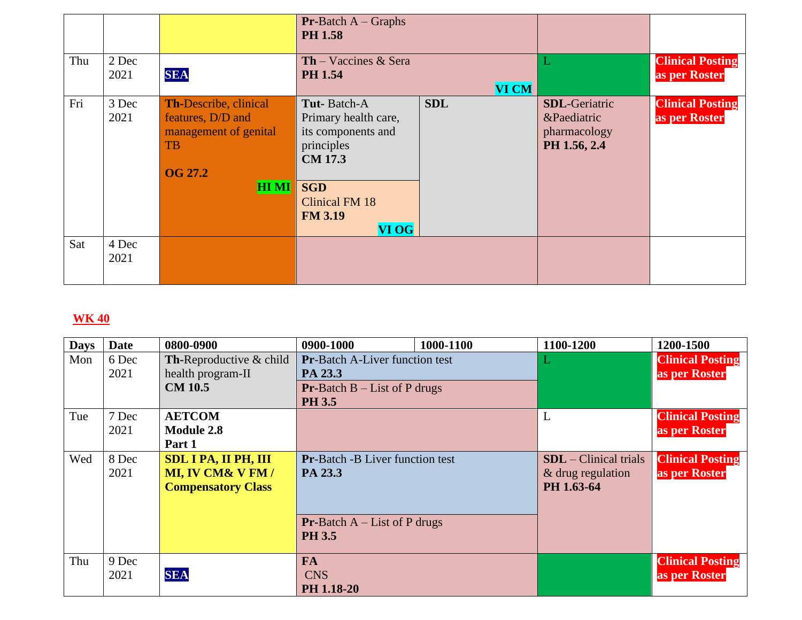|     |               |                                                                                                                   | <b>Pr-Batch A</b> – Graphs<br><b>PH 1.58</b>                                                                                                                |              |                                                                      |                                          |
|-----|---------------|-------------------------------------------------------------------------------------------------------------------|-------------------------------------------------------------------------------------------------------------------------------------------------------------|--------------|----------------------------------------------------------------------|------------------------------------------|
| Thu | 2 Dec<br>2021 | <b>SEA</b>                                                                                                        | <b>Th</b> – Vaccines $\&$ Sera<br><b>PH 1.54</b>                                                                                                            | <b>VI CM</b> |                                                                      | <b>Clinical Posting</b><br>as per Roster |
| Fri | 3 Dec<br>2021 | Th-Describe, clinical<br>features, D/D and<br>management of genital<br><b>TB</b><br><b>OG 27.2</b><br><b>HIMI</b> | Tut-Batch-A<br>Primary health care,<br>its components and<br>principles<br><b>CM 17.3</b><br><b>SGD</b><br><b>Clinical FM 18</b><br><b>FM 3.19</b><br>VI OG | <b>SDL</b>   | <b>SDL</b> -Geriatric<br>&Paediatric<br>pharmacology<br>PH 1.56, 2.4 | <b>Clinical Posting</b><br>as per Roster |
| Sat | 4 Dec<br>2021 |                                                                                                                   |                                                                                                                                                             |              |                                                                      |                                          |

| <b>Days</b> | <b>Date</b> | 0800-0900                          | 0900-1000                              | 1000-1100 | 1100-1200               | 1200-1500               |
|-------------|-------------|------------------------------------|----------------------------------------|-----------|-------------------------|-------------------------|
| Mon         | 6 Dec       | <b>Th-Reproductive &amp; child</b> | <b>Pr-Batch A-Liver function test</b>  |           |                         | <b>Clinical Posting</b> |
|             | 2021        | health program-II                  | PA 23.3                                |           |                         | as per Roster           |
|             |             | <b>CM 10.5</b>                     | <b>Pr-Batch B</b> $-$ List of P drugs  |           |                         |                         |
|             |             |                                    | <b>PH 3.5</b>                          |           |                         |                         |
| Tue         | 7 Dec       | <b>AETCOM</b>                      |                                        |           | ⊥                       | <b>Clinical Posting</b> |
|             | 2021        | <b>Module 2.8</b>                  |                                        |           |                         | as per Roster           |
|             |             | Part 1                             |                                        |           |                         |                         |
| Wed         | 8 Dec       | <b>SDL I PA, II PH, III</b>        | <b>Pr-Batch -B Liver function test</b> |           | $SDL$ – Clinical trials | <b>Clinical Posting</b> |
|             | 2021        | MI, IV CM& V FM /                  | PA 23.3                                |           | & drug regulation       | as per Roster           |
|             |             | <b>Compensatory Class</b>          |                                        |           | PH 1.63-64              |                         |
|             |             |                                    |                                        |           |                         |                         |
|             |             |                                    | <b>Pr-Batch A</b> – List of P drugs    |           |                         |                         |
|             |             |                                    | <b>PH 3.5</b>                          |           |                         |                         |
|             |             |                                    |                                        |           |                         |                         |
| Thu         | 9 Dec       |                                    | <b>FA</b>                              |           |                         | <b>Clinical Posting</b> |
|             | 2021        | <b>SEA</b>                         | <b>CNS</b>                             |           |                         | as per Roster           |
|             |             |                                    | PH 1.18-20                             |           |                         |                         |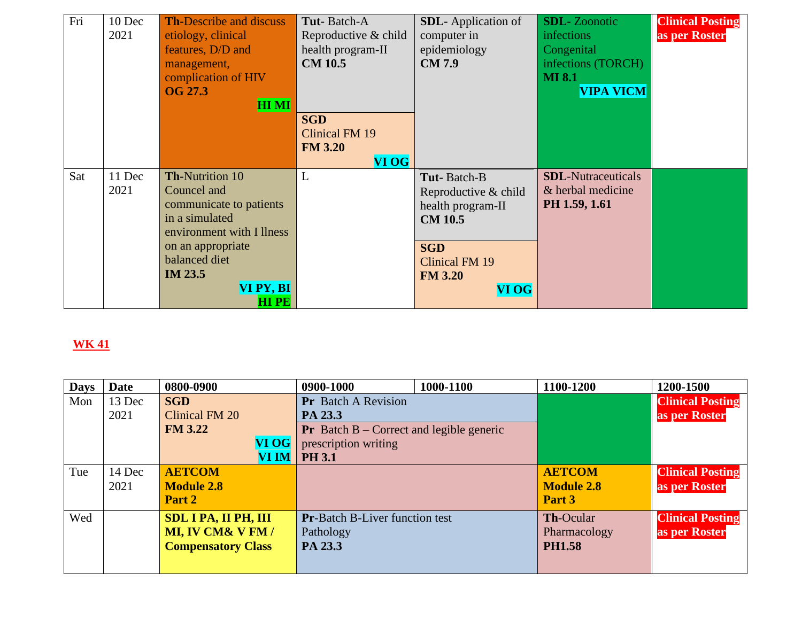| Fri | 10 Dec | <b>Th-Describe and discuss</b> | Tut-Batch-A           | <b>SDL</b> -Application of | <b>SDL-</b> Zoonotic      | <b>Clinical Posting</b> |
|-----|--------|--------------------------------|-----------------------|----------------------------|---------------------------|-------------------------|
|     | 2021   | etiology, clinical             | Reproductive & child  | computer in                | infections                | as per Roster           |
|     |        | features, D/D and              | health program-II     | epidemiology               | Congenital                |                         |
|     |        | management,                    | <b>CM 10.5</b>        | <b>CM7.9</b>               | infections (TORCH)        |                         |
|     |        | complication of HIV            |                       |                            | <b>MI 8.1</b>             |                         |
|     |        | <b>OG 27.3</b>                 |                       |                            | <b>VIPA VICM</b>          |                         |
|     |        | <b>HIMI</b>                    |                       |                            |                           |                         |
|     |        |                                | <b>SGD</b>            |                            |                           |                         |
|     |        |                                | <b>Clinical FM 19</b> |                            |                           |                         |
|     |        |                                | <b>FM 3.20</b>        |                            |                           |                         |
|     |        |                                | <b>VI OG</b>          |                            |                           |                         |
| Sat | 11 Dec | <b>Th-Nutrition 10</b>         | L                     | Tut-Batch-B                | <b>SDL-Nutraceuticals</b> |                         |
|     | 2021   | Councel and                    |                       | Reproductive & child       | & herbal medicine         |                         |
|     |        | communicate to patients        |                       | health program-II          | PH 1.59, 1.61             |                         |
|     |        | in a simulated                 |                       | <b>CM 10.5</b>             |                           |                         |
|     |        | environment with I llness      |                       |                            |                           |                         |
|     |        | on an appropriate              |                       | <b>SGD</b>                 |                           |                         |
|     |        | balanced diet                  |                       | <b>Clinical FM 19</b>      |                           |                         |
|     |        | <b>IM 23.5</b>                 |                       | <b>FM 3.20</b>             |                           |                         |
|     |        | VI PY, BI                      |                       | VI OG                      |                           |                         |
|     |        | <b>HIPE</b>                    |                       |                            |                           |                         |

| <b>Date</b> | 0800-0900         |              | 0900-1000                                                | 1000-1100 | 1100-1200                             | 1200-1500               |
|-------------|-------------------|--------------|----------------------------------------------------------|-----------|---------------------------------------|-------------------------|
| 13 Dec      | <b>SGD</b>        |              | <b>Pr</b> Batch A Revision                               |           |                                       | <b>Clinical Posting</b> |
| 2021        | Clinical FM 20    |              | PA 23.3                                                  |           |                                       | as per Roster           |
|             | <b>FM 3.22</b>    |              | <b>Pr</b> Batch $B$ – Correct and legible generic        |           |                                       |                         |
|             |                   | VI OG        | prescription writing                                     |           |                                       |                         |
|             |                   | <b>VI IM</b> | <b>PH 3.1</b>                                            |           |                                       |                         |
| 14 Dec      | <b>AETCOM</b>     |              |                                                          |           | <b>AETCOM</b>                         | <b>Clinical Posting</b> |
| 2021        | <b>Module 2.8</b> |              |                                                          |           | <b>Module 2.8</b>                     | as per Roster           |
|             | Part 2            |              |                                                          |           | Part 3                                |                         |
|             |                   |              |                                                          |           | Th-Ocular                             | <b>Clinical Posting</b> |
|             | MI, IV CM& V FM / |              | Pathology                                                |           | Pharmacology                          | as per Roster           |
|             |                   |              | PA 23.3                                                  |           | <b>PH1.58</b>                         |                         |
|             |                   |              |                                                          |           |                                       |                         |
|             |                   |              | <b>SDL I PA, II PH, III</b><br><b>Compensatory Class</b> |           | <b>Pr-Batch B-Liver function test</b> |                         |